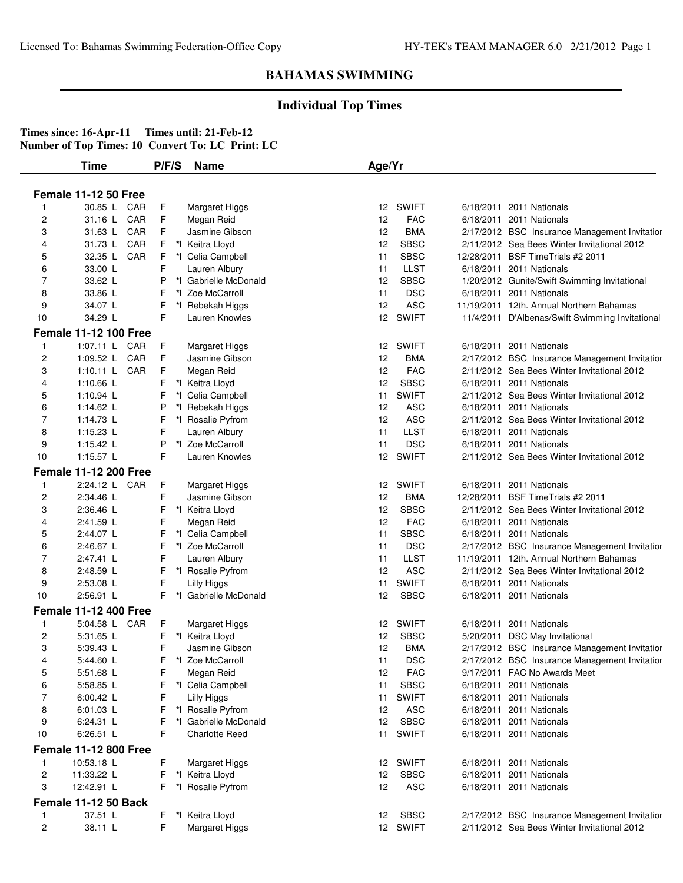### **Individual Top Times**

|                | Time                         | P/F/S | <b>Name</b>                            | Age/Yr |              |                                                 |
|----------------|------------------------------|-------|----------------------------------------|--------|--------------|-------------------------------------------------|
|                | <b>Female 11-12 50 Free</b>  |       |                                        |        |              |                                                 |
| 1              | 30.85 L CAR                  | F     | Margaret Higgs                         | 12     | <b>SWIFT</b> | 6/18/2011 2011 Nationals                        |
| 2              | CAR<br>31.16 L               | F     | Megan Reid                             | 12     | <b>FAC</b>   | 6/18/2011 2011 Nationals                        |
| 3              | CAR<br>31.63 L               | F     | Jasmine Gibson                         | 12     | <b>BMA</b>   | 2/17/2012 BSC Insurance Management Invitatior   |
| 4              | CAR<br>31.73 L               | F     | *I Keitra Lloyd                        | 12     | <b>SBSC</b>  | 2/11/2012 Sea Bees Winter Invitational 2012     |
| 5              | CAR<br>32.35 L               | F     | *I Celia Campbell                      | 11     | <b>SBSC</b>  | 12/28/2011 BSF Time Trials #2 2011              |
| 6              | 33.00 L                      | F     |                                        | 11     | <b>LLST</b>  | 6/18/2011 2011 Nationals                        |
| 7              | 33.62 L                      | P     | Lauren Albury<br>*I Gabrielle McDonald | 12     | <b>SBSC</b>  | 1/20/2012 Gunite/Swift Swimming Invitational    |
| 8              | 33.86 L                      | F     | *I Zoe McCarroll                       | 11     | <b>DSC</b>   | 6/18/2011 2011 Nationals                        |
| 9              | 34.07 L                      | F     |                                        | 12     | <b>ASC</b>   | 11/19/2011 12th. Annual Northern Bahamas        |
| 10             | 34.29 L                      | F     | *I Rebekah Higgs<br>Lauren Knowles     | 12     | <b>SWIFT</b> |                                                 |
|                |                              |       |                                        |        |              | 11/4/2011 D'Albenas/Swift Swimming Invitational |
|                | <b>Female 11-12 100 Free</b> |       |                                        |        |              |                                                 |
| 1              | 1:07.11 L CAR                | F     | Margaret Higgs                         | 12     | SWIFT        | 6/18/2011 2011 Nationals                        |
| 2              | 1:09.52 $L$<br>CAR           | F     | Jasmine Gibson                         | 12     | <b>BMA</b>   | 2/17/2012 BSC Insurance Management Invitatior   |
| 3              | 1:10.11 L CAR                | F     | Megan Reid                             | 12     | <b>FAC</b>   | 2/11/2012 Sea Bees Winter Invitational 2012     |
| 4              | 1:10.66 $L$                  | F     | *I Keitra Lloyd                        | 12     | <b>SBSC</b>  | 6/18/2011 2011 Nationals                        |
| 5              | 1:10.94 $\lfloor$            | F     | *I Celia Campbell                      | 11     | <b>SWIFT</b> | 2/11/2012 Sea Bees Winter Invitational 2012     |
| 6              | 1:14.62 L                    | P     | *I Rebekah Higgs                       | 12     | <b>ASC</b>   | 6/18/2011 2011 Nationals                        |
| 7              | 1:14.73 $L$                  | F     | *I Rosalie Pyfrom                      | 12     | <b>ASC</b>   | 2/11/2012 Sea Bees Winter Invitational 2012     |
| 8              | $1:15.23$ L                  | F     | Lauren Albury                          | 11     | <b>LLST</b>  | 6/18/2011 2011 Nationals                        |
| 9              | 1:15.42 $L$                  | P     | *I Zoe McCarroll                       | 11     | <b>DSC</b>   | 6/18/2011 2011 Nationals                        |
| 10             | 1:15.57 L                    | F     | Lauren Knowles                         | 12     | <b>SWIFT</b> | 2/11/2012 Sea Bees Winter Invitational 2012     |
|                | <b>Female 11-12 200 Free</b> |       |                                        |        |              |                                                 |
| $\mathbf{1}$   | 2:24.12 L CAR                | F     | Margaret Higgs                         | 12     | <b>SWIFT</b> | 6/18/2011 2011 Nationals                        |
| 2              | 2:34.46 L                    | F     | Jasmine Gibson                         | 12     | <b>BMA</b>   | 12/28/2011 BSF Time Trials #2 2011              |
| 3              | 2:36.46 L                    | F     | *I Keitra Lloyd                        | 12     | <b>SBSC</b>  | 2/11/2012 Sea Bees Winter Invitational 2012     |
| 4              | 2:41.59 L                    | F     | Megan Reid                             | 12     | <b>FAC</b>   | 6/18/2011 2011 Nationals                        |
| 5              | 2:44.07 L                    | F     | *I Celia Campbell                      | 11     | <b>SBSC</b>  | 6/18/2011 2011 Nationals                        |
| 6              | 2:46.67 L                    | F     | *I Zoe McCarroll                       | 11     | <b>DSC</b>   | 2/17/2012 BSC Insurance Management Invitatior   |
| 7              | 2:47.41 L                    | F     | Lauren Albury                          | 11     | <b>LLST</b>  | 11/19/2011 12th. Annual Northern Bahamas        |
| 8              | 2:48.59 L                    | F     | *I Rosalie Pyfrom                      | 12     | <b>ASC</b>   | 2/11/2012 Sea Bees Winter Invitational 2012     |
| 9              | 2:53.08 L                    | F     | Lilly Higgs                            | 11     | <b>SWIFT</b> | 6/18/2011 2011 Nationals                        |
| 10             | 2:56.91 L                    | F     | *I Gabrielle McDonald                  | 12     | <b>SBSC</b>  | 6/18/2011 2011 Nationals                        |
|                | <b>Female 11-12 400 Free</b> |       |                                        |        |              |                                                 |
|                |                              |       |                                        |        |              |                                                 |
| -1             | 5:04.58 L CAR                | F     | Margaret Higgs                         |        | 12 SWIFT     | 6/18/2011 2011 Nationals                        |
| 2              | 5:31.65 L                    | F     | *I Keitra Lloyd                        | 12     | <b>SBSC</b>  | 5/20/2011 DSC May Invitational                  |
| 3              | 5:39.43 L                    | F     | Jasmine Gibson                         | 12     | <b>BMA</b>   | 2/17/2012 BSC Insurance Management Invitation   |
|                | 5:44.60 L                    |       | F *I Zoe McCarroll                     | 11     | <b>DSC</b>   | 2/17/2012 BSC Insurance Management Invitatior   |
| 5              | 5:51.68 L                    | F     | Megan Reid                             | 12     | <b>FAC</b>   | 9/17/2011 FAC No Awards Meet                    |
| 6              | 5:58.85 L                    | F     | *I Celia Campbell                      | 11     | <b>SBSC</b>  | 6/18/2011 2011 Nationals                        |
| 7              | 6:00.42 L                    | F     | Lilly Higgs                            | 11     | <b>SWIFT</b> | 6/18/2011 2011 Nationals                        |
| 8              | 6:01.03 L                    | F     | *I Rosalie Pyfrom                      | 12     | <b>ASC</b>   | 6/18/2011 2011 Nationals                        |
| 9              | 6:24.31 L                    | F     | *I Gabrielle McDonald                  | 12     | <b>SBSC</b>  | 6/18/2011 2011 Nationals                        |
| 10             | 6:26.51 L                    | F     | Charlotte Reed                         | 11     | <b>SWIFT</b> | 6/18/2011 2011 Nationals                        |
|                | <b>Female 11-12 800 Free</b> |       |                                        |        |              |                                                 |
| -1             | 10:53.18 L                   | F     | Margaret Higgs                         | 12     | <b>SWIFT</b> | 6/18/2011 2011 Nationals                        |
| 2              | 11:33.22 L                   | F     | *I Keitra Lloyd                        | 12     | <b>SBSC</b>  | 6/18/2011 2011 Nationals                        |
| 3              | 12:42.91 L                   | F     | *I Rosalie Pyfrom                      | 12     | <b>ASC</b>   | 6/18/2011 2011 Nationals                        |
|                | Female 11-12 50 Back         |       |                                        |        |              |                                                 |
| $\mathbf{1}$   | 37.51 L                      | F     | *I Keitra Lloyd                        | 12     | <b>SBSC</b>  | 2/17/2012 BSC Insurance Management Invitatior   |
| $\overline{c}$ | 38.11 L                      | F     | Margaret Higgs                         |        | 12 SWIFT     | 2/11/2012 Sea Bees Winter Invitational 2012     |
|                |                              |       |                                        |        |              |                                                 |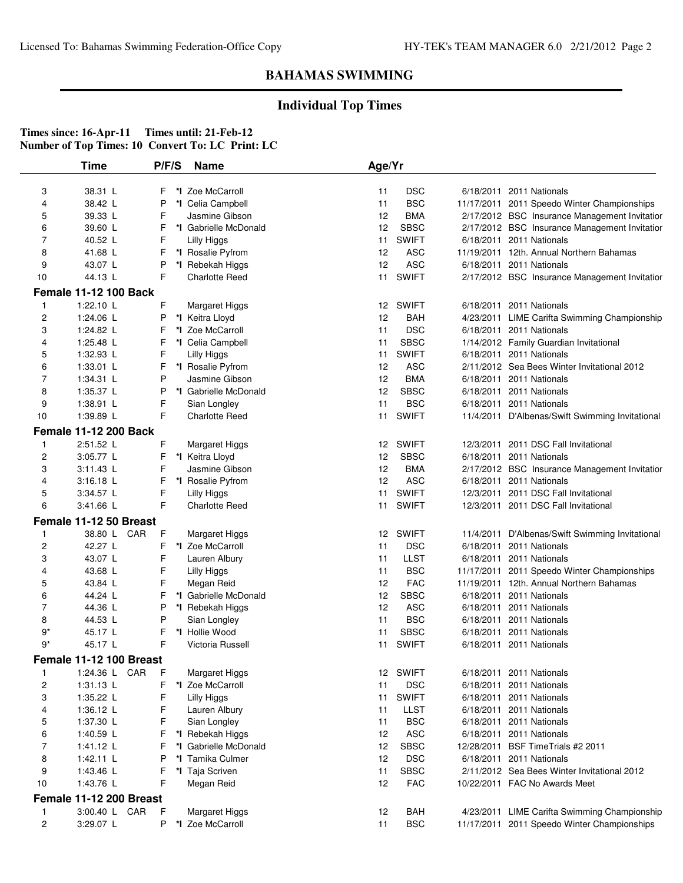## **Individual Top Times**

|        | Time                         | P/F/S | <b>Name</b>                         | Age/Yr |              |                                                                             |
|--------|------------------------------|-------|-------------------------------------|--------|--------------|-----------------------------------------------------------------------------|
|        |                              |       |                                     |        |              |                                                                             |
| 3      | 38.31 L                      | F     | *I Zoe McCarroll                    | 11     | <b>DSC</b>   | 6/18/2011 2011 Nationals                                                    |
| 4      | 38.42 L                      | P     | *I Celia Campbell                   | 11     | <b>BSC</b>   | 11/17/2011 2011 Speedo Winter Championships                                 |
| 5      | 39.33 L                      | F     | Jasmine Gibson                      | 12     | <b>BMA</b>   | 2/17/2012 BSC Insurance Management Invitatior                               |
| 6      | 39.60 L                      | F     | *I Gabrielle McDonald               | 12     | <b>SBSC</b>  | 2/17/2012 BSC Insurance Management Invitatior                               |
| 7      | 40.52 L                      | F     | <b>Lilly Higgs</b>                  | 11     | <b>SWIFT</b> | 6/18/2011 2011 Nationals                                                    |
| 8      | 41.68 L                      | F     | *I Rosalie Pyfrom                   | 12     | <b>ASC</b>   | 11/19/2011 12th. Annual Northern Bahamas                                    |
| 9      | 43.07 L                      | P     | *I Rebekah Higgs                    | 12     | <b>ASC</b>   | 6/18/2011 2011 Nationals                                                    |
| 10     | 44.13 L                      | F     | <b>Charlotte Reed</b>               | 11     | <b>SWIFT</b> | 2/17/2012 BSC Insurance Management Invitatior                               |
|        | <b>Female 11-12 100 Back</b> |       |                                     |        |              |                                                                             |
| 1      | 1:22.10 L                    | F     | Margaret Higgs                      |        | 12 SWIFT     | 6/18/2011 2011 Nationals                                                    |
| 2      | 1:24.06 L                    | P     | *I Keitra Lloyd                     | 12     | <b>BAH</b>   | 4/23/2011 LIME Carifta Swimming Championship                                |
| 3      | 1:24.82 L                    | F     | *I Zoe McCarroll                    | 11     | <b>DSC</b>   | 6/18/2011 2011 Nationals                                                    |
| 4      | 1:25.48 L                    | F     | *I Celia Campbell                   | 11     | <b>SBSC</b>  | 1/14/2012 Family Guardian Invitational                                      |
| 5      | 1:32.93 L                    | F     | Lilly Higgs                         | 11     | <b>SWIFT</b> | 6/18/2011 2011 Nationals                                                    |
| 6      | 1:33.01 L                    | F     | *I Rosalie Pyfrom                   | 12     | <b>ASC</b>   | 2/11/2012 Sea Bees Winter Invitational 2012                                 |
| 7      | 1:34.31 L                    | P     | Jasmine Gibson                      | 12     | <b>BMA</b>   | 6/18/2011 2011 Nationals                                                    |
| 8      | 1:35.37 L                    | P     | *I Gabrielle McDonald               | 12     | <b>SBSC</b>  | 6/18/2011 2011 Nationals                                                    |
| 9      | 1:38.91 L                    | F     | Sian Longley                        | 11     | <b>BSC</b>   | 6/18/2011 2011 Nationals                                                    |
| 10     | 1:39.89 L                    | F.    | <b>Charlotte Reed</b>               | 11     | <b>SWIFT</b> | 11/4/2011 D'Albenas/Swift Swimming Invitational                             |
|        | <b>Female 11-12 200 Back</b> |       |                                     |        |              |                                                                             |
| 1      | 2:51.52 L                    | F     | Margaret Higgs                      | 12     | <b>SWIFT</b> | 12/3/2011 2011 DSC Fall Invitational                                        |
| 2      | 3:05.77 L                    | F     | *I Keitra Lloyd                     | 12     | <b>SBSC</b>  | 6/18/2011 2011 Nationals                                                    |
| 3      | 3:11.43 L                    | F     | Jasmine Gibson                      | 12     | <b>BMA</b>   | 2/17/2012 BSC Insurance Management Invitatior                               |
| 4      | 3:16.18 L                    | F     | *I Rosalie Pyfrom                   | 12     | <b>ASC</b>   | 6/18/2011 2011 Nationals                                                    |
| 5      | 3:34.57 L                    | F     | <b>Lilly Higgs</b>                  | 11     | <b>SWIFT</b> | 12/3/2011 2011 DSC Fall Invitational                                        |
| 6      | $3:41.66$ L                  | F     | <b>Charlotte Reed</b>               | 11     | <b>SWIFT</b> | 12/3/2011 2011 DSC Fall Invitational                                        |
|        | Female 11-12 50 Breast       |       |                                     |        |              |                                                                             |
|        | 38.80 L CAR                  | F     |                                     | 12     | <b>SWIFT</b> |                                                                             |
| 1      | 42.27 L                      | F     | Margaret Higgs<br>*I Zoe McCarroll  | 11     | <b>DSC</b>   | 11/4/2011 D'Albenas/Swift Swimming Invitational<br>6/18/2011 2011 Nationals |
| 2<br>3 | 43.07 L                      | F     |                                     | 11     | <b>LLST</b>  | 6/18/2011 2011 Nationals                                                    |
| 4      | 43.68 L                      | F     | Lauren Albury<br><b>Lilly Higgs</b> | 11     | <b>BSC</b>   | 11/17/2011 2011 Speedo Winter Championships                                 |
| 5      | 43.84 L                      | F     | Megan Reid                          | 12     | <b>FAC</b>   | 11/19/2011 12th. Annual Northern Bahamas                                    |
| 6      | 44.24 L                      | F     | *I Gabrielle McDonald               | 12     | <b>SBSC</b>  | 6/18/2011 2011 Nationals                                                    |
| 7      | 44.36 L                      | P     | *I Rebekah Higgs                    | 12     | <b>ASC</b>   | 6/18/2011 2011 Nationals                                                    |
| 8      | 44.53 L                      | P     | Sian Longley                        | 11     | <b>BSC</b>   | 6/18/2011 2011 Nationals                                                    |
| 9*     | 45.17 L                      | F     | *I Hollie Wood                      | 11     | <b>SBSC</b>  | 6/18/2011 2011 Nationals                                                    |
| $9*$   | 45.17 L                      | F     | Victoria Russell                    | 11     | <b>SWIFT</b> | 6/18/2011 2011 Nationals                                                    |
|        |                              |       |                                     |        |              |                                                                             |
|        | Female 11-12 100 Breast      |       |                                     |        |              |                                                                             |
| 1      | 1:24.36 L CAR                | F     | Margaret Higgs                      |        | 12 SWIFT     | 6/18/2011 2011 Nationals                                                    |
| 2      | 1:31.13 L                    | F     | *I Zoe McCarroll                    | 11     | <b>DSC</b>   | 6/18/2011 2011 Nationals                                                    |
| 3      | 1:35.22 L                    | F     | Lilly Higgs                         | 11     | <b>SWIFT</b> | 6/18/2011 2011 Nationals                                                    |
| 4      | 1:36.12 L                    | F     | Lauren Albury                       | 11     | <b>LLST</b>  | 6/18/2011 2011 Nationals                                                    |
| 5      | 1:37.30 L                    | F     | Sian Longley                        | 11     | <b>BSC</b>   | 6/18/2011 2011 Nationals                                                    |
| 6      | 1:40.59 L                    | F     | *I Rebekah Higgs                    | 12     | <b>ASC</b>   | 6/18/2011 2011 Nationals                                                    |
| 7      | 1:41.12 L                    | F     | *I Gabrielle McDonald               | 12     | <b>SBSC</b>  | 12/28/2011 BSF TimeTrials #2 2011                                           |
| 8      | 1:42.11 L                    | P     | *I Tamika Culmer                    | 12     | <b>DSC</b>   | 6/18/2011 2011 Nationals                                                    |
| 9      | 1:43.46 L                    | F     | *I Taja Scriven                     | 11     | <b>SBSC</b>  | 2/11/2012 Sea Bees Winter Invitational 2012                                 |
| 10     | 1:43.76 L                    | F     | Megan Reid                          | 12     | <b>FAC</b>   | 10/22/2011 FAC No Awards Meet                                               |
|        | Female 11-12 200 Breast      |       |                                     |        |              |                                                                             |
| 1      | 3:00.40 L CAR                | F     | Margaret Higgs                      | 12     | BAH          | 4/23/2011 LIME Carifta Swimming Championship                                |
| 2      | 3:29.07 L                    | P     | *I Zoe McCarroll                    | 11     | <b>BSC</b>   | 11/17/2011 2011 Speedo Winter Championships                                 |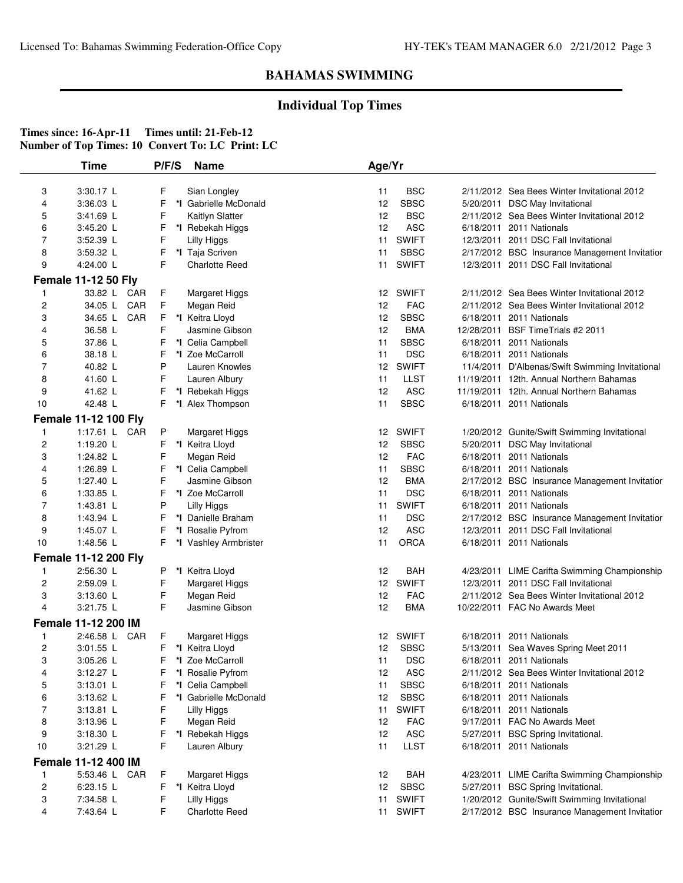## **Individual Top Times**

|                         | <b>Time</b>                 | P/F/S | <b>Name</b>           | Age/Yr |              |                                                 |
|-------------------------|-----------------------------|-------|-----------------------|--------|--------------|-------------------------------------------------|
| 3                       | $3:30.17$ L                 | F     | Sian Longley          | 11     | BSC          | 2/11/2012 Sea Bees Winter Invitational 2012     |
| 4                       | 3:36.03 L                   | F     | *I Gabrielle McDonald | 12     | <b>SBSC</b>  | 5/20/2011 DSC May Invitational                  |
| 5                       | 3:41.69 L                   | F     | Kaitlyn Slatter       | 12     | <b>BSC</b>   | 2/11/2012 Sea Bees Winter Invitational 2012     |
| 6                       | $3:45.20$ L                 | F     | *I Rebekah Higgs      | 12     | <b>ASC</b>   | 6/18/2011 2011 Nationals                        |
| 7                       | 3:52.39 L                   | F     | Lilly Higgs           | 11     | <b>SWIFT</b> | 12/3/2011 2011 DSC Fall Invitational            |
| 8                       | 3:59.32 L                   | F     | *I Taja Scriven       | 11     | <b>SBSC</b>  | 2/17/2012 BSC Insurance Management Invitatior   |
| 9                       | 4:24.00 L                   | F     | <b>Charlotte Reed</b> | 11     | <b>SWIFT</b> | 12/3/2011 2011 DSC Fall Invitational            |
|                         | <b>Female 11-12 50 Fly</b>  |       |                       |        |              |                                                 |
| 1                       | 33.82 L CAR                 | F     | Margaret Higgs        |        | 12 SWIFT     | 2/11/2012 Sea Bees Winter Invitational 2012     |
| $\overline{\mathbf{c}}$ | 34.05 L CAR                 | F     | Megan Reid            | 12     | <b>FAC</b>   | 2/11/2012 Sea Bees Winter Invitational 2012     |
| 3                       | 34.65 L CAR                 | F     | *I Keitra Lloyd       | 12     | <b>SBSC</b>  | 6/18/2011 2011 Nationals                        |
| 4                       | 36.58 L                     | F     | Jasmine Gibson        | 12     | <b>BMA</b>   | 12/28/2011 BSF Time Trials #2 2011              |
| 5                       | 37.86 L                     | F     | *I Celia Campbell     | 11     | <b>SBSC</b>  | 6/18/2011 2011 Nationals                        |
| 6                       | 38.18 L                     | F     | *I Zoe McCarroll      | 11     | <b>DSC</b>   | 6/18/2011 2011 Nationals                        |
| 7                       | 40.82 L                     | P     | Lauren Knowles        | 12     | <b>SWIFT</b> | 11/4/2011 D'Albenas/Swift Swimming Invitational |
| 8                       | 41.60 L                     | F     | Lauren Albury         | 11     | <b>LLST</b>  | 11/19/2011 12th. Annual Northern Bahamas        |
| 9                       | 41.62 L                     | F     | *I Rebekah Higgs      | 12     | <b>ASC</b>   | 11/19/2011 12th. Annual Northern Bahamas        |
| 10                      | 42.48 L                     | F     | *I Alex Thompson      | 11     | <b>SBSC</b>  | 6/18/2011 2011 Nationals                        |
|                         | <b>Female 11-12 100 Fly</b> |       |                       |        |              |                                                 |
| 1                       | 1:17.61 L CAR               | P     | Margaret Higgs        | 12     | <b>SWIFT</b> | 1/20/2012 Gunite/Swift Swimming Invitational    |
| 2                       | 1:19.20 $L$                 | F     | *I Keitra Lloyd       | 12     | <b>SBSC</b>  | 5/20/2011 DSC May Invitational                  |
| 3                       | 1:24.82 L                   | F     | Megan Reid            | 12     | <b>FAC</b>   | 6/18/2011 2011 Nationals                        |
| 4                       | 1:26.89 L                   | F     | *I Celia Campbell     | 11     | <b>SBSC</b>  | 6/18/2011 2011 Nationals                        |
| 5                       | 1:27.40 L                   | F     | Jasmine Gibson        | 12     | <b>BMA</b>   | 2/17/2012 BSC Insurance Management Invitatior   |
| 6                       | 1:33.85 L                   | F     | *I Zoe McCarroll      | 11     | <b>DSC</b>   | 6/18/2011 2011 Nationals                        |
| $\overline{7}$          | 1:43.81 L                   | P     | <b>Lilly Higgs</b>    | 11     | <b>SWIFT</b> | 6/18/2011 2011 Nationals                        |
| 8                       | 1:43.94 L                   | F     | *I Danielle Braham    | 11     | <b>DSC</b>   | 2/17/2012 BSC Insurance Management Invitatior   |
| 9                       | 1:45.07 L                   | F     | *I Rosalie Pyfrom     | 12     | <b>ASC</b>   | 12/3/2011 2011 DSC Fall Invitational            |
| 10                      | 1:48.56 L                   | F     | *I Vashley Armbrister | 11     | <b>ORCA</b>  | 6/18/2011 2011 Nationals                        |
|                         | <b>Female 11-12 200 Fly</b> |       |                       |        |              |                                                 |
| 1                       | 2:56.30 L                   | P     | *I Keitra Lloyd       | 12     | BAH          | 4/23/2011 LIME Carifta Swimming Championship    |
| 2                       | 2:59.09 L                   | F     | Margaret Higgs        |        | 12 SWIFT     | 12/3/2011 2011 DSC Fall Invitational            |
| 3                       | 3:13.60 L                   | F     | Megan Reid            | 12     | <b>FAC</b>   | 2/11/2012 Sea Bees Winter Invitational 2012     |
| 4                       | 3:21.75 L                   | F     | Jasmine Gibson        | 12     | <b>BMA</b>   | 10/22/2011 FAC No Awards Meet                   |
|                         | Female 11-12 200 IM         |       |                       |        |              |                                                 |
| 1                       | 2:46.58 L CAR               | F     | Margaret Higgs        |        | 12 SWIFT     | 6/18/2011 2011 Nationals                        |
| 2                       | 3:01.55 L                   | F     | *I Keitra Lloyd       | 12     | SBSC         | 5/13/2011 Sea Waves Spring Meet 2011            |
| 3                       | 3:05.26 L                   |       | F *I Zoe McCarroll    | 11     | <b>DSC</b>   | 6/18/2011 2011 Nationals                        |
| 4                       | 3:12.27 L                   | F     | *I Rosalie Pyfrom     | 12     | <b>ASC</b>   | 2/11/2012 Sea Bees Winter Invitational 2012     |
| 5                       | $3:13.01$ L                 | F     | *I Celia Campbell     | 11     | <b>SBSC</b>  | 6/18/2011 2011 Nationals                        |
| 6                       | $3:13.62$ L                 | F     | *I Gabrielle McDonald | 12     | <b>SBSC</b>  | 6/18/2011 2011 Nationals                        |
| 7                       | $3:13.81$ L                 | F     | Lilly Higgs           | 11     | <b>SWIFT</b> | 6/18/2011 2011 Nationals                        |
| 8                       | 3:13.96 L                   | F     | Megan Reid            | 12     | <b>FAC</b>   | 9/17/2011 FAC No Awards Meet                    |
| 9                       | 3:18.30 L                   | F     | *I Rebekah Higgs      | 12     | <b>ASC</b>   | 5/27/2011 BSC Spring Invitational.              |
| 10                      | 3:21.29 L                   | F     | Lauren Albury         | 11     | <b>LLST</b>  | 6/18/2011 2011 Nationals                        |
|                         |                             |       |                       |        |              |                                                 |
|                         | Female 11-12 400 IM         |       |                       |        |              |                                                 |
| 1                       | 5:53.46 L CAR               | F     | Margaret Higgs        | 12     | <b>BAH</b>   | 4/23/2011 LIME Carifta Swimming Championship    |
| 2                       | 6:23.15 L                   | F     | *I Keitra Lloyd       | 12     | <b>SBSC</b>  | 5/27/2011 BSC Spring Invitational.              |
| 3                       | 7:34.58 L                   | F     | Lilly Higgs           | 11     | <b>SWIFT</b> | 1/20/2012 Gunite/Swift Swimming Invitational    |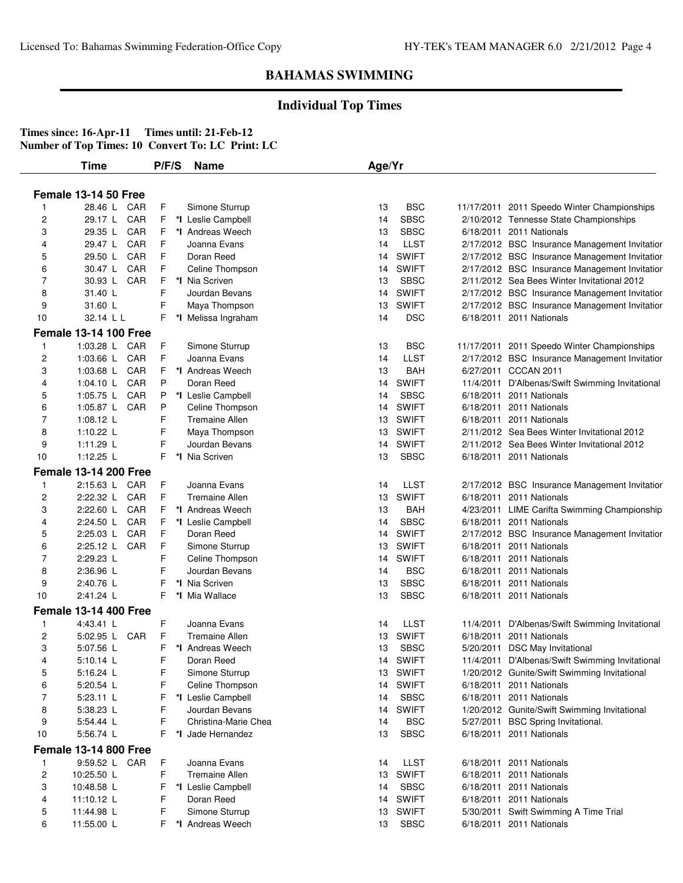### **Individual Top Times**

|                | Time                                          | P/F/S   | <b>Name</b>                            | Age/Yr   |                           |                                                                |
|----------------|-----------------------------------------------|---------|----------------------------------------|----------|---------------------------|----------------------------------------------------------------|
|                | <b>Female 13-14 50 Free</b>                   |         |                                        |          |                           |                                                                |
|                | 28.46 L CAR                                   | F       | Simone Sturrup                         | 13       | <b>BSC</b>                | 11/17/2011 2011 Speedo Winter Championships                    |
| $\overline{c}$ | CAR<br>29.17 L                                | F.      | *I Leslie Campbell                     | 14       | <b>SBSC</b>               | 2/10/2012 Tennesse State Championships                         |
| 3              | CAR<br>29.35 L                                | F.      | *I Andreas Weech                       | 13       | <b>SBSC</b>               | 6/18/2011 2011 Nationals                                       |
| 4              | CAR<br>29.47 L                                | F       | Joanna Evans                           | 14       | <b>LLST</b>               | 2/17/2012 BSC Insurance Management Invitatior                  |
| 5              | 29.50 L<br>CAR                                | F       | Doran Reed                             | 14       | <b>SWIFT</b>              | 2/17/2012 BSC Insurance Management Invitatior                  |
| 6              | 30.47 L<br>CAR                                | F       | Celine Thompson                        | 14       | <b>SWIFT</b>              | 2/17/2012 BSC Insurance Management Invitatior                  |
| 7              | CAR<br>30.93 L                                | F       | *I Nia Scriven                         | 13       | <b>SBSC</b>               | 2/11/2012 Sea Bees Winter Invitational 2012                    |
| 8              | 31.40 L                                       | F       | Jourdan Bevans                         | 14       | <b>SWIFT</b>              | 2/17/2012 BSC Insurance Management Invitatior                  |
| 9              | 31.60 L                                       | F       | Maya Thompson                          | 13       | <b>SWIFT</b>              | 2/17/2012 BSC Insurance Management Invitatior                  |
| 10             | 32.14 L L                                     | F.      | *I Melissa Ingraham                    | 14       | <b>DSC</b>                | 6/18/2011 2011 Nationals                                       |
|                | <b>Female 13-14 100 Free</b>                  |         |                                        |          |                           |                                                                |
| $\mathbf{1}$   | 1:03.28 L<br>CAR                              | F       | Simone Sturrup                         | 13       | <b>BSC</b>                | 11/17/2011 2011 Speedo Winter Championships                    |
| $\overline{c}$ | 1:03.66 L<br>CAR                              | F       | Joanna Evans                           | 14       | <b>LLST</b>               | 2/17/2012 BSC Insurance Management Invitatior                  |
| 3              | 1:03.68 L<br>CAR                              | F       | *I Andreas Weech                       | 13       | BAH                       | 6/27/2011 CCCAN 2011                                           |
| 4              | CAR<br>1:04.10 L                              | P       | Doran Reed                             | 14       | <b>SWIFT</b>              | 11/4/2011 D'Albenas/Swift Swimming Invitational                |
| 5              | CAR<br>1:05.75 L                              | P       | *I Leslie Campbell                     | 14       | <b>SBSC</b>               | 6/18/2011 2011 Nationals                                       |
| 6              | 1:05.87 L<br>CAR                              | P       | Celine Thompson                        | 14       | <b>SWIFT</b>              | 6/18/2011 2011 Nationals                                       |
| 7              | 1:08.12 L                                     | F       | <b>Tremaine Allen</b>                  | 13       | <b>SWIFT</b>              | 6/18/2011 2011 Nationals                                       |
| 8              | 1:10.22 $L$                                   | F       | Maya Thompson                          | 13       | <b>SWIFT</b>              | 2/11/2012 Sea Bees Winter Invitational 2012                    |
| 9              | $1:11.29$ L                                   | F       | Jourdan Bevans                         | 14       | <b>SWIFT</b>              | 2/11/2012 Sea Bees Winter Invitational 2012                    |
| 10             | 1:12.25 L                                     | F       | *I Nia Scriven                         | 13       | <b>SBSC</b>               | 6/18/2011 2011 Nationals                                       |
|                | <b>Female 13-14 200 Free</b>                  |         |                                        |          |                           |                                                                |
| $\mathbf{1}$   | 2:15.63 L CAR                                 | F       | Joanna Evans                           | 14       | <b>LLST</b>               | 2/17/2012 BSC Insurance Management Invitatior                  |
| 2              | 2:22.32 L<br>CAR                              | F       | <b>Tremaine Allen</b>                  | 13       | <b>SWIFT</b>              | 6/18/2011 2011 Nationals                                       |
| 3              | 2:22.60 L<br>CAR                              | F       | *I Andreas Weech                       | 13       | BAH                       | 4/23/2011 LIME Carifta Swimming Championship                   |
| 4              | CAR<br>2:24.50 L                              | F       | *I Leslie Campbell                     | 14       | <b>SBSC</b>               | 6/18/2011 2011 Nationals                                       |
| 5              | 2:25.03 L<br>CAR                              | F       | Doran Reed                             | 14       | <b>SWIFT</b>              | 2/17/2012 BSC Insurance Management Invitatior                  |
| 6              | 2:25.12 L<br>CAR                              | F       | Simone Sturrup                         | 13       | <b>SWIFT</b>              | 6/18/2011 2011 Nationals                                       |
| 7              | 2:29.23 L                                     | F       | Celine Thompson                        | 14       | <b>SWIFT</b>              | 6/18/2011 2011 Nationals                                       |
| 8              | 2:36.96 L                                     | F       | Jourdan Bevans                         | 14       | <b>BSC</b>                | 6/18/2011 2011 Nationals                                       |
| 9              | 2:40.76 L                                     | F       | *I Nia Scriven                         | 13       | <b>SBSC</b>               | 6/18/2011 2011 Nationals                                       |
| 10             | 2:41.24 L                                     | F.      | *I Mia Wallace                         | 13       | <b>SBSC</b>               | 6/18/2011 2011 Nationals                                       |
|                | <b>Female 13-14 400 Free</b>                  |         |                                        |          |                           |                                                                |
| $\mathbf{1}$   | 4:43.41 L                                     | F       | Joanna Evans                           | 14       | LLST                      | 11/4/2011 D'Albenas/Swift Swimming Invitational                |
| 2              | 5:02.95 L<br>CAR                              | F       | <b>Tremaine Allen</b>                  | 13       | <b>SWIFT</b>              | 6/18/2011 2011 Nationals                                       |
| 3              | 5:07.56 L                                     | F       | *I Andreas Weech                       | 13       | <b>SBSC</b>               | 5/20/2011 DSC May Invitational                                 |
|                | 5:10.14 L                                     | F       | Doran Reed                             | 14       | <b>SWIFT</b>              | 11/4/2011 D'Albenas/Swift Swimming Invitational                |
| 5              | 5:16.24 L                                     | F       | Simone Sturrup                         |          | 13 SWIFT                  | 1/20/2012 Gunite/Swift Swimming Invitational                   |
| 6              | 5:20.54 L                                     | F       | Celine Thompson                        | 14       | <b>SWIFT</b>              | 6/18/2011 2011 Nationals                                       |
| 7              | 5:23.11 L                                     | F       | *I Leslie Campbell                     | 14       | <b>SBSC</b>               | 6/18/2011 2011 Nationals                                       |
| 8              | 5:38.23 L                                     | F       | Jourdan Bevans<br>Christina-Marie Chea |          | 14 SWIFT                  | 1/20/2012 Gunite/Swift Swimming Invitational                   |
| 9<br>10        | 5:54.44 L<br>5:56.74 L                        | F<br>F. | *I Jade Hernandez                      | 14<br>13 | <b>BSC</b><br><b>SBSC</b> | 5/27/2011 BSC Spring Invitational.<br>6/18/2011 2011 Nationals |
|                |                                               |         |                                        |          |                           |                                                                |
| $\mathbf{1}$   | <b>Female 13-14 800 Free</b><br>9:59.52 L CAR | F       | Joanna Evans                           | 14       | <b>LLST</b>               | 6/18/2011 2011 Nationals                                       |
| $\overline{c}$ | 10:25.50 L                                    | F       | <b>Tremaine Allen</b>                  | 13       | <b>SWIFT</b>              | 6/18/2011 2011 Nationals                                       |
| 3              | 10:48.58 L                                    | F       | *I Leslie Campbell                     | 14       | <b>SBSC</b>               | 6/18/2011 2011 Nationals                                       |
| 4              | 11:10.12 L                                    | F       | Doran Reed                             | 14       | <b>SWIFT</b>              | 6/18/2011 2011 Nationals                                       |
| 5              | 11:44.98 L                                    | F       | Simone Sturrup                         | 13       | <b>SWIFT</b>              | 5/30/2011 Swift Swimming A Time Trial                          |
| 6              | 11:55.00 L                                    | F       | *I Andreas Weech                       | 13       | <b>SBSC</b>               | 6/18/2011 2011 Nationals                                       |
|                |                                               |         |                                        |          |                           |                                                                |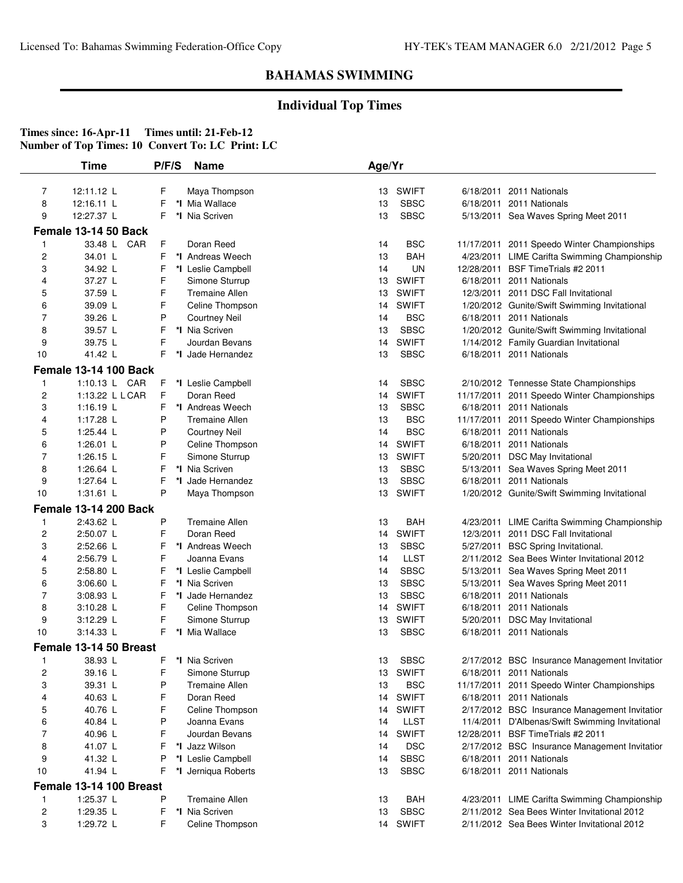## **Individual Top Times**

|              | Time                         | P/F/S  | <b>Name</b>                            | Age/Yr   |                  |                                                                                    |
|--------------|------------------------------|--------|----------------------------------------|----------|------------------|------------------------------------------------------------------------------------|
|              |                              |        |                                        |          | <b>SWIFT</b>     |                                                                                    |
| 7<br>8       | 12:11.12 L<br>12:16.11 L     | F<br>F | Maya Thompson<br>*I Mia Wallace        | 13<br>13 | <b>SBSC</b>      | 6/18/2011 2011 Nationals<br>6/18/2011 2011 Nationals                               |
| 9            | 12:27.37 L                   | F      | *I Nia Scriven                         | 13       | <b>SBSC</b>      |                                                                                    |
|              |                              |        |                                        |          |                  | 5/13/2011 Sea Waves Spring Meet 2011                                               |
|              | Female 13-14 50 Back         |        |                                        |          |                  |                                                                                    |
| 1            | 33.48 L CAR                  | F      | Doran Reed                             | 14       | <b>BSC</b>       | 11/17/2011 2011 Speedo Winter Championships                                        |
| 2            | 34.01 L                      | F      | *I Andreas Weech<br>*I Leslie Campbell | 13<br>14 | BAH<br><b>UN</b> | 4/23/2011 LIME Carifta Swimming Championship<br>12/28/2011 BSF Time Trials #2 2011 |
| 3<br>4       | 34.92 L<br>37.27 L           | F<br>F | Simone Sturrup                         | 13       | <b>SWIFT</b>     | 6/18/2011 2011 Nationals                                                           |
| 5            | 37.59 L                      | F      | <b>Tremaine Allen</b>                  | 13       | <b>SWIFT</b>     | 12/3/2011 2011 DSC Fall Invitational                                               |
| 6            | 39.09 L                      | F      | Celine Thompson                        | 14       | <b>SWIFT</b>     | 1/20/2012 Gunite/Swift Swimming Invitational                                       |
| 7            | 39.26 L                      | P      | <b>Courtney Neil</b>                   | 14       | <b>BSC</b>       | 6/18/2011 2011 Nationals                                                           |
| 8            | 39.57 L                      | F      | *I Nia Scriven                         | 13       | <b>SBSC</b>      | 1/20/2012 Gunite/Swift Swimming Invitational                                       |
| 9            | 39.75 L                      | F      | Jourdan Bevans                         | 14       | <b>SWIFT</b>     | 1/14/2012 Family Guardian Invitational                                             |
| 10           | 41.42 L                      | F.     | *I Jade Hernandez                      | 13       | <b>SBSC</b>      | 6/18/2011 2011 Nationals                                                           |
|              | <b>Female 13-14 100 Back</b> |        |                                        |          |                  |                                                                                    |
| 1            | 1:10.13 L CAR                | F      | *I Leslie Campbell                     | 14       | <b>SBSC</b>      | 2/10/2012 Tennesse State Championships                                             |
| 2            | 1:13.22 L L CAR              | F      | Doran Reed                             | 14       | <b>SWIFT</b>     | 11/17/2011 2011 Speedo Winter Championships                                        |
| 3            | $1:16.19$ L                  | F      | *I Andreas Weech                       | 13       | <b>SBSC</b>      | 6/18/2011 2011 Nationals                                                           |
| 4            | 1:17.28 L                    | P      | <b>Tremaine Allen</b>                  | 13       | <b>BSC</b>       | 11/17/2011 2011 Speedo Winter Championships                                        |
| 5            | 1:25.44 L                    | P      | <b>Courtney Neil</b>                   | 14       | <b>BSC</b>       | 6/18/2011 2011 Nationals                                                           |
| 6            | 1:26.01 $L$                  | P      | Celine Thompson                        | 14       | <b>SWIFT</b>     | 6/18/2011 2011 Nationals                                                           |
| 7            | 1:26.15 $L$                  | F      | Simone Sturrup                         | 13       | <b>SWIFT</b>     | 5/20/2011 DSC May Invitational                                                     |
| 8            | 1:26.64 L                    | F      | *I Nia Scriven                         | 13       | <b>SBSC</b>      | 5/13/2011 Sea Waves Spring Meet 2011                                               |
| 9            | 1:27.64 L                    | F      | *I Jade Hernandez                      | 13       | <b>SBSC</b>      | 6/18/2011 2011 Nationals                                                           |
| 10           | 1:31.61 $L$                  | P      | Maya Thompson                          | 13       | <b>SWIFT</b>     | 1/20/2012 Gunite/Swift Swimming Invitational                                       |
|              | <b>Female 13-14 200 Back</b> |        |                                        |          |                  |                                                                                    |
| 1            | 2:43.62 L                    | P      | <b>Tremaine Allen</b>                  | 13       | <b>BAH</b>       | 4/23/2011 LIME Carifta Swimming Championship                                       |
| 2            | 2:50.07 L                    | F      | Doran Reed                             | 14       | <b>SWIFT</b>     | 12/3/2011 2011 DSC Fall Invitational                                               |
| 3            | 2:52.66 L                    | F      | *I Andreas Weech                       | 13       | <b>SBSC</b>      | 5/27/2011 BSC Spring Invitational.                                                 |
| 4            | 2:56.79 L                    | F      | Joanna Evans                           | 14       | <b>LLST</b>      | 2/11/2012 Sea Bees Winter Invitational 2012                                        |
| 5            | 2:58.80 L                    | F      | *I Leslie Campbell                     | 14       | <b>SBSC</b>      | 5/13/2011 Sea Waves Spring Meet 2011                                               |
| 6            | 3:06.60 L                    | F      | *I Nia Scriven                         | 13       | <b>SBSC</b>      | 5/13/2011 Sea Waves Spring Meet 2011                                               |
| 7            | 3:08.93 L                    | F      | *I Jade Hernandez                      | 13       | <b>SBSC</b>      | 6/18/2011 2011 Nationals                                                           |
| 8            | 3:10.28 L                    | F      | Celine Thompson                        | 14       | <b>SWIFT</b>     | 6/18/2011 2011 Nationals                                                           |
| 9            | 3:12.29 L                    | F      | Simone Sturrup                         | 13       | <b>SWIFT</b>     | 5/20/2011 DSC May Invitational                                                     |
| 10           | 3:14.33 L                    | F.     | *I Mia Wallace                         | 13       | <b>SBSC</b>      | 6/18/2011 2011 Nationals                                                           |
|              | Female 13-14 50 Breast       |        |                                        |          |                  |                                                                                    |
|              | 38.93 L                      | F.     | *I Nia Scriven                         | 13       | <b>SBSC</b>      | 2/17/2012 BSC Insurance Management Invitatior                                      |
| 2            | 39.16 L                      | F      | Simone Sturrup                         | 13       | SWIFT            | 6/18/2011 2011 Nationals                                                           |
| 3            | 39.31 L                      | P      | <b>Tremaine Allen</b>                  | 13       | <b>BSC</b>       | 11/17/2011 2011 Speedo Winter Championships                                        |
| 4            | 40.63 L                      | F      | Doran Reed                             | 14       | <b>SWIFT</b>     | 6/18/2011 2011 Nationals                                                           |
| 5            | 40.76 L                      | F      | Celine Thompson                        | 14       | <b>SWIFT</b>     | 2/17/2012 BSC Insurance Management Invitatior                                      |
| 6            | 40.84 L                      | P      | Joanna Evans                           | 14       | <b>LLST</b>      | 11/4/2011 D'Albenas/Swift Swimming Invitational                                    |
| 7            | 40.96 L                      | F      | Jourdan Bevans                         | 14       | <b>SWIFT</b>     | 12/28/2011 BSF Time Trials #2 2011                                                 |
| 8            | 41.07 L                      | F      | *I Jazz Wilson                         | 14       | <b>DSC</b>       | 2/17/2012 BSC Insurance Management Invitatior                                      |
| 9            | 41.32 L                      | P      | *I Leslie Campbell                     | 14       | <b>SBSC</b>      | 6/18/2011 2011 Nationals                                                           |
| 10           | 41.94 L                      | F      | *I Jerniqua Roberts                    | 13       | <b>SBSC</b>      | 6/18/2011 2011 Nationals                                                           |
|              | Female 13-14 100 Breast      |        |                                        |          |                  |                                                                                    |
| $\mathbf{1}$ | 1:25.37 L                    | P      | <b>Tremaine Allen</b>                  | 13       | BAH              | 4/23/2011 LIME Carifta Swimming Championship                                       |
| 2            | 1:29.35 L                    | F      | *I Nia Scriven                         | 13       | <b>SBSC</b>      | 2/11/2012 Sea Bees Winter Invitational 2012                                        |
| 3            | 1:29.72 L                    | F      | Celine Thompson                        |          | 14 SWIFT         | 2/11/2012 Sea Bees Winter Invitational 2012                                        |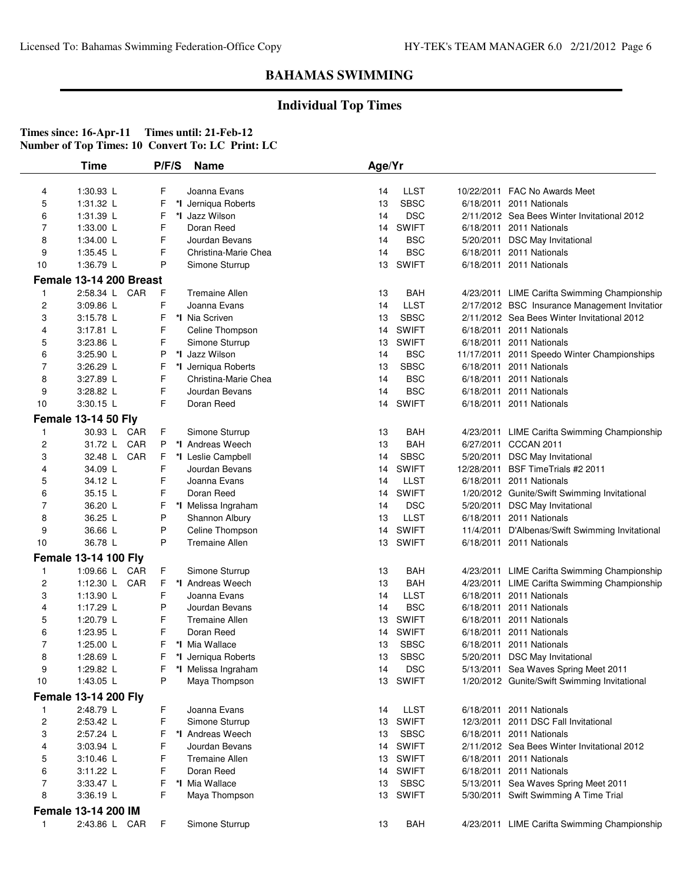## **Individual Top Times**

|                | <b>Time</b>                 | P/F/S |    | <b>Name</b>           | Age/Yr |              |                                                 |
|----------------|-----------------------------|-------|----|-----------------------|--------|--------------|-------------------------------------------------|
| 4              | 1:30.93 L                   | F     |    | Joanna Evans          | 14     | <b>LLST</b>  | 10/22/2011 FAC No Awards Meet                   |
| 5              | 1:31.32 L                   | F     | *l | Jerniqua Roberts      | 13     | <b>SBSC</b>  | 6/18/2011 2011 Nationals                        |
| 6              | 1:31.39 L                   | F     |    | *I Jazz Wilson        | 14     | <b>DSC</b>   | 2/11/2012 Sea Bees Winter Invitational 2012     |
| $\overline{7}$ | 1:33.00 L                   | F     |    | Doran Reed            | 14     | <b>SWIFT</b> | 6/18/2011 2011 Nationals                        |
| 8              | 1:34.00 L                   | F     |    | Jourdan Bevans        | 14     | <b>BSC</b>   | 5/20/2011 DSC May Invitational                  |
| 9              | 1:35.45 L                   | F     |    | Christina-Marie Chea  | 14     | <b>BSC</b>   | 6/18/2011 2011 Nationals                        |
| 10             | 1:36.79 L                   | P     |    | Simone Sturrup        | 13     | <b>SWIFT</b> | 6/18/2011 2011 Nationals                        |
|                |                             |       |    |                       |        |              |                                                 |
|                | Female 13-14 200 Breast     |       |    |                       |        |              |                                                 |
| 1              | 2:58.34 L CAR               | F     |    | <b>Tremaine Allen</b> | 13     | <b>BAH</b>   | 4/23/2011 LIME Carifta Swimming Championship    |
| 2              | 3:09.86 L                   | F     |    | Joanna Evans          | 14     | <b>LLST</b>  | 2/17/2012 BSC Insurance Management Invitatior   |
| 3              | 3:15.78 L                   | F     |    | *I Nia Scriven        | 13     | <b>SBSC</b>  | 2/11/2012 Sea Bees Winter Invitational 2012     |
| 4              | 3:17.81 L                   | F     |    | Celine Thompson       | 14     | <b>SWIFT</b> | 6/18/2011 2011 Nationals                        |
| 5              | 3:23.86 L                   | F     |    | Simone Sturrup        | 13     | <b>SWIFT</b> | 6/18/2011 2011 Nationals                        |
| 6              | 3:25.90 L                   | P     |    | *I Jazz Wilson        | 14     | <b>BSC</b>   | 11/17/2011 2011 Speedo Winter Championships     |
| $\overline{7}$ | $3:26.29$ L                 | F     |    | *I Jerniqua Roberts   | 13     | <b>SBSC</b>  | 6/18/2011 2011 Nationals                        |
| 8              | 3:27.89 L                   | F     |    | Christina-Marie Chea  | 14     | <b>BSC</b>   | 6/18/2011 2011 Nationals                        |
| 9              | 3:28.82 L                   | F     |    | Jourdan Bevans        | 14     | <b>BSC</b>   | 6/18/2011 2011 Nationals                        |
| 10             | 3:30.15 L                   | F     |    | Doran Reed            | 14     | <b>SWIFT</b> | 6/18/2011 2011 Nationals                        |
|                | <b>Female 13-14 50 Fly</b>  |       |    |                       |        |              |                                                 |
| 1              | 30.93 L CAR                 | F.    |    | Simone Sturrup        | 13     | <b>BAH</b>   | 4/23/2011 LIME Carifta Swimming Championship    |
| 2              | 31.72 L CAR                 | P     |    | *I Andreas Weech      | 13     | <b>BAH</b>   | 6/27/2011 CCCAN 2011                            |
| 3              | CAR<br>32.48 L              | F     |    | *I Leslie Campbell    | 14     | <b>SBSC</b>  | 5/20/2011 DSC May Invitational                  |
| 4              | 34.09 L                     | F     |    | Jourdan Bevans        | 14     | <b>SWIFT</b> | 12/28/2011 BSF Time Trials #2 2011              |
| 5              | 34.12 L                     | F     |    | Joanna Evans          | 14     | <b>LLST</b>  | 6/18/2011 2011 Nationals                        |
| 6              | 35.15 L                     | F     |    | Doran Reed            | 14     | <b>SWIFT</b> | 1/20/2012 Gunite/Swift Swimming Invitational    |
| $\overline{7}$ | 36.20 L                     | F     |    | *I Melissa Ingraham   | 14     | <b>DSC</b>   | 5/20/2011 DSC May Invitational                  |
| 8              | 36.25 L                     | P     |    | Shannon Albury        | 13     | <b>LLST</b>  | 6/18/2011 2011 Nationals                        |
| 9              | 36.66 L                     | P     |    | Celine Thompson       | 14     | <b>SWIFT</b> | 11/4/2011 D'Albenas/Swift Swimming Invitational |
| 10             | 36.78 L                     | P     |    | <b>Tremaine Allen</b> | 13     | <b>SWIFT</b> | 6/18/2011 2011 Nationals                        |
|                | <b>Female 13-14 100 Fly</b> |       |    |                       |        |              |                                                 |
| 1              | 1:09.66 L CAR               | F     |    | Simone Sturrup        | 13     | BAH          | 4/23/2011 LIME Carifta Swimming Championship    |
| $\overline{c}$ | 1:12.30 L CAR               | F     |    | *I Andreas Weech      | 13     | <b>BAH</b>   | 4/23/2011 LIME Carifta Swimming Championship    |
| 3              | 1:13.90 L                   | F     |    | Joanna Evans          | 14     | <b>LLST</b>  | 6/18/2011 2011 Nationals                        |
| 4              | 1:17.29 L                   | P     |    | Jourdan Bevans        | 14     | <b>BSC</b>   | 6/18/2011 2011 Nationals                        |
| 5              | 1:20.79 L                   | F     |    | <b>Tremaine Allen</b> | 13     | <b>SWIFT</b> | 6/18/2011 2011 Nationals                        |
| 6              | 1:23.95 L                   | F     |    | Doran Reed            | 14     | <b>SWIFT</b> | 6/18/2011 2011 Nationals                        |
| $\overline{7}$ | 1:25.00 L                   | F     |    | *I Mia Wallace        | 13     | <b>SBSC</b>  | 6/18/2011 2011 Nationals                        |
|                |                             |       |    |                       |        |              |                                                 |
| 8              | 1:28.69 L                   | F     |    | *I Jerniqua Roberts   | 13     | <b>SBSC</b>  | 5/20/2011 DSC May Invitational                  |
| 9              | 1:29.82 L<br>1:43.05 L      |       |    | *I Melissa Ingraham   | 14     | <b>DSC</b>   | 5/13/2011 Sea Waves Spring Meet 2011            |
| 10             |                             | P     |    | Maya Thompson         |        | 13 SWIFT     | 1/20/2012 Gunite/Swift Swimming Invitational    |
|                | <b>Female 13-14 200 Fly</b> |       |    |                       |        |              |                                                 |
| 1              | 2:48.79 L                   | F     |    | Joanna Evans          | 14     | <b>LLST</b>  | 6/18/2011 2011 Nationals                        |
| 2              | 2:53.42 L                   | F     |    | Simone Sturrup        | 13     | <b>SWIFT</b> | 12/3/2011 2011 DSC Fall Invitational            |
| 3              | 2:57.24 L                   | F     |    | *I Andreas Weech      | 13     | <b>SBSC</b>  | 6/18/2011 2011 Nationals                        |
| 4              | 3:03.94 L                   | F     |    | Jourdan Bevans        | 14     | <b>SWIFT</b> | 2/11/2012 Sea Bees Winter Invitational 2012     |
| 5              | 3:10.46 L                   | F     |    | <b>Tremaine Allen</b> | 13     | <b>SWIFT</b> | 6/18/2011 2011 Nationals                        |
| 6              | 3:11.22 L                   | F     |    | Doran Reed            | 14     | <b>SWIFT</b> | 6/18/2011 2011 Nationals                        |
| 7              | 3:33.47 L                   | F     |    | *I Mia Wallace        | 13     | SBSC         | 5/13/2011 Sea Waves Spring Meet 2011            |
| 8              | 3:36.19 L                   | F     |    | Maya Thompson         | 13     | <b>SWIFT</b> | 5/30/2011 Swift Swimming A Time Trial           |
|                | Female 13-14 200 IM         |       |    |                       |        |              |                                                 |
| 1              | 2:43.86 L CAR               | F     |    | Simone Sturrup        | 13     | <b>BAH</b>   | 4/23/2011 LIME Carifta Swimming Championship    |
|                |                             |       |    |                       |        |              |                                                 |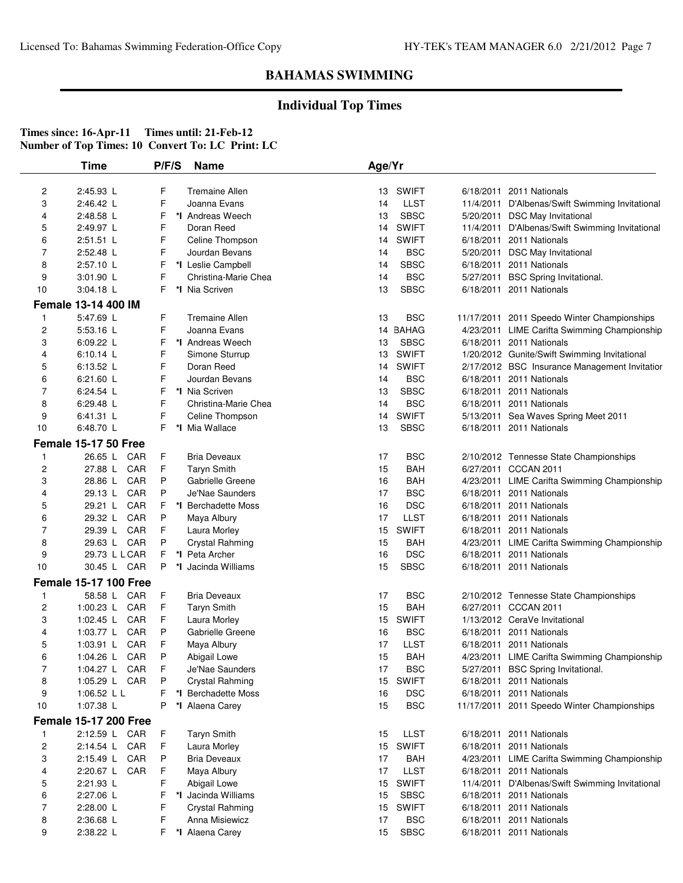## **Individual Top Times**

|                | <b>Time</b>                    | P/F/S  | <b>Name</b>                      | Age/Yr   |                    |                                                                |
|----------------|--------------------------------|--------|----------------------------------|----------|--------------------|----------------------------------------------------------------|
| 2              | 2:45.93 L                      | F      | <b>Tremaine Allen</b>            | 13       | <b>SWIFT</b>       | 6/18/2011 2011 Nationals                                       |
| 3              | 2:46.42 L                      | F      | Joanna Evans                     | 14       | <b>LLST</b>        | 11/4/2011 D'Albenas/Swift Swimming Invitational                |
| 4              | 2:48.58 L                      | F      | *I Andreas Weech                 | 13       | <b>SBSC</b>        | 5/20/2011 DSC May Invitational                                 |
| 5              | 2:49.97 L                      | F      | Doran Reed                       | 14       | <b>SWIFT</b>       | 11/4/2011 D'Albenas/Swift Swimming Invitational                |
| 6              | 2:51.51 L                      | F      | Celine Thompson                  | 14       | <b>SWIFT</b>       | 6/18/2011 2011 Nationals                                       |
| $\overline{7}$ | 2:52.48 L                      | F      | Jourdan Bevans                   | 14       | <b>BSC</b>         | 5/20/2011 DSC May Invitational                                 |
| 8              | 2:57.10 L                      | F      | *I Leslie Campbell               | 14       | <b>SBSC</b>        | 6/18/2011 2011 Nationals                                       |
| 9              | 3:01.90 L                      | F      | Christina-Marie Chea             | 14       | <b>BSC</b>         | 5/27/2011 BSC Spring Invitational.                             |
| 10             | 3:04.18 L                      | F      | *I Nia Scriven                   | 13       | <b>SBSC</b>        | 6/18/2011 2011 Nationals                                       |
|                | Female 13-14 400 IM            |        |                                  |          |                    |                                                                |
| $\mathbf{1}$   | 5:47.69 L                      | F      | <b>Tremaine Allen</b>            | 13       | <b>BSC</b>         | 11/17/2011 2011 Speedo Winter Championships                    |
| $\overline{c}$ | 5:53.16 L                      | F      | Joanna Evans                     |          | 14 BAHAG           | 4/23/2011 LIME Carifta Swimming Championship                   |
| 3              | $6:09.22$ L                    | F      | *I Andreas Weech                 | 13       | <b>SBSC</b>        | 6/18/2011 2011 Nationals                                       |
| 4              | $6:10.14$ L                    | F      | Simone Sturrup                   | 13       | <b>SWIFT</b>       | 1/20/2012 Gunite/Swift Swimming Invitational                   |
| 5              | 6:13.52 L                      | F      | Doran Reed                       | 14       | <b>SWIFT</b>       | 2/17/2012 BSC Insurance Management Invitatior                  |
| 6              | 6:21.60 L                      | F      | Jourdan Bevans                   | 14       | <b>BSC</b>         | 6/18/2011 2011 Nationals                                       |
| $\overline{7}$ | 6:24.54 L                      | F      | *I Nia Scriven                   | 13       | <b>SBSC</b>        | 6/18/2011 2011 Nationals                                       |
| 8              | 6:29.48 L                      | F      | Christina-Marie Chea             | 14       | <b>BSC</b>         | 6/18/2011 2011 Nationals                                       |
| 9              | $6:41.31$ L                    | F      | Celine Thompson                  | 14       | <b>SWIFT</b>       | 5/13/2011 Sea Waves Spring Meet 2011                           |
| 10             | 6:48.70 L                      | F      | *I Mia Wallace                   | 13       | <b>SBSC</b>        | 6/18/2011 2011 Nationals                                       |
|                | <b>Female 15-17 50 Free</b>    |        |                                  |          |                    |                                                                |
| -1             | 26.65 L CAR                    | F      | <b>Bria Deveaux</b>              | 17       | <b>BSC</b>         | 2/10/2012 Tennesse State Championships                         |
| $\overline{c}$ | 27.88 L CAR                    | F      | <b>Taryn Smith</b>               | 15       | <b>BAH</b>         | 6/27/2011 CCCAN 2011                                           |
| 3              | CAR<br>28.86 L                 | P      | Gabrielle Greene                 | 16       | <b>BAH</b>         | 4/23/2011 LIME Carifta Swimming Championship                   |
| 4              | CAR<br>29.13 L                 | P      | Je'Nae Saunders                  | 17       | <b>BSC</b>         | 6/18/2011 2011 Nationals                                       |
| 5              | CAR<br>29.21 L                 | F      | *I Berchadette Moss              | 16       | <b>DSC</b>         | 6/18/2011 2011 Nationals                                       |
| 6              | CAR<br>29.32 L                 | P      | Maya Albury                      | 17       | <b>LLST</b>        | 6/18/2011 2011 Nationals                                       |
| $\overline{7}$ | 29.39 L CAR                    | F      | Laura Morley                     | 15       | <b>SWIFT</b>       | 6/18/2011 2011 Nationals                                       |
| 8              | 29.63 L CAR                    | P      | Crystal Rahming                  | 15       | BAH                | 4/23/2011 LIME Carifta Swimming Championship                   |
| 9              | 29.73 L L CAR                  | F      | *I Peta Archer                   | 16       | <b>DSC</b>         | 6/18/2011 2011 Nationals                                       |
| 10             | 30.45 L CAR                    | P      | *I Jacinda Williams              | 15       | <b>SBSC</b>        | 6/18/2011 2011 Nationals                                       |
|                | <b>Female 15-17 100 Free</b>   |        |                                  |          |                    |                                                                |
| 1              | 58.58 L CAR                    | F      | <b>Bria Deveaux</b>              | 17<br>15 | <b>BSC</b>         | 2/10/2012 Tennesse State Championships<br>6/27/2011 CCCAN 2011 |
| 2              | 1:00.23 L CAR                  | F      | <b>Taryn Smith</b>               |          | <b>BAH</b>         |                                                                |
| 3              | 1:02.45 L CAR                  | F      | Laura Morley<br>Gabrielle Greene | 15       | <b>SWIFT</b>       | 1/13/2012 CeraVe Invitational                                  |
| 4<br>5         | 1:03.77 L CAR<br>1:03.91 L CAR | P<br>F | Maya Albury                      | 16<br>17 | <b>BSC</b><br>LLST | 6/18/2011 2011 Nationals<br>6/18/2011 2011 Nationals           |
| 6              | 1:04.26 L CAR                  | P      | Abigail Lowe                     | 15       | <b>BAH</b>         | 4/23/2011 LIME Carifta Swimming Championship                   |
| 7              | 1:04.27 L CAR                  | F      | Je'Nae Saunders                  | 17       | <b>BSC</b>         | 5/27/2011 BSC Spring Invitational.                             |
| 8              | 1:05.29 L CAR                  | P      | Crystal Rahming                  | 15       | <b>SWIFT</b>       | 6/18/2011 2011 Nationals                                       |
| 9              | 1:06.52 L L                    | F      | *I Berchadette Moss              | 16       | <b>DSC</b>         | 6/18/2011 2011 Nationals                                       |
| 10             | 1:07.38 L                      | P      | *I Alaena Carey                  | 15       | <b>BSC</b>         | 11/17/2011 2011 Speedo Winter Championships                    |
|                | <b>Female 15-17 200 Free</b>   |        |                                  |          |                    |                                                                |
| 1              | 2:12.59 L CAR                  | F      | <b>Taryn Smith</b>               | 15       | <b>LLST</b>        | 6/18/2011 2011 Nationals                                       |
| 2              | 2:14.54 L CAR                  | F      | Laura Morley                     | 15       | <b>SWIFT</b>       | 6/18/2011 2011 Nationals                                       |
| 3              | 2:15.49 L CAR                  | P      | <b>Bria Deveaux</b>              | 17       | <b>BAH</b>         | 4/23/2011 LIME Carifta Swimming Championship                   |
| 4              | 2:20.67 L CAR                  | F      | Maya Albury                      | 17       | <b>LLST</b>        | 6/18/2011 2011 Nationals                                       |
| 5              | 2:21.93 L                      | F      | Abigail Lowe                     | 15       | <b>SWIFT</b>       | 11/4/2011 D'Albenas/Swift Swimming Invitational                |
| 6              | 2:27.06 L                      | F      | *I Jacinda Williams              | 15       | SBSC               | 6/18/2011 2011 Nationals                                       |
| $\overline{7}$ | 2:28.00 L                      | F      | Crystal Rahming                  | 15       | <b>SWIFT</b>       | 6/18/2011 2011 Nationals                                       |
| 8              | 2:36.68 L                      | F      | Anna Misiewicz                   | 17       | <b>BSC</b>         | 6/18/2011 2011 Nationals                                       |
| 9              | 2:38.22 L                      | F.     | *I Alaena Carey                  | 15       | <b>SBSC</b>        | 6/18/2011 2011 Nationals                                       |
|                |                                |        |                                  |          |                    |                                                                |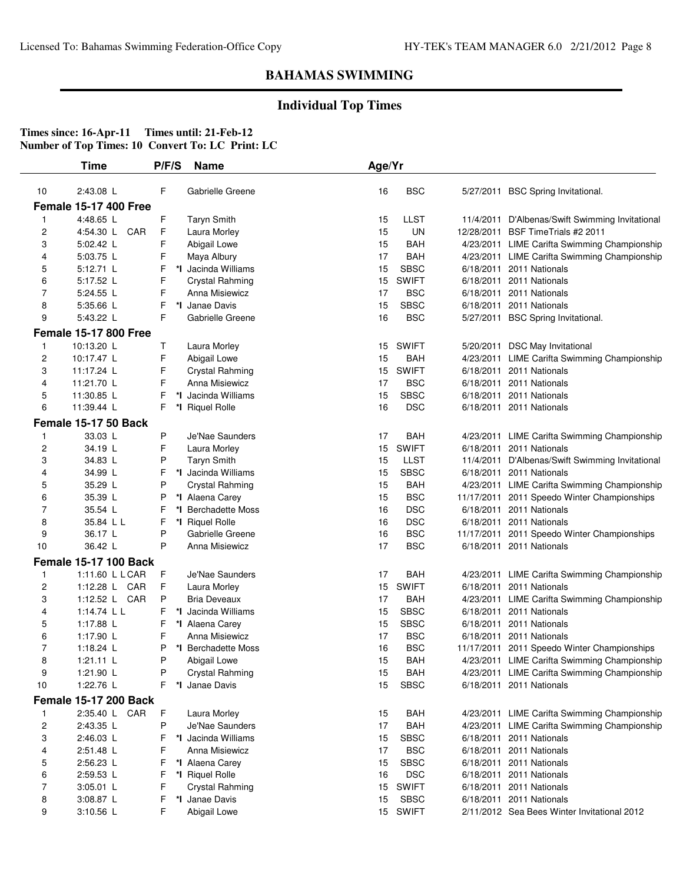## **Individual Top Times**

| F<br><b>BSC</b><br>10<br>2:43.08 L<br>Gabrielle Greene<br>16<br>5/27/2011 BSC Spring Invitational.<br><b>Female 15-17 400 Free</b><br>F<br>4:48.65 L<br><b>Taryn Smith</b><br><b>LLST</b><br>15<br>11/4/2011 D'Albenas/Swift Swimming Invitational<br>1<br>F<br><b>UN</b><br>12/28/2011 BSF Time Trials #2 2011<br>2<br>4:54.30 L<br>CAR<br>Laura Morley<br>15<br>3<br>5:02.42 L<br>F<br>15<br><b>BAH</b><br>Abigail Lowe<br>4/23/2011 LIME Carifta Swimming Championship<br>F<br>4<br>5:03.75 L<br>Maya Albury<br>17<br>BAH<br>4/23/2011 LIME Carifta Swimming Championship<br>F<br>*I Jacinda Williams<br><b>SBSC</b><br>5<br>5:12.71 L<br>15<br>6/18/2011 2011 Nationals<br><b>SWIFT</b><br>F<br>6<br>5:17.52 L<br>Crystal Rahming<br>15<br>6/18/2011 2011 Nationals<br>F<br>7<br><b>BSC</b><br>5:24.55 L<br>Anna Misiewicz<br>17<br>6/18/2011 2011 Nationals<br>8<br>F<br>*I Janae Davis<br><b>SBSC</b><br>5:35.66 L<br>15<br>6/18/2011 2011 Nationals<br>9<br>F<br>16<br><b>BSC</b><br>5:43.22 L<br>Gabrielle Greene<br>5/27/2011 BSC Spring Invitational.<br><b>Female 15-17 800 Free</b><br>10:13.20 L<br>Τ<br>Laura Morley<br>SWIFT<br>5/20/2011 DSC May Invitational<br>15<br>1<br>F<br>2<br><b>BAH</b><br>10:17.47 L<br>Abigail Lowe<br>15<br>4/23/2011 LIME Carifta Swimming Championship<br>F<br><b>SWIFT</b><br>3<br>11:17.24 L<br><b>Crystal Rahming</b><br>15<br>6/18/2011 2011 Nationals<br>F<br><b>BSC</b><br>4<br>11:21.70 L<br>Anna Misiewicz<br>17<br>6/18/2011 2011 Nationals<br>F<br><b>SBSC</b><br>5<br>11:30.85 L<br>*I Jacinda Williams<br>15<br>6/18/2011 2011 Nationals<br>F<br><b>DSC</b><br>6<br>11:39.44 L<br>*I Riquel Rolle<br>16<br>6/18/2011 2011 Nationals<br>Female 15-17 50 Back<br>P<br>33.03 L<br>Je'Nae Saunders<br>17<br>BAH<br>4/23/2011 LIME Carifta Swimming Championship<br>1<br>2<br>15<br><b>SWIFT</b><br>34.19 L<br>F<br>Laura Morley<br>6/18/2011 2011 Nationals<br>3<br>P<br><b>LLST</b><br>34.83 L<br><b>Taryn Smith</b><br>15<br>11/4/2011 D'Albenas/Swift Swimming Invitational<br>*I Jacinda Williams<br><b>SBSC</b><br>6/18/2011 2011 Nationals<br>4<br>34.99 L<br>F<br>15<br>P<br><b>BAH</b><br>5<br>35.29 L<br>Crystal Rahming<br>15<br>4/23/2011 LIME Carifta Swimming Championship<br>P<br><b>BSC</b><br>6<br>35.39 L<br>*I Alaena Carey<br>15<br>11/17/2011 2011 Speedo Winter Championships<br>7<br>*I Berchadette Moss<br><b>DSC</b><br>6/18/2011 2011 Nationals<br>35.54 L<br>F<br>16<br>8<br>16<br><b>DSC</b><br>35.84 L L<br>F<br>*I Riquel Rolle<br>6/18/2011 2011 Nationals<br>9<br>P<br><b>BSC</b><br>36.17 L<br>Gabrielle Greene<br>16<br>11/17/2011 2011 Speedo Winter Championships<br>36.42 L<br>P<br>17<br><b>BSC</b><br>10<br>Anna Misiewicz<br>6/18/2011 2011 Nationals<br><b>Female 15-17 100 Back</b><br>1:11.60 L L CAR<br>F<br>Je'Nae Saunders<br>17<br>BAH<br>4/23/2011 LIME Carifta Swimming Championship<br>$\mathbf{1}$<br>$\overline{\mathbf{c}}$<br>F<br><b>SWIFT</b><br>1:12.28 L CAR<br>Laura Morley<br>15<br>6/18/2011 2011 Nationals<br>P<br><b>BAH</b><br>3<br>1:12.52 L CAR<br><b>Bria Deveaux</b><br>17<br>4/23/2011 LIME Carifta Swimming Championship<br>4<br>1:14.74 $L L$<br>F<br>*I Jacinda Williams<br>15<br><b>SBSC</b><br>6/18/2011 2011 Nationals<br><b>SBSC</b><br>5<br>1:17.88 L<br>F<br>*I Alaena Carey<br>15<br>6/18/2011 2011 Nationals<br>6<br><b>BSC</b><br>1:17.90 L<br>F<br>Anna Misiewicz<br>17<br>6/18/2011 2011 Nationals<br>$\overline{7}$<br>1:18.24 $L$<br>P<br>*I Berchadette Moss<br>16<br><b>BSC</b><br>11/17/2011 2011 Speedo Winter Championships<br>15<br><b>BAH</b><br>4/23/2011 LIME Carifta Swimming Championship<br>8<br>1:21.11 L<br>P<br>Abigail Lowe<br>9<br>P<br><b>Crystal Rahming</b><br>15<br><b>BAH</b><br>4/23/2011 LIME Carifta Swimming Championship<br>1:21.90 L<br>1:22.76 L<br>F<br>*I Janae Davis<br>10<br>15<br><b>SBSC</b><br>6/18/2011 2011 Nationals<br><b>Female 15-17 200 Back</b><br>F<br>2:35.40 L CAR<br>Laura Morley<br><b>BAH</b><br>4/23/2011 LIME Carifta Swimming Championship<br>15<br>1<br>$\overline{\mathbf{c}}$<br>P<br>17<br><b>BAH</b><br>2:43.35 L<br>Je'Nae Saunders<br>4/23/2011 LIME Carifta Swimming Championship<br>3<br>2:46.03 L<br>F<br>*I Jacinda Williams<br>15<br><b>SBSC</b><br>6/18/2011 2011 Nationals<br>F<br><b>BSC</b><br>2:51.48 L<br>Anna Misiewicz<br>17<br>6/18/2011 2011 Nationals<br>4<br>15<br><b>SBSC</b><br>5<br>2:56.23 L<br>F<br>*I Alaena Carey<br>6/18/2011 2011 Nationals<br>6<br><b>DSC</b><br>2:59.53 L<br>F<br>*I Riquel Rolle<br>16<br>6/18/2011 2011 Nationals<br>7<br>F<br><b>SWIFT</b><br>6/18/2011 2011 Nationals<br>3:05.01 L<br>Crystal Rahming<br>15 | Time | P/F/S | <b>Name</b> | Age/Yr |
|-------------------------------------------------------------------------------------------------------------------------------------------------------------------------------------------------------------------------------------------------------------------------------------------------------------------------------------------------------------------------------------------------------------------------------------------------------------------------------------------------------------------------------------------------------------------------------------------------------------------------------------------------------------------------------------------------------------------------------------------------------------------------------------------------------------------------------------------------------------------------------------------------------------------------------------------------------------------------------------------------------------------------------------------------------------------------------------------------------------------------------------------------------------------------------------------------------------------------------------------------------------------------------------------------------------------------------------------------------------------------------------------------------------------------------------------------------------------------------------------------------------------------------------------------------------------------------------------------------------------------------------------------------------------------------------------------------------------------------------------------------------------------------------------------------------------------------------------------------------------------------------------------------------------------------------------------------------------------------------------------------------------------------------------------------------------------------------------------------------------------------------------------------------------------------------------------------------------------------------------------------------------------------------------------------------------------------------------------------------------------------------------------------------------------------------------------------------------------------------------------------------------------------------------------------------------------------------------------------------------------------------------------------------------------------------------------------------------------------------------------------------------------------------------------------------------------------------------------------------------------------------------------------------------------------------------------------------------------------------------------------------------------------------------------------------------------------------------------------------------------------------------------------------------------------------------------------------------------------------------------------------------------------------------------------------------------------------------------------------------------------------------------------------------------------------------------------------------------------------------------------------------------------------------------------------------------------------------------------------------------------------------------------------------------------------------------------------------------------------------------------------------------------------------------------------------------------------------------------------------------------------------------------------------------------------------------------------------------------------------------------------------------------------------------------------------------------------------------------------------------------------------------------------------------------------------------------------------------------------------------------------------------------------------------------------------------------------------------------------------------------------------------------------------------------------------------------------------------------------------------------------------------------------------------------------------------------------------------------------------------------------------------------------------|------|-------|-------------|--------|
|                                                                                                                                                                                                                                                                                                                                                                                                                                                                                                                                                                                                                                                                                                                                                                                                                                                                                                                                                                                                                                                                                                                                                                                                                                                                                                                                                                                                                                                                                                                                                                                                                                                                                                                                                                                                                                                                                                                                                                                                                                                                                                                                                                                                                                                                                                                                                                                                                                                                                                                                                                                                                                                                                                                                                                                                                                                                                                                                                                                                                                                                                                                                                                                                                                                                                                                                                                                                                                                                                                                                                                                                                                                                                                                                                                                                                                                                                                                                                                                                                                                                                                                                                                                                                                                                                                                                                                                                                                                                                                                                                                                                                                                                   |      |       |             |        |
|                                                                                                                                                                                                                                                                                                                                                                                                                                                                                                                                                                                                                                                                                                                                                                                                                                                                                                                                                                                                                                                                                                                                                                                                                                                                                                                                                                                                                                                                                                                                                                                                                                                                                                                                                                                                                                                                                                                                                                                                                                                                                                                                                                                                                                                                                                                                                                                                                                                                                                                                                                                                                                                                                                                                                                                                                                                                                                                                                                                                                                                                                                                                                                                                                                                                                                                                                                                                                                                                                                                                                                                                                                                                                                                                                                                                                                                                                                                                                                                                                                                                                                                                                                                                                                                                                                                                                                                                                                                                                                                                                                                                                                                                   |      |       |             |        |
|                                                                                                                                                                                                                                                                                                                                                                                                                                                                                                                                                                                                                                                                                                                                                                                                                                                                                                                                                                                                                                                                                                                                                                                                                                                                                                                                                                                                                                                                                                                                                                                                                                                                                                                                                                                                                                                                                                                                                                                                                                                                                                                                                                                                                                                                                                                                                                                                                                                                                                                                                                                                                                                                                                                                                                                                                                                                                                                                                                                                                                                                                                                                                                                                                                                                                                                                                                                                                                                                                                                                                                                                                                                                                                                                                                                                                                                                                                                                                                                                                                                                                                                                                                                                                                                                                                                                                                                                                                                                                                                                                                                                                                                                   |      |       |             |        |
|                                                                                                                                                                                                                                                                                                                                                                                                                                                                                                                                                                                                                                                                                                                                                                                                                                                                                                                                                                                                                                                                                                                                                                                                                                                                                                                                                                                                                                                                                                                                                                                                                                                                                                                                                                                                                                                                                                                                                                                                                                                                                                                                                                                                                                                                                                                                                                                                                                                                                                                                                                                                                                                                                                                                                                                                                                                                                                                                                                                                                                                                                                                                                                                                                                                                                                                                                                                                                                                                                                                                                                                                                                                                                                                                                                                                                                                                                                                                                                                                                                                                                                                                                                                                                                                                                                                                                                                                                                                                                                                                                                                                                                                                   |      |       |             |        |
|                                                                                                                                                                                                                                                                                                                                                                                                                                                                                                                                                                                                                                                                                                                                                                                                                                                                                                                                                                                                                                                                                                                                                                                                                                                                                                                                                                                                                                                                                                                                                                                                                                                                                                                                                                                                                                                                                                                                                                                                                                                                                                                                                                                                                                                                                                                                                                                                                                                                                                                                                                                                                                                                                                                                                                                                                                                                                                                                                                                                                                                                                                                                                                                                                                                                                                                                                                                                                                                                                                                                                                                                                                                                                                                                                                                                                                                                                                                                                                                                                                                                                                                                                                                                                                                                                                                                                                                                                                                                                                                                                                                                                                                                   |      |       |             |        |
|                                                                                                                                                                                                                                                                                                                                                                                                                                                                                                                                                                                                                                                                                                                                                                                                                                                                                                                                                                                                                                                                                                                                                                                                                                                                                                                                                                                                                                                                                                                                                                                                                                                                                                                                                                                                                                                                                                                                                                                                                                                                                                                                                                                                                                                                                                                                                                                                                                                                                                                                                                                                                                                                                                                                                                                                                                                                                                                                                                                                                                                                                                                                                                                                                                                                                                                                                                                                                                                                                                                                                                                                                                                                                                                                                                                                                                                                                                                                                                                                                                                                                                                                                                                                                                                                                                                                                                                                                                                                                                                                                                                                                                                                   |      |       |             |        |
|                                                                                                                                                                                                                                                                                                                                                                                                                                                                                                                                                                                                                                                                                                                                                                                                                                                                                                                                                                                                                                                                                                                                                                                                                                                                                                                                                                                                                                                                                                                                                                                                                                                                                                                                                                                                                                                                                                                                                                                                                                                                                                                                                                                                                                                                                                                                                                                                                                                                                                                                                                                                                                                                                                                                                                                                                                                                                                                                                                                                                                                                                                                                                                                                                                                                                                                                                                                                                                                                                                                                                                                                                                                                                                                                                                                                                                                                                                                                                                                                                                                                                                                                                                                                                                                                                                                                                                                                                                                                                                                                                                                                                                                                   |      |       |             |        |
|                                                                                                                                                                                                                                                                                                                                                                                                                                                                                                                                                                                                                                                                                                                                                                                                                                                                                                                                                                                                                                                                                                                                                                                                                                                                                                                                                                                                                                                                                                                                                                                                                                                                                                                                                                                                                                                                                                                                                                                                                                                                                                                                                                                                                                                                                                                                                                                                                                                                                                                                                                                                                                                                                                                                                                                                                                                                                                                                                                                                                                                                                                                                                                                                                                                                                                                                                                                                                                                                                                                                                                                                                                                                                                                                                                                                                                                                                                                                                                                                                                                                                                                                                                                                                                                                                                                                                                                                                                                                                                                                                                                                                                                                   |      |       |             |        |
|                                                                                                                                                                                                                                                                                                                                                                                                                                                                                                                                                                                                                                                                                                                                                                                                                                                                                                                                                                                                                                                                                                                                                                                                                                                                                                                                                                                                                                                                                                                                                                                                                                                                                                                                                                                                                                                                                                                                                                                                                                                                                                                                                                                                                                                                                                                                                                                                                                                                                                                                                                                                                                                                                                                                                                                                                                                                                                                                                                                                                                                                                                                                                                                                                                                                                                                                                                                                                                                                                                                                                                                                                                                                                                                                                                                                                                                                                                                                                                                                                                                                                                                                                                                                                                                                                                                                                                                                                                                                                                                                                                                                                                                                   |      |       |             |        |
|                                                                                                                                                                                                                                                                                                                                                                                                                                                                                                                                                                                                                                                                                                                                                                                                                                                                                                                                                                                                                                                                                                                                                                                                                                                                                                                                                                                                                                                                                                                                                                                                                                                                                                                                                                                                                                                                                                                                                                                                                                                                                                                                                                                                                                                                                                                                                                                                                                                                                                                                                                                                                                                                                                                                                                                                                                                                                                                                                                                                                                                                                                                                                                                                                                                                                                                                                                                                                                                                                                                                                                                                                                                                                                                                                                                                                                                                                                                                                                                                                                                                                                                                                                                                                                                                                                                                                                                                                                                                                                                                                                                                                                                                   |      |       |             |        |
|                                                                                                                                                                                                                                                                                                                                                                                                                                                                                                                                                                                                                                                                                                                                                                                                                                                                                                                                                                                                                                                                                                                                                                                                                                                                                                                                                                                                                                                                                                                                                                                                                                                                                                                                                                                                                                                                                                                                                                                                                                                                                                                                                                                                                                                                                                                                                                                                                                                                                                                                                                                                                                                                                                                                                                                                                                                                                                                                                                                                                                                                                                                                                                                                                                                                                                                                                                                                                                                                                                                                                                                                                                                                                                                                                                                                                                                                                                                                                                                                                                                                                                                                                                                                                                                                                                                                                                                                                                                                                                                                                                                                                                                                   |      |       |             |        |
|                                                                                                                                                                                                                                                                                                                                                                                                                                                                                                                                                                                                                                                                                                                                                                                                                                                                                                                                                                                                                                                                                                                                                                                                                                                                                                                                                                                                                                                                                                                                                                                                                                                                                                                                                                                                                                                                                                                                                                                                                                                                                                                                                                                                                                                                                                                                                                                                                                                                                                                                                                                                                                                                                                                                                                                                                                                                                                                                                                                                                                                                                                                                                                                                                                                                                                                                                                                                                                                                                                                                                                                                                                                                                                                                                                                                                                                                                                                                                                                                                                                                                                                                                                                                                                                                                                                                                                                                                                                                                                                                                                                                                                                                   |      |       |             |        |
|                                                                                                                                                                                                                                                                                                                                                                                                                                                                                                                                                                                                                                                                                                                                                                                                                                                                                                                                                                                                                                                                                                                                                                                                                                                                                                                                                                                                                                                                                                                                                                                                                                                                                                                                                                                                                                                                                                                                                                                                                                                                                                                                                                                                                                                                                                                                                                                                                                                                                                                                                                                                                                                                                                                                                                                                                                                                                                                                                                                                                                                                                                                                                                                                                                                                                                                                                                                                                                                                                                                                                                                                                                                                                                                                                                                                                                                                                                                                                                                                                                                                                                                                                                                                                                                                                                                                                                                                                                                                                                                                                                                                                                                                   |      |       |             |        |
|                                                                                                                                                                                                                                                                                                                                                                                                                                                                                                                                                                                                                                                                                                                                                                                                                                                                                                                                                                                                                                                                                                                                                                                                                                                                                                                                                                                                                                                                                                                                                                                                                                                                                                                                                                                                                                                                                                                                                                                                                                                                                                                                                                                                                                                                                                                                                                                                                                                                                                                                                                                                                                                                                                                                                                                                                                                                                                                                                                                                                                                                                                                                                                                                                                                                                                                                                                                                                                                                                                                                                                                                                                                                                                                                                                                                                                                                                                                                                                                                                                                                                                                                                                                                                                                                                                                                                                                                                                                                                                                                                                                                                                                                   |      |       |             |        |
|                                                                                                                                                                                                                                                                                                                                                                                                                                                                                                                                                                                                                                                                                                                                                                                                                                                                                                                                                                                                                                                                                                                                                                                                                                                                                                                                                                                                                                                                                                                                                                                                                                                                                                                                                                                                                                                                                                                                                                                                                                                                                                                                                                                                                                                                                                                                                                                                                                                                                                                                                                                                                                                                                                                                                                                                                                                                                                                                                                                                                                                                                                                                                                                                                                                                                                                                                                                                                                                                                                                                                                                                                                                                                                                                                                                                                                                                                                                                                                                                                                                                                                                                                                                                                                                                                                                                                                                                                                                                                                                                                                                                                                                                   |      |       |             |        |
|                                                                                                                                                                                                                                                                                                                                                                                                                                                                                                                                                                                                                                                                                                                                                                                                                                                                                                                                                                                                                                                                                                                                                                                                                                                                                                                                                                                                                                                                                                                                                                                                                                                                                                                                                                                                                                                                                                                                                                                                                                                                                                                                                                                                                                                                                                                                                                                                                                                                                                                                                                                                                                                                                                                                                                                                                                                                                                                                                                                                                                                                                                                                                                                                                                                                                                                                                                                                                                                                                                                                                                                                                                                                                                                                                                                                                                                                                                                                                                                                                                                                                                                                                                                                                                                                                                                                                                                                                                                                                                                                                                                                                                                                   |      |       |             |        |
|                                                                                                                                                                                                                                                                                                                                                                                                                                                                                                                                                                                                                                                                                                                                                                                                                                                                                                                                                                                                                                                                                                                                                                                                                                                                                                                                                                                                                                                                                                                                                                                                                                                                                                                                                                                                                                                                                                                                                                                                                                                                                                                                                                                                                                                                                                                                                                                                                                                                                                                                                                                                                                                                                                                                                                                                                                                                                                                                                                                                                                                                                                                                                                                                                                                                                                                                                                                                                                                                                                                                                                                                                                                                                                                                                                                                                                                                                                                                                                                                                                                                                                                                                                                                                                                                                                                                                                                                                                                                                                                                                                                                                                                                   |      |       |             |        |
|                                                                                                                                                                                                                                                                                                                                                                                                                                                                                                                                                                                                                                                                                                                                                                                                                                                                                                                                                                                                                                                                                                                                                                                                                                                                                                                                                                                                                                                                                                                                                                                                                                                                                                                                                                                                                                                                                                                                                                                                                                                                                                                                                                                                                                                                                                                                                                                                                                                                                                                                                                                                                                                                                                                                                                                                                                                                                                                                                                                                                                                                                                                                                                                                                                                                                                                                                                                                                                                                                                                                                                                                                                                                                                                                                                                                                                                                                                                                                                                                                                                                                                                                                                                                                                                                                                                                                                                                                                                                                                                                                                                                                                                                   |      |       |             |        |
|                                                                                                                                                                                                                                                                                                                                                                                                                                                                                                                                                                                                                                                                                                                                                                                                                                                                                                                                                                                                                                                                                                                                                                                                                                                                                                                                                                                                                                                                                                                                                                                                                                                                                                                                                                                                                                                                                                                                                                                                                                                                                                                                                                                                                                                                                                                                                                                                                                                                                                                                                                                                                                                                                                                                                                                                                                                                                                                                                                                                                                                                                                                                                                                                                                                                                                                                                                                                                                                                                                                                                                                                                                                                                                                                                                                                                                                                                                                                                                                                                                                                                                                                                                                                                                                                                                                                                                                                                                                                                                                                                                                                                                                                   |      |       |             |        |
|                                                                                                                                                                                                                                                                                                                                                                                                                                                                                                                                                                                                                                                                                                                                                                                                                                                                                                                                                                                                                                                                                                                                                                                                                                                                                                                                                                                                                                                                                                                                                                                                                                                                                                                                                                                                                                                                                                                                                                                                                                                                                                                                                                                                                                                                                                                                                                                                                                                                                                                                                                                                                                                                                                                                                                                                                                                                                                                                                                                                                                                                                                                                                                                                                                                                                                                                                                                                                                                                                                                                                                                                                                                                                                                                                                                                                                                                                                                                                                                                                                                                                                                                                                                                                                                                                                                                                                                                                                                                                                                                                                                                                                                                   |      |       |             |        |
|                                                                                                                                                                                                                                                                                                                                                                                                                                                                                                                                                                                                                                                                                                                                                                                                                                                                                                                                                                                                                                                                                                                                                                                                                                                                                                                                                                                                                                                                                                                                                                                                                                                                                                                                                                                                                                                                                                                                                                                                                                                                                                                                                                                                                                                                                                                                                                                                                                                                                                                                                                                                                                                                                                                                                                                                                                                                                                                                                                                                                                                                                                                                                                                                                                                                                                                                                                                                                                                                                                                                                                                                                                                                                                                                                                                                                                                                                                                                                                                                                                                                                                                                                                                                                                                                                                                                                                                                                                                                                                                                                                                                                                                                   |      |       |             |        |
|                                                                                                                                                                                                                                                                                                                                                                                                                                                                                                                                                                                                                                                                                                                                                                                                                                                                                                                                                                                                                                                                                                                                                                                                                                                                                                                                                                                                                                                                                                                                                                                                                                                                                                                                                                                                                                                                                                                                                                                                                                                                                                                                                                                                                                                                                                                                                                                                                                                                                                                                                                                                                                                                                                                                                                                                                                                                                                                                                                                                                                                                                                                                                                                                                                                                                                                                                                                                                                                                                                                                                                                                                                                                                                                                                                                                                                                                                                                                                                                                                                                                                                                                                                                                                                                                                                                                                                                                                                                                                                                                                                                                                                                                   |      |       |             |        |
|                                                                                                                                                                                                                                                                                                                                                                                                                                                                                                                                                                                                                                                                                                                                                                                                                                                                                                                                                                                                                                                                                                                                                                                                                                                                                                                                                                                                                                                                                                                                                                                                                                                                                                                                                                                                                                                                                                                                                                                                                                                                                                                                                                                                                                                                                                                                                                                                                                                                                                                                                                                                                                                                                                                                                                                                                                                                                                                                                                                                                                                                                                                                                                                                                                                                                                                                                                                                                                                                                                                                                                                                                                                                                                                                                                                                                                                                                                                                                                                                                                                                                                                                                                                                                                                                                                                                                                                                                                                                                                                                                                                                                                                                   |      |       |             |        |
|                                                                                                                                                                                                                                                                                                                                                                                                                                                                                                                                                                                                                                                                                                                                                                                                                                                                                                                                                                                                                                                                                                                                                                                                                                                                                                                                                                                                                                                                                                                                                                                                                                                                                                                                                                                                                                                                                                                                                                                                                                                                                                                                                                                                                                                                                                                                                                                                                                                                                                                                                                                                                                                                                                                                                                                                                                                                                                                                                                                                                                                                                                                                                                                                                                                                                                                                                                                                                                                                                                                                                                                                                                                                                                                                                                                                                                                                                                                                                                                                                                                                                                                                                                                                                                                                                                                                                                                                                                                                                                                                                                                                                                                                   |      |       |             |        |
|                                                                                                                                                                                                                                                                                                                                                                                                                                                                                                                                                                                                                                                                                                                                                                                                                                                                                                                                                                                                                                                                                                                                                                                                                                                                                                                                                                                                                                                                                                                                                                                                                                                                                                                                                                                                                                                                                                                                                                                                                                                                                                                                                                                                                                                                                                                                                                                                                                                                                                                                                                                                                                                                                                                                                                                                                                                                                                                                                                                                                                                                                                                                                                                                                                                                                                                                                                                                                                                                                                                                                                                                                                                                                                                                                                                                                                                                                                                                                                                                                                                                                                                                                                                                                                                                                                                                                                                                                                                                                                                                                                                                                                                                   |      |       |             |        |
|                                                                                                                                                                                                                                                                                                                                                                                                                                                                                                                                                                                                                                                                                                                                                                                                                                                                                                                                                                                                                                                                                                                                                                                                                                                                                                                                                                                                                                                                                                                                                                                                                                                                                                                                                                                                                                                                                                                                                                                                                                                                                                                                                                                                                                                                                                                                                                                                                                                                                                                                                                                                                                                                                                                                                                                                                                                                                                                                                                                                                                                                                                                                                                                                                                                                                                                                                                                                                                                                                                                                                                                                                                                                                                                                                                                                                                                                                                                                                                                                                                                                                                                                                                                                                                                                                                                                                                                                                                                                                                                                                                                                                                                                   |      |       |             |        |
|                                                                                                                                                                                                                                                                                                                                                                                                                                                                                                                                                                                                                                                                                                                                                                                                                                                                                                                                                                                                                                                                                                                                                                                                                                                                                                                                                                                                                                                                                                                                                                                                                                                                                                                                                                                                                                                                                                                                                                                                                                                                                                                                                                                                                                                                                                                                                                                                                                                                                                                                                                                                                                                                                                                                                                                                                                                                                                                                                                                                                                                                                                                                                                                                                                                                                                                                                                                                                                                                                                                                                                                                                                                                                                                                                                                                                                                                                                                                                                                                                                                                                                                                                                                                                                                                                                                                                                                                                                                                                                                                                                                                                                                                   |      |       |             |        |
|                                                                                                                                                                                                                                                                                                                                                                                                                                                                                                                                                                                                                                                                                                                                                                                                                                                                                                                                                                                                                                                                                                                                                                                                                                                                                                                                                                                                                                                                                                                                                                                                                                                                                                                                                                                                                                                                                                                                                                                                                                                                                                                                                                                                                                                                                                                                                                                                                                                                                                                                                                                                                                                                                                                                                                                                                                                                                                                                                                                                                                                                                                                                                                                                                                                                                                                                                                                                                                                                                                                                                                                                                                                                                                                                                                                                                                                                                                                                                                                                                                                                                                                                                                                                                                                                                                                                                                                                                                                                                                                                                                                                                                                                   |      |       |             |        |
|                                                                                                                                                                                                                                                                                                                                                                                                                                                                                                                                                                                                                                                                                                                                                                                                                                                                                                                                                                                                                                                                                                                                                                                                                                                                                                                                                                                                                                                                                                                                                                                                                                                                                                                                                                                                                                                                                                                                                                                                                                                                                                                                                                                                                                                                                                                                                                                                                                                                                                                                                                                                                                                                                                                                                                                                                                                                                                                                                                                                                                                                                                                                                                                                                                                                                                                                                                                                                                                                                                                                                                                                                                                                                                                                                                                                                                                                                                                                                                                                                                                                                                                                                                                                                                                                                                                                                                                                                                                                                                                                                                                                                                                                   |      |       |             |        |
|                                                                                                                                                                                                                                                                                                                                                                                                                                                                                                                                                                                                                                                                                                                                                                                                                                                                                                                                                                                                                                                                                                                                                                                                                                                                                                                                                                                                                                                                                                                                                                                                                                                                                                                                                                                                                                                                                                                                                                                                                                                                                                                                                                                                                                                                                                                                                                                                                                                                                                                                                                                                                                                                                                                                                                                                                                                                                                                                                                                                                                                                                                                                                                                                                                                                                                                                                                                                                                                                                                                                                                                                                                                                                                                                                                                                                                                                                                                                                                                                                                                                                                                                                                                                                                                                                                                                                                                                                                                                                                                                                                                                                                                                   |      |       |             |        |
|                                                                                                                                                                                                                                                                                                                                                                                                                                                                                                                                                                                                                                                                                                                                                                                                                                                                                                                                                                                                                                                                                                                                                                                                                                                                                                                                                                                                                                                                                                                                                                                                                                                                                                                                                                                                                                                                                                                                                                                                                                                                                                                                                                                                                                                                                                                                                                                                                                                                                                                                                                                                                                                                                                                                                                                                                                                                                                                                                                                                                                                                                                                                                                                                                                                                                                                                                                                                                                                                                                                                                                                                                                                                                                                                                                                                                                                                                                                                                                                                                                                                                                                                                                                                                                                                                                                                                                                                                                                                                                                                                                                                                                                                   |      |       |             |        |
|                                                                                                                                                                                                                                                                                                                                                                                                                                                                                                                                                                                                                                                                                                                                                                                                                                                                                                                                                                                                                                                                                                                                                                                                                                                                                                                                                                                                                                                                                                                                                                                                                                                                                                                                                                                                                                                                                                                                                                                                                                                                                                                                                                                                                                                                                                                                                                                                                                                                                                                                                                                                                                                                                                                                                                                                                                                                                                                                                                                                                                                                                                                                                                                                                                                                                                                                                                                                                                                                                                                                                                                                                                                                                                                                                                                                                                                                                                                                                                                                                                                                                                                                                                                                                                                                                                                                                                                                                                                                                                                                                                                                                                                                   |      |       |             |        |
|                                                                                                                                                                                                                                                                                                                                                                                                                                                                                                                                                                                                                                                                                                                                                                                                                                                                                                                                                                                                                                                                                                                                                                                                                                                                                                                                                                                                                                                                                                                                                                                                                                                                                                                                                                                                                                                                                                                                                                                                                                                                                                                                                                                                                                                                                                                                                                                                                                                                                                                                                                                                                                                                                                                                                                                                                                                                                                                                                                                                                                                                                                                                                                                                                                                                                                                                                                                                                                                                                                                                                                                                                                                                                                                                                                                                                                                                                                                                                                                                                                                                                                                                                                                                                                                                                                                                                                                                                                                                                                                                                                                                                                                                   |      |       |             |        |
|                                                                                                                                                                                                                                                                                                                                                                                                                                                                                                                                                                                                                                                                                                                                                                                                                                                                                                                                                                                                                                                                                                                                                                                                                                                                                                                                                                                                                                                                                                                                                                                                                                                                                                                                                                                                                                                                                                                                                                                                                                                                                                                                                                                                                                                                                                                                                                                                                                                                                                                                                                                                                                                                                                                                                                                                                                                                                                                                                                                                                                                                                                                                                                                                                                                                                                                                                                                                                                                                                                                                                                                                                                                                                                                                                                                                                                                                                                                                                                                                                                                                                                                                                                                                                                                                                                                                                                                                                                                                                                                                                                                                                                                                   |      |       |             |        |
|                                                                                                                                                                                                                                                                                                                                                                                                                                                                                                                                                                                                                                                                                                                                                                                                                                                                                                                                                                                                                                                                                                                                                                                                                                                                                                                                                                                                                                                                                                                                                                                                                                                                                                                                                                                                                                                                                                                                                                                                                                                                                                                                                                                                                                                                                                                                                                                                                                                                                                                                                                                                                                                                                                                                                                                                                                                                                                                                                                                                                                                                                                                                                                                                                                                                                                                                                                                                                                                                                                                                                                                                                                                                                                                                                                                                                                                                                                                                                                                                                                                                                                                                                                                                                                                                                                                                                                                                                                                                                                                                                                                                                                                                   |      |       |             |        |
|                                                                                                                                                                                                                                                                                                                                                                                                                                                                                                                                                                                                                                                                                                                                                                                                                                                                                                                                                                                                                                                                                                                                                                                                                                                                                                                                                                                                                                                                                                                                                                                                                                                                                                                                                                                                                                                                                                                                                                                                                                                                                                                                                                                                                                                                                                                                                                                                                                                                                                                                                                                                                                                                                                                                                                                                                                                                                                                                                                                                                                                                                                                                                                                                                                                                                                                                                                                                                                                                                                                                                                                                                                                                                                                                                                                                                                                                                                                                                                                                                                                                                                                                                                                                                                                                                                                                                                                                                                                                                                                                                                                                                                                                   |      |       |             |        |
|                                                                                                                                                                                                                                                                                                                                                                                                                                                                                                                                                                                                                                                                                                                                                                                                                                                                                                                                                                                                                                                                                                                                                                                                                                                                                                                                                                                                                                                                                                                                                                                                                                                                                                                                                                                                                                                                                                                                                                                                                                                                                                                                                                                                                                                                                                                                                                                                                                                                                                                                                                                                                                                                                                                                                                                                                                                                                                                                                                                                                                                                                                                                                                                                                                                                                                                                                                                                                                                                                                                                                                                                                                                                                                                                                                                                                                                                                                                                                                                                                                                                                                                                                                                                                                                                                                                                                                                                                                                                                                                                                                                                                                                                   |      |       |             |        |
|                                                                                                                                                                                                                                                                                                                                                                                                                                                                                                                                                                                                                                                                                                                                                                                                                                                                                                                                                                                                                                                                                                                                                                                                                                                                                                                                                                                                                                                                                                                                                                                                                                                                                                                                                                                                                                                                                                                                                                                                                                                                                                                                                                                                                                                                                                                                                                                                                                                                                                                                                                                                                                                                                                                                                                                                                                                                                                                                                                                                                                                                                                                                                                                                                                                                                                                                                                                                                                                                                                                                                                                                                                                                                                                                                                                                                                                                                                                                                                                                                                                                                                                                                                                                                                                                                                                                                                                                                                                                                                                                                                                                                                                                   |      |       |             |        |
|                                                                                                                                                                                                                                                                                                                                                                                                                                                                                                                                                                                                                                                                                                                                                                                                                                                                                                                                                                                                                                                                                                                                                                                                                                                                                                                                                                                                                                                                                                                                                                                                                                                                                                                                                                                                                                                                                                                                                                                                                                                                                                                                                                                                                                                                                                                                                                                                                                                                                                                                                                                                                                                                                                                                                                                                                                                                                                                                                                                                                                                                                                                                                                                                                                                                                                                                                                                                                                                                                                                                                                                                                                                                                                                                                                                                                                                                                                                                                                                                                                                                                                                                                                                                                                                                                                                                                                                                                                                                                                                                                                                                                                                                   |      |       |             |        |
|                                                                                                                                                                                                                                                                                                                                                                                                                                                                                                                                                                                                                                                                                                                                                                                                                                                                                                                                                                                                                                                                                                                                                                                                                                                                                                                                                                                                                                                                                                                                                                                                                                                                                                                                                                                                                                                                                                                                                                                                                                                                                                                                                                                                                                                                                                                                                                                                                                                                                                                                                                                                                                                                                                                                                                                                                                                                                                                                                                                                                                                                                                                                                                                                                                                                                                                                                                                                                                                                                                                                                                                                                                                                                                                                                                                                                                                                                                                                                                                                                                                                                                                                                                                                                                                                                                                                                                                                                                                                                                                                                                                                                                                                   |      |       |             |        |
|                                                                                                                                                                                                                                                                                                                                                                                                                                                                                                                                                                                                                                                                                                                                                                                                                                                                                                                                                                                                                                                                                                                                                                                                                                                                                                                                                                                                                                                                                                                                                                                                                                                                                                                                                                                                                                                                                                                                                                                                                                                                                                                                                                                                                                                                                                                                                                                                                                                                                                                                                                                                                                                                                                                                                                                                                                                                                                                                                                                                                                                                                                                                                                                                                                                                                                                                                                                                                                                                                                                                                                                                                                                                                                                                                                                                                                                                                                                                                                                                                                                                                                                                                                                                                                                                                                                                                                                                                                                                                                                                                                                                                                                                   |      |       |             |        |
|                                                                                                                                                                                                                                                                                                                                                                                                                                                                                                                                                                                                                                                                                                                                                                                                                                                                                                                                                                                                                                                                                                                                                                                                                                                                                                                                                                                                                                                                                                                                                                                                                                                                                                                                                                                                                                                                                                                                                                                                                                                                                                                                                                                                                                                                                                                                                                                                                                                                                                                                                                                                                                                                                                                                                                                                                                                                                                                                                                                                                                                                                                                                                                                                                                                                                                                                                                                                                                                                                                                                                                                                                                                                                                                                                                                                                                                                                                                                                                                                                                                                                                                                                                                                                                                                                                                                                                                                                                                                                                                                                                                                                                                                   |      |       |             |        |
|                                                                                                                                                                                                                                                                                                                                                                                                                                                                                                                                                                                                                                                                                                                                                                                                                                                                                                                                                                                                                                                                                                                                                                                                                                                                                                                                                                                                                                                                                                                                                                                                                                                                                                                                                                                                                                                                                                                                                                                                                                                                                                                                                                                                                                                                                                                                                                                                                                                                                                                                                                                                                                                                                                                                                                                                                                                                                                                                                                                                                                                                                                                                                                                                                                                                                                                                                                                                                                                                                                                                                                                                                                                                                                                                                                                                                                                                                                                                                                                                                                                                                                                                                                                                                                                                                                                                                                                                                                                                                                                                                                                                                                                                   |      |       |             |        |
|                                                                                                                                                                                                                                                                                                                                                                                                                                                                                                                                                                                                                                                                                                                                                                                                                                                                                                                                                                                                                                                                                                                                                                                                                                                                                                                                                                                                                                                                                                                                                                                                                                                                                                                                                                                                                                                                                                                                                                                                                                                                                                                                                                                                                                                                                                                                                                                                                                                                                                                                                                                                                                                                                                                                                                                                                                                                                                                                                                                                                                                                                                                                                                                                                                                                                                                                                                                                                                                                                                                                                                                                                                                                                                                                                                                                                                                                                                                                                                                                                                                                                                                                                                                                                                                                                                                                                                                                                                                                                                                                                                                                                                                                   |      |       |             |        |
|                                                                                                                                                                                                                                                                                                                                                                                                                                                                                                                                                                                                                                                                                                                                                                                                                                                                                                                                                                                                                                                                                                                                                                                                                                                                                                                                                                                                                                                                                                                                                                                                                                                                                                                                                                                                                                                                                                                                                                                                                                                                                                                                                                                                                                                                                                                                                                                                                                                                                                                                                                                                                                                                                                                                                                                                                                                                                                                                                                                                                                                                                                                                                                                                                                                                                                                                                                                                                                                                                                                                                                                                                                                                                                                                                                                                                                                                                                                                                                                                                                                                                                                                                                                                                                                                                                                                                                                                                                                                                                                                                                                                                                                                   |      |       |             |        |
|                                                                                                                                                                                                                                                                                                                                                                                                                                                                                                                                                                                                                                                                                                                                                                                                                                                                                                                                                                                                                                                                                                                                                                                                                                                                                                                                                                                                                                                                                                                                                                                                                                                                                                                                                                                                                                                                                                                                                                                                                                                                                                                                                                                                                                                                                                                                                                                                                                                                                                                                                                                                                                                                                                                                                                                                                                                                                                                                                                                                                                                                                                                                                                                                                                                                                                                                                                                                                                                                                                                                                                                                                                                                                                                                                                                                                                                                                                                                                                                                                                                                                                                                                                                                                                                                                                                                                                                                                                                                                                                                                                                                                                                                   |      |       |             |        |
|                                                                                                                                                                                                                                                                                                                                                                                                                                                                                                                                                                                                                                                                                                                                                                                                                                                                                                                                                                                                                                                                                                                                                                                                                                                                                                                                                                                                                                                                                                                                                                                                                                                                                                                                                                                                                                                                                                                                                                                                                                                                                                                                                                                                                                                                                                                                                                                                                                                                                                                                                                                                                                                                                                                                                                                                                                                                                                                                                                                                                                                                                                                                                                                                                                                                                                                                                                                                                                                                                                                                                                                                                                                                                                                                                                                                                                                                                                                                                                                                                                                                                                                                                                                                                                                                                                                                                                                                                                                                                                                                                                                                                                                                   |      |       |             |        |
|                                                                                                                                                                                                                                                                                                                                                                                                                                                                                                                                                                                                                                                                                                                                                                                                                                                                                                                                                                                                                                                                                                                                                                                                                                                                                                                                                                                                                                                                                                                                                                                                                                                                                                                                                                                                                                                                                                                                                                                                                                                                                                                                                                                                                                                                                                                                                                                                                                                                                                                                                                                                                                                                                                                                                                                                                                                                                                                                                                                                                                                                                                                                                                                                                                                                                                                                                                                                                                                                                                                                                                                                                                                                                                                                                                                                                                                                                                                                                                                                                                                                                                                                                                                                                                                                                                                                                                                                                                                                                                                                                                                                                                                                   |      |       |             |        |
|                                                                                                                                                                                                                                                                                                                                                                                                                                                                                                                                                                                                                                                                                                                                                                                                                                                                                                                                                                                                                                                                                                                                                                                                                                                                                                                                                                                                                                                                                                                                                                                                                                                                                                                                                                                                                                                                                                                                                                                                                                                                                                                                                                                                                                                                                                                                                                                                                                                                                                                                                                                                                                                                                                                                                                                                                                                                                                                                                                                                                                                                                                                                                                                                                                                                                                                                                                                                                                                                                                                                                                                                                                                                                                                                                                                                                                                                                                                                                                                                                                                                                                                                                                                                                                                                                                                                                                                                                                                                                                                                                                                                                                                                   |      |       |             |        |
| *I Janae Davis<br><b>SBSC</b><br>6/18/2011 2011 Nationals<br>8<br>3:08.87 L<br>F<br>15                                                                                                                                                                                                                                                                                                                                                                                                                                                                                                                                                                                                                                                                                                                                                                                                                                                                                                                                                                                                                                                                                                                                                                                                                                                                                                                                                                                                                                                                                                                                                                                                                                                                                                                                                                                                                                                                                                                                                                                                                                                                                                                                                                                                                                                                                                                                                                                                                                                                                                                                                                                                                                                                                                                                                                                                                                                                                                                                                                                                                                                                                                                                                                                                                                                                                                                                                                                                                                                                                                                                                                                                                                                                                                                                                                                                                                                                                                                                                                                                                                                                                                                                                                                                                                                                                                                                                                                                                                                                                                                                                                            |      |       |             |        |
| F<br>9<br>Abigail Lowe<br>15<br><b>SWIFT</b><br>2/11/2012 Sea Bees Winter Invitational 2012<br>3:10.56 L                                                                                                                                                                                                                                                                                                                                                                                                                                                                                                                                                                                                                                                                                                                                                                                                                                                                                                                                                                                                                                                                                                                                                                                                                                                                                                                                                                                                                                                                                                                                                                                                                                                                                                                                                                                                                                                                                                                                                                                                                                                                                                                                                                                                                                                                                                                                                                                                                                                                                                                                                                                                                                                                                                                                                                                                                                                                                                                                                                                                                                                                                                                                                                                                                                                                                                                                                                                                                                                                                                                                                                                                                                                                                                                                                                                                                                                                                                                                                                                                                                                                                                                                                                                                                                                                                                                                                                                                                                                                                                                                                          |      |       |             |        |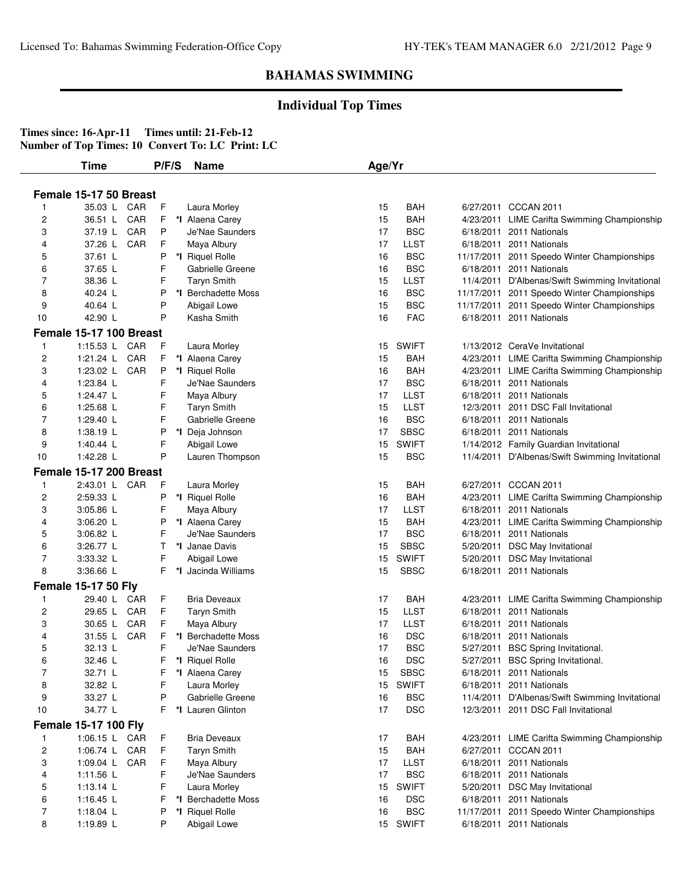## **Individual Top Times**

|                | Time                        | P/F/S | <b>Name</b>         | Age/Yr |              |                                                 |
|----------------|-----------------------------|-------|---------------------|--------|--------------|-------------------------------------------------|
|                |                             |       |                     |        |              |                                                 |
|                | Female 15-17 50 Breast      |       |                     |        |              |                                                 |
|                | 35.03 L CAR                 | F     | Laura Morley        | 15     | BAH          | 6/27/2011 CCCAN 2011                            |
| $\overline{c}$ | 36.51 L<br>CAR              | F     | *I Alaena Carey     | 15     | BAH          | 4/23/2011 LIME Carifta Swimming Championship    |
| 3              | CAR<br>37.19 L              | P     | Je'Nae Saunders     | 17     | <b>BSC</b>   | 6/18/2011 2011 Nationals                        |
| 4              | CAR<br>37.26 L              | F     | Maya Albury         | 17     | <b>LLST</b>  | 6/18/2011 2011 Nationals                        |
| 5              | 37.61 L                     | P     | *I Riquel Rolle     | 16     | <b>BSC</b>   | 11/17/2011 2011 Speedo Winter Championships     |
| 6              | 37.65 L                     | F     | Gabrielle Greene    | 16     | <b>BSC</b>   | 6/18/2011 2011 Nationals                        |
| 7              | 38.36 L                     | F     | <b>Taryn Smith</b>  | 15     | <b>LLST</b>  | 11/4/2011 D'Albenas/Swift Swimming Invitational |
| 8              | 40.24 L                     | P     | *I Berchadette Moss | 16     | <b>BSC</b>   | 11/17/2011 2011 Speedo Winter Championships     |
| 9              | 40.64 L                     | P     | Abigail Lowe        | 15     | <b>BSC</b>   | 11/17/2011 2011 Speedo Winter Championships     |
| 10             | 42.90 L                     | P     | Kasha Smith         | 16     | <b>FAC</b>   | 6/18/2011 2011 Nationals                        |
|                | Female 15-17 100 Breast     |       |                     |        |              |                                                 |
| 1              | 1:15.53 L CAR               | F     | Laura Morley        | 15     | SWIFT        | 1/13/2012 CeraVe Invitational                   |
| $\overline{c}$ | CAR<br>1:21.24 L            | F     | *I Alaena Carey     | 15     | <b>BAH</b>   | 4/23/2011 LIME Carifta Swimming Championship    |
| 3              | 1:23.02 L<br>CAR            | P     | *I Riquel Rolle     | 16     | <b>BAH</b>   | 4/23/2011 LIME Carifta Swimming Championship    |
| 4              | 1:23.84 L                   | F     | Je'Nae Saunders     | 17     | <b>BSC</b>   | 6/18/2011 2011 Nationals                        |
| 5              | 1:24.47 L                   | F     | Maya Albury         | 17     | <b>LLST</b>  | 6/18/2011 2011 Nationals                        |
| 6              | 1:25.68 L                   | F     | <b>Taryn Smith</b>  | 15     | <b>LLST</b>  | 12/3/2011 2011 DSC Fall Invitational            |
| 7              | 1:29.40 L                   | F     | Gabrielle Greene    | 16     | <b>BSC</b>   | 6/18/2011 2011 Nationals                        |
| 8              | 1:38.19 $L$                 | Ρ     | *I Deja Johnson     | 17     | <b>SBSC</b>  | 6/18/2011 2011 Nationals                        |
| 9              | 1:40.44 $\lfloor$           | F     | Abigail Lowe        | 15     | <b>SWIFT</b> | 1/14/2012 Family Guardian Invitational          |
| 10             | 1:42.28 L                   | P     | Lauren Thompson     | 15     | <b>BSC</b>   | 11/4/2011 D'Albenas/Swift Swimming Invitational |
|                | Female 15-17 200 Breast     |       |                     |        |              |                                                 |
| 1              | 2:43.01 L CAR               | F     | Laura Morley        | 15     | BAH          | 6/27/2011 CCCAN 2011                            |
| $\overline{c}$ | 2:59.33 L                   | P     | *I Riquel Rolle     | 16     | <b>BAH</b>   | 4/23/2011 LIME Carifta Swimming Championship    |
| 3              | 3:05.86 L                   | F     | Maya Albury         | 17     | LLST         | 6/18/2011 2011 Nationals                        |
| 4              | 3:06.20 L                   | P     | *I Alaena Carey     | 15     | BAH          | 4/23/2011 LIME Carifta Swimming Championship    |
| 5              | 3:06.82 L                   | F     | Je'Nae Saunders     | 17     | <b>BSC</b>   | 6/18/2011 2011 Nationals                        |
| 6              | 3:26.77 L                   | т     | *I Janae Davis      | 15     | <b>SBSC</b>  | 5/20/2011 DSC May Invitational                  |
| 7              | 3:33.32 L                   | F     | Abigail Lowe        | 15     | <b>SWIFT</b> | 5/20/2011 DSC May Invitational                  |
| 8              | 3:36.66 L                   | F     | *I Jacinda Williams | 15     | <b>SBSC</b>  | 6/18/2011 2011 Nationals                        |
|                | <b>Female 15-17 50 Fly</b>  |       |                     |        |              |                                                 |
| 1              | CAR<br>29.40 L              | F     | <b>Bria Deveaux</b> | 17     | BAH          | 4/23/2011 LIME Carifta Swimming Championship    |
| $\overline{c}$ | CAR<br>29.65 L              | F     | <b>Taryn Smith</b>  | 15     | <b>LLST</b>  | 6/18/2011 2011 Nationals                        |
| 3              | 30.65 L<br>CAR              | F     | Maya Albury         | 17     | LLST         | 6/18/2011 2011 Nationals                        |
| 4              | 31.55 L<br>CAR              | F     | *I Berchadette Moss | 16     | <b>DSC</b>   | 6/18/2011 2011 Nationals                        |
| 5              | 32.13 L                     | F     | Je'Nae Saunders     | 17     | <b>BSC</b>   | 5/27/2011 BSC Spring Invitational.              |
| 6              | 32.46 L                     |       | F *I Riquel Rolle   | 16     | <b>DSC</b>   | 5/27/2011 BSC Spring Invitational.              |
| 7              | 32.71 L                     | F     | *I Alaena Carey     | 15     | <b>SBSC</b>  | 6/18/2011 2011 Nationals                        |
| 8              | 32.82 L                     | F     | Laura Morley        | 15     | <b>SWIFT</b> | 6/18/2011 2011 Nationals                        |
| 9              | 33.27 L                     | P     | Gabrielle Greene    | 16     | <b>BSC</b>   | 11/4/2011 D'Albenas/Swift Swimming Invitational |
| 10             | 34.77 L                     | F     | *I Lauren Glinton   | 17     | <b>DSC</b>   | 12/3/2011 2011 DSC Fall Invitational            |
|                | <b>Female 15-17 100 Fly</b> |       |                     |        |              |                                                 |
| 1              | 1:06.15 L CAR               | F     | Bria Deveaux        | 17     | <b>BAH</b>   | 4/23/2011 LIME Carifta Swimming Championship    |
| $\overline{c}$ | 1:06.74 L CAR               | F     | <b>Taryn Smith</b>  | 15     | <b>BAH</b>   | 6/27/2011 CCCAN 2011                            |
| 3              | 1:09.04 L CAR               | F     | Maya Albury         | 17     | <b>LLST</b>  | 6/18/2011 2011 Nationals                        |
| 4              | 1:11.56 L                   | F     | Je'Nae Saunders     | 17     | <b>BSC</b>   | 6/18/2011 2011 Nationals                        |
| 5              | 1:13.14 L                   | F     | Laura Morley        | 15     | <b>SWIFT</b> | 5/20/2011 DSC May Invitational                  |
| 6              | 1:16.45 L                   | F     | *I Berchadette Moss | 16     | <b>DSC</b>   | 6/18/2011 2011 Nationals                        |
| 7              | 1:18.04 $L$                 | P     | *I Riquel Rolle     | 16     | <b>BSC</b>   | 11/17/2011 2011 Speedo Winter Championships     |
| 8              | 1:19.89 L                   | P     | Abigail Lowe        |        | 15 SWIFT     | 6/18/2011 2011 Nationals                        |
|                |                             |       |                     |        |              |                                                 |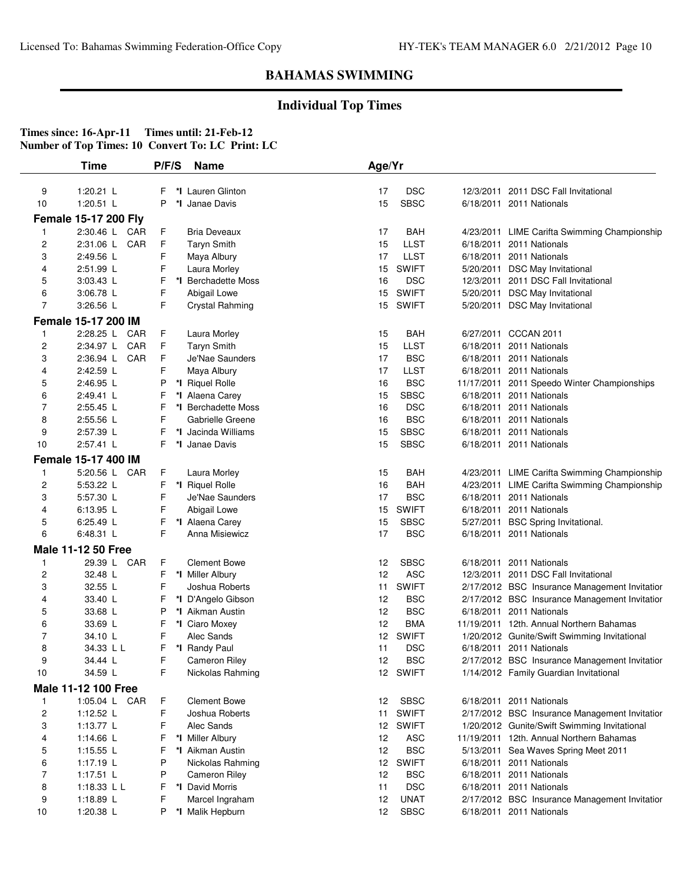## **Individual Top Times**

|                         | Time                        | P/F/S  | <b>Name</b>                          | Age/Yr                |                            |                                                                                          |
|-------------------------|-----------------------------|--------|--------------------------------------|-----------------------|----------------------------|------------------------------------------------------------------------------------------|
| 9                       | 1:20.21 $L$                 | F      | *I Lauren Glinton                    | 17                    | <b>DSC</b>                 | 12/3/2011 2011 DSC Fall Invitational                                                     |
| 10                      | 1:20.51 L                   | P      | *I Janae Davis                       | 15                    | <b>SBSC</b>                | 6/18/2011 2011 Nationals                                                                 |
|                         |                             |        |                                      |                       |                            |                                                                                          |
|                         | <b>Female 15-17 200 Fly</b> |        |                                      |                       |                            |                                                                                          |
| $\mathbf{1}$            | 2:30.46 L CAR               | F      | <b>Bria Deveaux</b>                  | 17                    | BAH                        | 4/23/2011 LIME Carifta Swimming Championship                                             |
| $\overline{c}$          | CAR<br>2:31.06 L            | F.     | <b>Taryn Smith</b>                   | 15                    | <b>LLST</b>                | 6/18/2011 2011 Nationals                                                                 |
| 3                       | 2:49.56 L                   | F      | Maya Albury                          | 17                    | <b>LLST</b>                | 6/18/2011 2011 Nationals                                                                 |
| 4                       | 2:51.99 L                   | F      | Laura Morley                         | 15                    | <b>SWIFT</b>               | 5/20/2011 DSC May Invitational                                                           |
| 5                       | 3:03.43 L                   | F      | *I Berchadette Moss                  | 16                    | <b>DSC</b>                 | 12/3/2011 2011 DSC Fall Invitational                                                     |
| 6                       | 3:06.78 L                   | F      | Abigail Lowe                         | 15                    | <b>SWIFT</b>               | 5/20/2011 DSC May Invitational                                                           |
| $\overline{7}$          | 3:26.56 L                   | F      | Crystal Rahming                      | 15                    | <b>SWIFT</b>               | 5/20/2011 DSC May Invitational                                                           |
|                         | Female 15-17 200 IM         |        |                                      |                       |                            |                                                                                          |
| 1                       | 2:28.25 L CAR               | F      | Laura Morley                         | 15                    | BAH                        | 6/27/2011 CCCAN 2011                                                                     |
| $\overline{\mathbf{c}}$ | 2:34.97 L CAR               | F      | <b>Taryn Smith</b>                   | 15                    | <b>LLST</b>                | 6/18/2011 2011 Nationals                                                                 |
| 3                       | 2:36.94 L<br>CAR            | F      | Je'Nae Saunders                      | 17                    | <b>BSC</b>                 | 6/18/2011 2011 Nationals                                                                 |
| 4                       | 2:42.59 L                   | F      | Maya Albury                          | 17                    | <b>LLST</b>                | 6/18/2011 2011 Nationals                                                                 |
| 5                       | 2:46.95 L                   | P      | *I Riquel Rolle                      | 16                    | <b>BSC</b>                 | 11/17/2011 2011 Speedo Winter Championships                                              |
| 6                       | 2:49.41 L                   | F      | *I Alaena Carey                      | 15                    | <b>SBSC</b>                | 6/18/2011 2011 Nationals                                                                 |
| $\overline{7}$          | 2:55.45 L                   | F      | *I Berchadette Moss                  | 16                    | <b>DSC</b>                 | 6/18/2011 2011 Nationals                                                                 |
| 8                       | 2:55.56 L                   | F      | Gabrielle Greene                     | 16                    | <b>BSC</b>                 | 6/18/2011 2011 Nationals                                                                 |
| 9                       | 2:57.39 L                   | F      | *I Jacinda Williams                  | 15                    | <b>SBSC</b>                | 6/18/2011 2011 Nationals                                                                 |
| 10                      | 2:57.41 L                   | F      | *I Janae Davis                       | 15                    | <b>SBSC</b>                | 6/18/2011 2011 Nationals                                                                 |
|                         | Female 15-17 400 IM         |        |                                      |                       |                            |                                                                                          |
| $\mathbf{1}$            | 5:20.56 L CAR               | F      | Laura Morley                         | 15                    | <b>BAH</b>                 | 4/23/2011 LIME Carifta Swimming Championship                                             |
| $\overline{c}$          | 5:53.22 L                   | F      | *I Riquel Rolle                      | 16                    | <b>BAH</b>                 | 4/23/2011 LIME Carifta Swimming Championship                                             |
| 3                       | 5:57.30 L                   | F      | Je'Nae Saunders                      | 17                    | <b>BSC</b>                 | 6/18/2011 2011 Nationals                                                                 |
| 4                       | 6:13.95 L                   | F      | Abigail Lowe                         | 15                    | <b>SWIFT</b>               | 6/18/2011 2011 Nationals                                                                 |
| 5                       | 6:25.49 L                   | F      | *I Alaena Carey                      | 15                    | <b>SBSC</b>                | 5/27/2011 BSC Spring Invitational.                                                       |
| 6                       | 6:48.31 L                   | F      | Anna Misiewicz                       | 17                    | <b>BSC</b>                 | 6/18/2011 2011 Nationals                                                                 |
|                         | <b>Male 11-12 50 Free</b>   |        |                                      |                       |                            |                                                                                          |
| 1                       | 29.39 L CAR                 | F      | <b>Clement Bowe</b>                  | 12                    | <b>SBSC</b>                | 6/18/2011 2011 Nationals                                                                 |
| 2                       | 32.48 L                     | F      | *I Miller Albury                     | 12                    | <b>ASC</b>                 | 12/3/2011 2011 DSC Fall Invitational                                                     |
| 3                       | 32.55 L                     | F      | Joshua Roberts                       | 11                    | <b>SWIFT</b>               | 2/17/2012 BSC Insurance Management Invitatior                                            |
| 4                       | 33.40 L                     | F      | *I D'Angelo Gibson                   | 12                    | <b>BSC</b>                 | 2/17/2012 BSC Insurance Management Invitatior                                            |
| 5                       | 33.68 L                     | P      | *I Aikman Austin                     | 12                    | <b>BSC</b>                 | 6/18/2011 2011 Nationals                                                                 |
| 6                       | 33.69 L                     | F      | *I Ciaro Moxey                       | 12                    | <b>BMA</b>                 | 11/19/2011 12th. Annual Northern Bahamas                                                 |
| 7                       | 34.10 L                     | F      | Alec Sands                           |                       | 12 SWIFT                   | 1/20/2012 Gunite/Swift Swimming Invitational                                             |
| 8                       | 34.33 L L                   | F      | *I Randy Paul                        | 11                    | <b>DSC</b>                 | 6/18/2011 2011 Nationals                                                                 |
| 9                       | 34.44 L                     | F.     | <b>Cameron Riley</b>                 | 12                    | <b>BSC</b>                 | 2/17/2012 BSC Insurance Management Invitatior                                            |
| 10                      | 34.59 L                     | F      | Nickolas Rahming                     |                       | 12 SWIFT                   | 1/14/2012 Family Guardian Invitational                                                   |
|                         | <b>Male 11-12 100 Free</b>  |        |                                      |                       |                            |                                                                                          |
| $\mathbf{1}$            | 1:05.04 L CAR               | F      | <b>Clement Bowe</b>                  | 12                    | <b>SBSC</b>                | 6/18/2011 2011 Nationals                                                                 |
|                         |                             |        | Joshua Roberts                       |                       | <b>SWIFT</b>               |                                                                                          |
| $\overline{c}$          | 1:12.52 L                   | F      |                                      | 11                    |                            | 2/17/2012 BSC Insurance Management Invitatior                                            |
| 3<br>4                  | 1:13.77 L<br>1:14.66 L      | F      | Alec Sands<br>*I Miller Albury       | 12 <sup>°</sup><br>12 | <b>SWIFT</b><br><b>ASC</b> | 1/20/2012 Gunite/Swift Swimming Invitational<br>11/19/2011 12th. Annual Northern Bahamas |
|                         |                             | F      |                                      | 12                    |                            |                                                                                          |
| 5                       | 1:15.55 L<br>1:17.19 L      | F<br>P | *I Aikman Austin<br>Nickolas Rahming | 12 <sup>2</sup>       | <b>BSC</b><br><b>SWIFT</b> | 5/13/2011 Sea Waves Spring Meet 2011<br>6/18/2011 2011 Nationals                         |
| 6<br>7                  | $1:17.51$ L                 | P      | <b>Cameron Riley</b>                 | 12                    | <b>BSC</b>                 | 6/18/2011 2011 Nationals                                                                 |
|                         |                             |        |                                      |                       |                            | 6/18/2011 2011 Nationals                                                                 |
| 8                       | 1:18.33 L L                 | F      | *I David Morris                      | 11                    | <b>DSC</b>                 |                                                                                          |
| 9                       | 1:18.89 L                   | F      | Marcel Ingraham                      | 12                    | <b>UNAT</b>                | 2/17/2012 BSC Insurance Management Invitatior                                            |
| 10                      | 1:20.38 L                   | Ρ      | *I Malik Hepburn                     | 12                    | <b>SBSC</b>                | 6/18/2011 2011 Nationals                                                                 |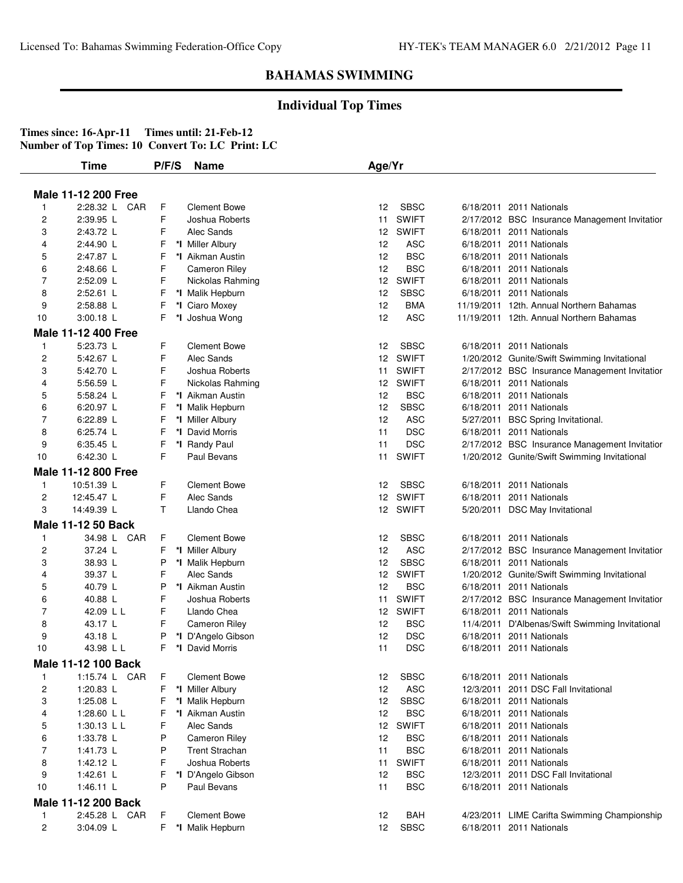### **Individual Top Times**

|                | Time                       | P/F/S   | <b>Name</b>           | Age/Yr            |              |                                                 |
|----------------|----------------------------|---------|-----------------------|-------------------|--------------|-------------------------------------------------|
|                |                            |         |                       |                   |              |                                                 |
|                | <b>Male 11-12 200 Free</b> |         |                       |                   |              |                                                 |
| 1              | 2:28.32 L CAR              | F       | <b>Clement Bowe</b>   | 12                | <b>SBSC</b>  | 6/18/2011 2011 Nationals                        |
| 2              | 2:39.95 L                  | F       | Joshua Roberts        | 11                | <b>SWIFT</b> | 2/17/2012 BSC Insurance Management Invitatior   |
| 3              | 2:43.72 L                  | F       | Alec Sands            | 12 <sup>12</sup>  | <b>SWIFT</b> | 6/18/2011 2011 Nationals                        |
| 4              | 2:44.90 L                  | F       | *I Miller Albury      | 12                | <b>ASC</b>   | 6/18/2011 2011 Nationals                        |
| 5              | 2:47.87 L                  | F       | *I Aikman Austin      | 12                | <b>BSC</b>   | 6/18/2011 2011 Nationals                        |
| 6              | 2:48.66 L                  | F       | <b>Cameron Riley</b>  | 12                | <b>BSC</b>   | 6/18/2011 2011 Nationals                        |
| 7              | 2:52.09 L                  | F       | Nickolas Rahming      | 12                | <b>SWIFT</b> | 6/18/2011 2011 Nationals                        |
| 8              | $2:52.61$ L                | F       | *I Malik Hepburn      | 12                | <b>SBSC</b>  | 6/18/2011 2011 Nationals                        |
| 9              | 2:58.88 L                  | F       | *I Ciaro Moxey        | 12                | <b>BMA</b>   | 11/19/2011 12th. Annual Northern Bahamas        |
| 10             | $3:00.18$ L                | F       | *I Joshua Wong        | 12                | <b>ASC</b>   | 11/19/2011 12th. Annual Northern Bahamas        |
|                | <b>Male 11-12 400 Free</b> |         |                       |                   |              |                                                 |
| 1              | 5:23.73 L                  | F       | <b>Clement Bowe</b>   | 12                | <b>SBSC</b>  | 6/18/2011 2011 Nationals                        |
| 2              | 5:42.67 L                  | F       | Alec Sands            | 12                | <b>SWIFT</b> | 1/20/2012 Gunite/Swift Swimming Invitational    |
| 3              | 5:42.70 L                  | F       | Joshua Roberts        | 11                | <b>SWIFT</b> | 2/17/2012 BSC Insurance Management Invitatior   |
| 4              | 5:56.59 L                  | F       | Nickolas Rahming      | 12                | <b>SWIFT</b> | 6/18/2011 2011 Nationals                        |
| 5              | 5:58.24 L                  | F       | *I Aikman Austin      | 12                | <b>BSC</b>   | 6/18/2011 2011 Nationals                        |
| 6              | 6:20.97 L                  | F       | *I Malik Hepburn      | 12                | <b>SBSC</b>  | 6/18/2011 2011 Nationals                        |
| 7              | 6:22.89 L                  | F       | *I Miller Albury      | 12                | <b>ASC</b>   | 5/27/2011 BSC Spring Invitational.              |
| 8              | 6:25.74 L                  | F<br>*l | David Morris          | 11                | <b>DSC</b>   | 6/18/2011 2011 Nationals                        |
| 9              | $6:35.45$ L                | F       | *I Randy Paul         | 11                | <b>DSC</b>   | 2/17/2012 BSC Insurance Management Invitatior   |
| 10             | 6:42.30 L                  | F       | Paul Bevans           | 11                | <b>SWIFT</b> | 1/20/2012 Gunite/Swift Swimming Invitational    |
|                | <b>Male 11-12 800 Free</b> |         |                       |                   |              |                                                 |
| $\mathbf{1}$   | 10:51.39 L                 | F       | <b>Clement Bowe</b>   | 12                | <b>SBSC</b>  | 6/18/2011 2011 Nationals                        |
| 2              | 12:45.47 L                 | F       | Alec Sands            | $12 \overline{ }$ | <b>SWIFT</b> | 6/18/2011 2011 Nationals                        |
| 3              | 14:49.39 L                 | Τ       | Llando Chea           |                   | 12 SWIFT     | 5/20/2011 DSC May Invitational                  |
|                | Male 11-12 50 Back         |         |                       |                   |              |                                                 |
| $\mathbf{1}$   | 34.98 L CAR                | F       | <b>Clement Bowe</b>   | 12                | <b>SBSC</b>  | 6/18/2011 2011 Nationals                        |
| 2              | 37.24 L                    | F       | *I Miller Albury      | 12                | <b>ASC</b>   | 2/17/2012 BSC Insurance Management Invitatior   |
| 3              | 38.93 L                    | P       | *I Malik Hepburn      | 12                | <b>SBSC</b>  | 6/18/2011 2011 Nationals                        |
| 4              | 39.37 L                    | F       | Alec Sands            | 12                | <b>SWIFT</b> | 1/20/2012 Gunite/Swift Swimming Invitational    |
| 5              | 40.79 L                    | P       | *I Aikman Austin      | 12                | <b>BSC</b>   | 6/18/2011 2011 Nationals                        |
| 6              | 40.88 L                    | F       | Joshua Roberts        | 11                | <b>SWIFT</b> | 2/17/2012 BSC Insurance Management Invitatior   |
| 7              | 42.09 L L                  | F       | Llando Chea           | 12                | <b>SWIFT</b> | 6/18/2011 2011 Nationals                        |
| 8              | 43.17 L                    | F       | <b>Cameron Riley</b>  | 12                | <b>BSC</b>   | 11/4/2011 D'Albenas/Swift Swimming Invitational |
| 9              | 43.18 L                    | P       | *I D'Angelo Gibson    | 12                | <b>DSC</b>   | 6/18/2011 2011 Nationals                        |
| 10             | 43.98 L L                  | F       | *I David Morris       | 11                | DSC          | 6/18/2011 2011 Nationals                        |
|                | <b>Male 11-12 100 Back</b> |         |                       |                   |              |                                                 |
| 1              | 1:15.74 L CAR              | F       | <b>Clement Bowe</b>   | 12                | <b>SBSC</b>  | 6/18/2011 2011 Nationals                        |
| 2              | 1:20.83 L                  | F       | *I Miller Albury      | 12                | <b>ASC</b>   | 12/3/2011 2011 DSC Fall Invitational            |
| 3              | 1:25.08 L                  | F       | *I Malik Hepburn      | 12                | <b>SBSC</b>  | 6/18/2011 2011 Nationals                        |
| 4              | 1:28.60 L L                | F       | *I Aikman Austin      | 12                | <b>BSC</b>   | 6/18/2011 2011 Nationals                        |
| 5              | 1:30.13 L L                | F       | Alec Sands            | 12 <sup>2</sup>   | <b>SWIFT</b> | 6/18/2011 2011 Nationals                        |
| 6              | 1:33.78 L                  | P       | <b>Cameron Riley</b>  | 12                | <b>BSC</b>   | 6/18/2011 2011 Nationals                        |
| 7              | 1:41.73 L                  | P       | <b>Trent Strachan</b> | 11                | <b>BSC</b>   | 6/18/2011 2011 Nationals                        |
| 8              | 1:42.12 L                  | F       | Joshua Roberts        | 11                | <b>SWIFT</b> | 6/18/2011 2011 Nationals                        |
| 9              | 1:42.61 L                  | F       | *I D'Angelo Gibson    | 12                | <b>BSC</b>   | 12/3/2011 2011 DSC Fall Invitational            |
| 10             | 1:46.11 L                  | P       | Paul Bevans           | 11                | <b>BSC</b>   | 6/18/2011 2011 Nationals                        |
|                | Male 11-12 200 Back        |         |                       |                   |              |                                                 |
| $\mathbf{1}$   | 2:45.28 L CAR              | F       | <b>Clement Bowe</b>   | 12                | BAH          | 4/23/2011 LIME Carifta Swimming Championship    |
| $\overline{c}$ | 3:04.09 L                  | F.      | *I Malik Hepburn      | 12                | <b>SBSC</b>  | 6/18/2011 2011 Nationals                        |
|                |                            |         |                       |                   |              |                                                 |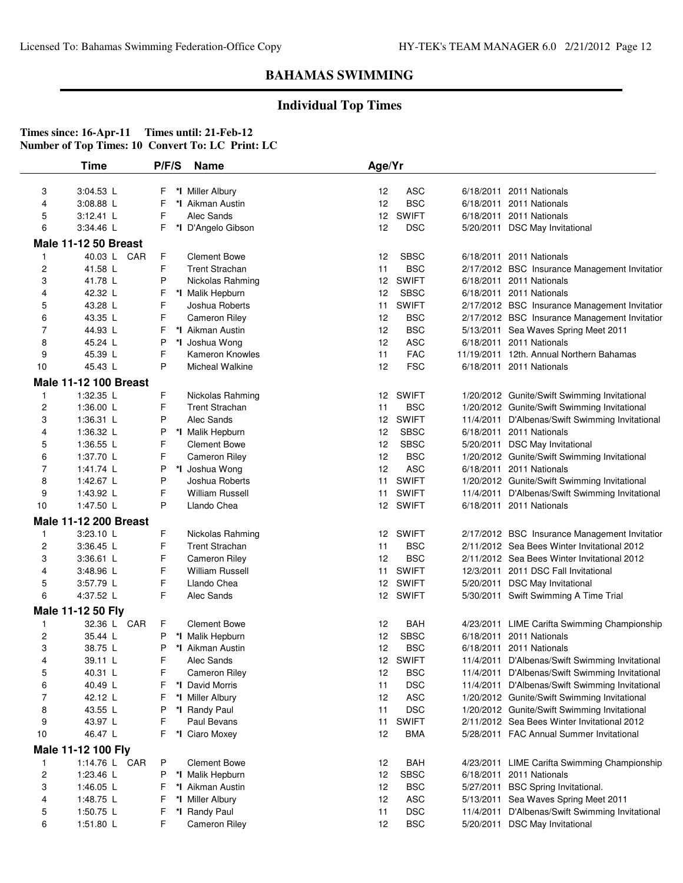## **Individual Top Times**

|                         | Time                                       | P/F/S  | <b>Name</b>                           | Age/Yr                 |                              |                                                                             |
|-------------------------|--------------------------------------------|--------|---------------------------------------|------------------------|------------------------------|-----------------------------------------------------------------------------|
| 3                       | 3:04.53 L                                  | F      | *I Miller Albury                      | 12                     | ASC                          | 6/18/2011 2011 Nationals                                                    |
| 4                       | 3:08.88 L                                  | F      | *I Aikman Austin                      | 12                     | <b>BSC</b>                   | 6/18/2011 2011 Nationals                                                    |
| 5                       | $3:12.41$ L                                | F      | Alec Sands                            |                        | 12 SWIFT                     | 6/18/2011 2011 Nationals                                                    |
| 6                       | 3:34.46 L                                  | F      | *I D'Angelo Gibson                    | 12                     | <b>DSC</b>                   | 5/20/2011 DSC May Invitational                                              |
|                         |                                            |        |                                       |                        |                              |                                                                             |
| 1                       | <b>Male 11-12 50 Breast</b><br>40.03 L CAR | F      | <b>Clement Bowe</b>                   |                        | <b>SBSC</b>                  | 6/18/2011 2011 Nationals                                                    |
|                         |                                            | F      | <b>Trent Strachan</b>                 | 12                     |                              |                                                                             |
| $\overline{c}$<br>3     | 41.58 L<br>41.78 L                         | P      | Nickolas Rahming                      | 11<br>12               | <b>BSC</b><br><b>SWIFT</b>   | 2/17/2012 BSC Insurance Management Invitatior<br>6/18/2011 2011 Nationals   |
| 4                       | 42.32 L                                    | F      | *I Malik Hepburn                      | 12                     | <b>SBSC</b>                  | 6/18/2011 2011 Nationals                                                    |
| 5                       | 43.28 L                                    | F      | Joshua Roberts                        | 11                     | <b>SWIFT</b>                 | 2/17/2012 BSC Insurance Management Invitatior                               |
| 6                       | 43.35 L                                    | F      | <b>Cameron Riley</b>                  | 12                     | <b>BSC</b>                   | 2/17/2012 BSC Insurance Management Invitatior                               |
| 7                       | 44.93 L                                    | F      | *I Aikman Austin                      | 12                     | <b>BSC</b>                   | 5/13/2011 Sea Waves Spring Meet 2011                                        |
| 8                       | 45.24 L                                    | P      | *I Joshua Wong                        | 12                     | <b>ASC</b>                   | 6/18/2011 2011 Nationals                                                    |
| 9                       | 45.39 L                                    | F      | Kameron Knowles                       | 11                     | <b>FAC</b>                   | 11/19/2011 12th. Annual Northern Bahamas                                    |
| 10                      | 45.43 L                                    | P      | Micheal Walkine                       | 12                     | <b>FSC</b>                   | 6/18/2011 2011 Nationals                                                    |
|                         |                                            |        |                                       |                        |                              |                                                                             |
|                         | <b>Male 11-12 100 Breast</b>               |        |                                       |                        |                              |                                                                             |
| 1                       | 1:32.35 L                                  | F      | Nickolas Rahming                      | 12                     | <b>SWIFT</b>                 | 1/20/2012 Gunite/Swift Swimming Invitational                                |
| $\overline{c}$          | 1:36.00 L                                  | F      | <b>Trent Strachan</b>                 | 11                     | <b>BSC</b>                   | 1/20/2012 Gunite/Swift Swimming Invitational                                |
| 3                       | 1:36.31 L                                  | P      | Alec Sands                            | 12 <sup>°</sup>        | <b>SWIFT</b><br><b>SBSC</b>  | 11/4/2011 D'Albenas/Swift Swimming Invitational                             |
| 4                       | 1:36.32 L                                  | P<br>F | *I Malik Hepburn                      | 12                     |                              | 6/18/2011 2011 Nationals                                                    |
| 5                       | 1:36.55 L                                  |        | <b>Clement Bowe</b>                   | 12                     | <b>SBSC</b>                  | 5/20/2011 DSC May Invitational                                              |
| 6                       | 1:37.70 L                                  | F      | <b>Cameron Riley</b>                  | 12<br>12               | <b>BSC</b>                   | 1/20/2012 Gunite/Swift Swimming Invitational                                |
| 7                       | 1:41.74 L                                  | P      | *I Joshua Wong                        |                        | <b>ASC</b>                   | 6/18/2011 2011 Nationals                                                    |
| 8                       | 1:42.67 L                                  | P      | Joshua Roberts                        | 11                     | <b>SWIFT</b>                 | 1/20/2012 Gunite/Swift Swimming Invitational                                |
| 9<br>10                 | 1:43.92 L<br>1:47.50 L                     | F<br>Ρ | <b>William Russell</b><br>Llando Chea | 11<br>12 <sup>12</sup> | <b>SWIFT</b><br><b>SWIFT</b> | 11/4/2011 D'Albenas/Swift Swimming Invitational<br>6/18/2011 2011 Nationals |
|                         |                                            |        |                                       |                        |                              |                                                                             |
|                         | <b>Male 11-12 200 Breast</b>               |        |                                       |                        |                              |                                                                             |
| $\mathbf{1}$            | $3:23.10$ L                                | F      | Nickolas Rahming                      |                        | 12 SWIFT                     | 2/17/2012 BSC Insurance Management Invitatior                               |
| $\overline{c}$          | 3:36.45 L                                  | F      | <b>Trent Strachan</b>                 | 11                     | <b>BSC</b>                   | 2/11/2012 Sea Bees Winter Invitational 2012                                 |
| 3                       | 3:36.61 L                                  | F<br>F | <b>Cameron Riley</b>                  | 12                     | <b>BSC</b><br><b>SWIFT</b>   | 2/11/2012 Sea Bees Winter Invitational 2012                                 |
| 4                       | 3:48.96 L                                  |        | <b>William Russell</b>                | 11                     | <b>SWIFT</b>                 | 12/3/2011 2011 DSC Fall Invitational                                        |
| 5<br>6                  | 3:57.79 L<br>4:37.52 L                     | F<br>F | Llando Chea<br>Alec Sands             | 12                     | 12 SWIFT                     | 5/20/2011 DSC May Invitational<br>5/30/2011 Swift Swimming A Time Trial     |
|                         |                                            |        |                                       |                        |                              |                                                                             |
|                         | Male 11-12 50 Fly                          |        |                                       |                        |                              |                                                                             |
| 1                       | 32.36 L CAR                                | F      | <b>Clement Bowe</b>                   | 12                     | BAH                          | 4/23/2011 LIME Carifta Swimming Championship                                |
| $\overline{\mathbf{c}}$ | 35.44 L                                    | P      | *I Malik Hepburn                      | 12                     | <b>SBSC</b>                  | 6/18/2011 2011 Nationals                                                    |
| 3                       | 38.75 L                                    | Ρ      | *I Aikman Austin                      | 12                     | <b>BSC</b>                   | 6/18/2011 2011 Nationals                                                    |
| 4                       | 39.11 L                                    |        | Alec Sands                            |                        | 12 SWIFT                     | 11/4/2011 D'Albenas/Swift Swimming Invitational                             |
| 5                       | 40.31 L                                    | F      | <b>Cameron Riley</b>                  | 12                     | <b>BSC</b>                   | 11/4/2011 D'Albenas/Swift Swimming Invitational                             |
| 6                       | 40.49 L                                    | F      | *I David Morris                       | 11                     | <b>DSC</b>                   | 11/4/2011 D'Albenas/Swift Swimming Invitational                             |
| 7                       | 42.12 L                                    | F      | *I Miller Albury                      | 12                     | <b>ASC</b>                   | 1/20/2012 Gunite/Swift Swimming Invitational                                |
| 8                       | 43.55 L                                    | P      | *I Randy Paul                         | 11                     | <b>DSC</b>                   | 1/20/2012 Gunite/Swift Swimming Invitational                                |
| 9                       | 43.97 L                                    | F      | Paul Bevans                           | 11                     | <b>SWIFT</b>                 | 2/11/2012 Sea Bees Winter Invitational 2012                                 |
| 10                      | 46.47 L                                    | F      | *I Ciaro Moxey                        | 12                     | <b>BMA</b>                   | 5/28/2011 FAC Annual Summer Invitational                                    |
|                         | Male 11-12 100 Fly                         |        |                                       |                        |                              |                                                                             |
| 1                       | 1:14.76 L CAR                              | P      | <b>Clement Bowe</b>                   | 12                     | <b>BAH</b>                   | 4/23/2011 LIME Carifta Swimming Championship                                |
| $\overline{c}$          | 1:23.46 L                                  | P      | *I Malik Hepburn                      | 12                     | <b>SBSC</b>                  | 6/18/2011 2011 Nationals                                                    |
| 3                       | 1:46.05 L                                  | F      | *I Aikman Austin                      | 12                     | <b>BSC</b>                   | 5/27/2011 BSC Spring Invitational.                                          |
| 4                       | 1:48.75 L                                  | F      | *I Miller Albury                      | 12                     | <b>ASC</b>                   | 5/13/2011 Sea Waves Spring Meet 2011                                        |
| 5                       | 1:50.75 L                                  | F      | *I Randy Paul                         | 11                     | <b>DSC</b>                   | 11/4/2011 D'Albenas/Swift Swimming Invitational                             |
| 6                       | 1:51.80 L                                  | F      | Cameron Riley                         | 12                     | <b>BSC</b>                   | 5/20/2011 DSC May Invitational                                              |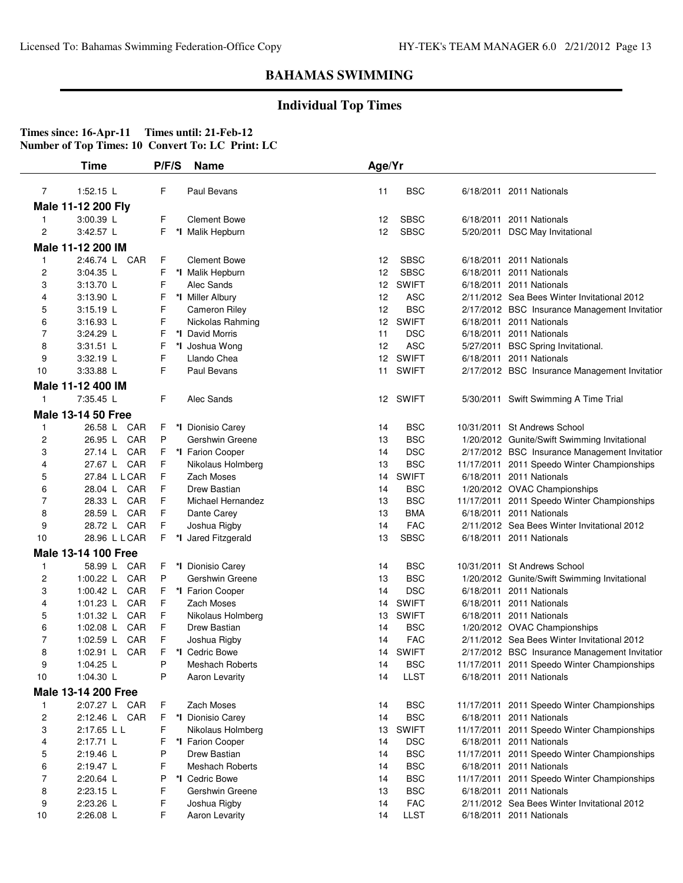### **Individual Top Times**

|                | <b>Time</b>                | P/F/S  | <b>Name</b>                            | Age/Yr   |              |                                                                         |
|----------------|----------------------------|--------|----------------------------------------|----------|--------------|-------------------------------------------------------------------------|
| $\overline{7}$ | $1:52.15$ L                | F      | Paul Bevans                            | 11       | <b>BSC</b>   | 6/18/2011 2011 Nationals                                                |
|                | Male 11-12 200 Fly         |        |                                        |          |              |                                                                         |
| 1              | 3:00.39 L                  | F      | <b>Clement Bowe</b>                    | 12       | <b>SBSC</b>  | 6/18/2011 2011 Nationals                                                |
| $\overline{c}$ | 3:42.57 L                  | F      | *I Malik Hepburn                       | 12       | <b>SBSC</b>  | 5/20/2011 DSC May Invitational                                          |
|                |                            |        |                                        |          |              |                                                                         |
|                | Male 11-12 200 IM          |        |                                        |          |              |                                                                         |
| 1              | 2:46.74 L<br>CAR           | F      | <b>Clement Bowe</b>                    | 12       | <b>SBSC</b>  | 6/18/2011 2011 Nationals                                                |
| 2              | 3:04.35 L                  | F      | *I Malik Hepburn                       | 12       | <b>SBSC</b>  | 6/18/2011 2011 Nationals                                                |
| 3              | 3:13.70 L                  | F      | Alec Sands                             | 12       | <b>SWIFT</b> | 6/18/2011 2011 Nationals                                                |
| 4              | 3:13.90 L                  | F      | *I Miller Albury                       | 12       | <b>ASC</b>   | 2/11/2012 Sea Bees Winter Invitational 2012                             |
| 5              | $3:15.19$ L                | F      | <b>Cameron Riley</b>                   | 12       | <b>BSC</b>   | 2/17/2012 BSC Insurance Management Invitatior                           |
| 6              | $3:16.93$ L                | F      | Nickolas Rahming                       | 12       | <b>SWIFT</b> | 6/18/2011 2011 Nationals                                                |
| 7              | 3:24.29 L                  | F      | *I David Morris                        | 11       | <b>DSC</b>   | 6/18/2011 2011 Nationals                                                |
| 8              | 3:31.51 L                  | F      | *I Joshua Wong                         | 12       | <b>ASC</b>   | 5/27/2011 BSC Spring Invitational.                                      |
| 9              | $3:32.19$ L                | F<br>F | Llando Chea                            | 12       | <b>SWIFT</b> | 6/18/2011 2011 Nationals                                                |
| 10             | 3:33.88 L                  |        | Paul Bevans                            | 11       | <b>SWIFT</b> | 2/17/2012 BSC Insurance Management Invitatior                           |
|                | Male 11-12 400 IM          |        |                                        |          |              |                                                                         |
| 1              | 7:35.45 L                  | F      | Alec Sands                             | 12       | <b>SWIFT</b> | 5/30/2011 Swift Swimming A Time Trial                                   |
|                | <b>Male 13-14 50 Free</b>  |        |                                        |          |              |                                                                         |
| 1              | 26.58 L<br>CAR             | F      | *I Dionisio Carey                      | 14       | <b>BSC</b>   | 10/31/2011 St Andrews School                                            |
| 2              | CAR<br>26.95 L             | P      | Gershwin Greene                        | 13       | <b>BSC</b>   | 1/20/2012 Gunite/Swift Swimming Invitational                            |
| 3              | CAR<br>27.14 L             | F      | *I Farion Cooper                       | 14       | <b>DSC</b>   | 2/17/2012 BSC Insurance Management Invitatior                           |
| 4              | CAR<br>27.67 L             | F      | Nikolaus Holmberg                      | 13       | <b>BSC</b>   | 11/17/2011 2011 Speedo Winter Championships                             |
| 5              | 27.84 L L CAR              | F      | Zach Moses                             | 14       | <b>SWIFT</b> | 6/18/2011 2011 Nationals                                                |
| 6              | CAR<br>28.04 L             | F      | Drew Bastian                           | 14       | <b>BSC</b>   | 1/20/2012 OVAC Championships                                            |
| $\overline{7}$ | CAR<br>28.33 L             | F      | Michael Hernandez                      | 13       | <b>BSC</b>   | 11/17/2011 2011 Speedo Winter Championships                             |
| 8              | CAR<br>28.59 L             | F      | Dante Carey                            | 13       | <b>BMA</b>   | 6/18/2011 2011 Nationals                                                |
| 9              | 28.72 L<br>CAR             | F      | Joshua Rigby                           | 14       | <b>FAC</b>   | 2/11/2012 Sea Bees Winter Invitational 2012                             |
| 10             | 28.96 L L CAR              | F      | *I Jared Fitzgerald                    | 13       | <b>SBSC</b>  | 6/18/2011 2011 Nationals                                                |
|                | <b>Male 13-14 100 Free</b> |        |                                        |          |              |                                                                         |
| 1              | 58.99 L<br>CAR             | F      | *I Dionisio Carey                      | 14       | <b>BSC</b>   | 10/31/2011 St Andrews School                                            |
| 2              | 1:00.22 $L$<br>CAR         | P      | Gershwin Greene                        | 13       | <b>BSC</b>   | 1/20/2012 Gunite/Swift Swimming Invitational                            |
| 3              | CAR<br>1:00.42 $\lfloor$   | F      | *I Farion Cooper                       | 14       | <b>DSC</b>   | 6/18/2011 2011 Nationals                                                |
| 4              | CAR<br>1:01.23 $L$         | F      | Zach Moses                             | 14       | <b>SWIFT</b> | 6/18/2011 2011 Nationals                                                |
| 5              | CAR<br>1:01.32 $L$         | F      | Nikolaus Holmberg                      | 13       | <b>SWIFT</b> | 6/18/2011 2011 Nationals                                                |
| 6              | CAR<br>1:02.08 $\lfloor$   | F      | Drew Bastian                           | 14       | <b>BSC</b>   | 1/20/2012 OVAC Championships                                            |
| 7              | 1:02.59 L<br>CAR           | F      | Joshua Rigby                           | 14       | <b>FAC</b>   | 2/11/2012 Sea Bees Winter Invitational 2012                             |
| 8              | 1:02.91 $L$<br>CAR         | F      | *I Cedric Bowe                         | 14       | <b>SWIFT</b> | 2/17/2012 BSC Insurance Management Invitation                           |
| 9              | 1:04.25 L                  | P      | Meshach Roberts                        | 14       | <b>BSC</b>   | 11/17/2011 2011 Speedo Winter Championships                             |
| 10             | 1:04.30 L                  | Ρ      | Aaron Levarity                         | 14       | <b>LLST</b>  | 6/18/2011 2011 Nationals                                                |
|                | Male 13-14 200 Free        |        |                                        |          |              |                                                                         |
|                | 2:07.27 L CAR              |        | Zach Moses                             | 14       | <b>BSC</b>   |                                                                         |
| $\mathbf{1}$   |                            | F.     |                                        |          |              | 11/17/2011 2011 Speedo Winter Championships<br>6/18/2011 2011 Nationals |
| 2              | 2:12.46 L CAR              | F      | *I Dionisio Carey<br>Nikolaus Holmberg | 14       | <b>BSC</b>   |                                                                         |
| 3              | 2:17.65 L L                | F      | *I Farion Cooper                       | 13       | <b>SWIFT</b> | 11/17/2011 2011 Speedo Winter Championships                             |
| 4              | 2:17.71 L<br>2:19.46 L     | F      | Drew Bastian                           | 14<br>14 | <b>DSC</b>   | 6/18/2011 2011 Nationals                                                |
| 5              |                            | P<br>F |                                        |          | <b>BSC</b>   | 11/17/2011 2011 Speedo Winter Championships                             |
| 6<br>7         | 2:19.47 L<br>2:20.64 L     |        | <b>Meshach Roberts</b>                 | 14       | <b>BSC</b>   | 6/18/2011 2011 Nationals                                                |
|                |                            | P      | *I Cedric Bowe                         | 14       | <b>BSC</b>   | 11/17/2011 2011 Speedo Winter Championships                             |
| 8              | 2:23.15 L                  | F      | Gershwin Greene                        | 13       | <b>BSC</b>   | 6/18/2011 2011 Nationals<br>2/11/2012 Sea Bees Winter Invitational 2012 |
| 9              | $2:23.26$ L                | F      | Joshua Rigby                           | 14       | <b>FAC</b>   |                                                                         |
| 10             | 2:26.08 L                  | F      | Aaron Levarity                         | 14       | <b>LLST</b>  | 6/18/2011 2011 Nationals                                                |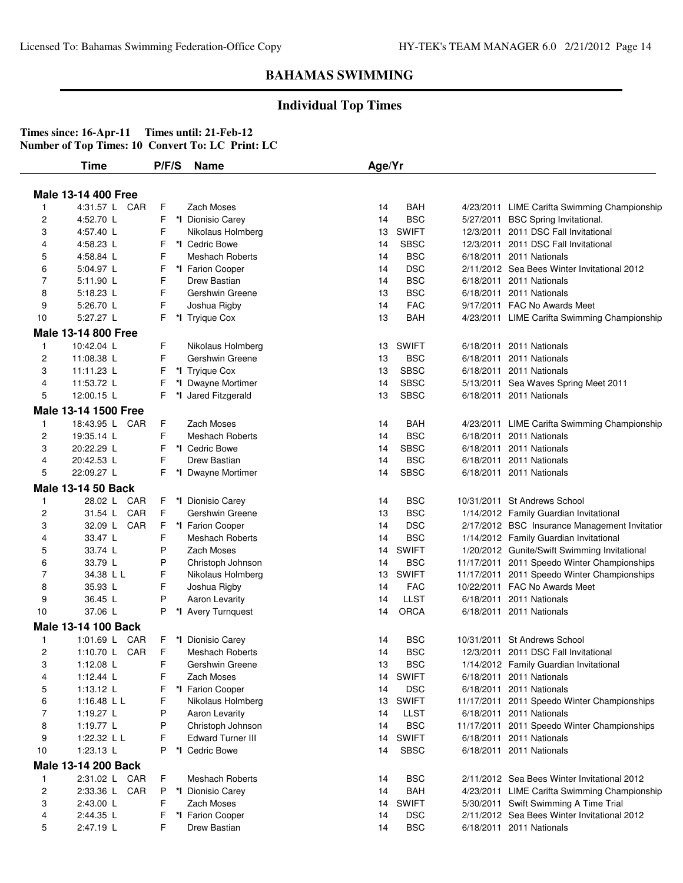### **Individual Top Times**

|                         | <b>Time</b>                | P/F/S | <b>Name</b>              | Age/Yr |              |            |                                               |
|-------------------------|----------------------------|-------|--------------------------|--------|--------------|------------|-----------------------------------------------|
|                         |                            |       |                          |        |              |            |                                               |
|                         | <b>Male 13-14 400 Free</b> |       |                          |        |              |            |                                               |
| 1                       | 4:31.57 L CAR              | F     | Zach Moses               | 14     | BAH          |            | 4/23/2011 LIME Carifta Swimming Championship  |
| 2                       | 4:52.70 L                  | F     | *I Dionisio Carey        | 14     | <b>BSC</b>   |            | 5/27/2011 BSC Spring Invitational.            |
| 3                       | 4:57.40 L                  | F     | Nikolaus Holmberg        | 13     | <b>SWIFT</b> |            | 12/3/2011 2011 DSC Fall Invitational          |
| 4                       | 4:58.23 L                  | F     | *I Cedric Bowe           | 14     | <b>SBSC</b>  | 12/3/2011  | 2011 DSC Fall Invitational                    |
| 5                       | 4:58.84 L                  | F     | <b>Meshach Roberts</b>   | 14     | <b>BSC</b>   |            | 6/18/2011 2011 Nationals                      |
| 6                       | 5:04.97 L                  | F     | *I Farion Cooper         | 14     | <b>DSC</b>   |            | 2/11/2012 Sea Bees Winter Invitational 2012   |
| 7                       | 5:11.90 L                  | F     | Drew Bastian             | 14     | <b>BSC</b>   |            | 6/18/2011 2011 Nationals                      |
| 8                       | 5:18.23 L                  | F     | Gershwin Greene          | 13     | <b>BSC</b>   | 6/18/2011  | 2011 Nationals                                |
| 9                       | 5:26.70 L                  | F     | Joshua Rigby             | 14     | <b>FAC</b>   |            | 9/17/2011 FAC No Awards Meet                  |
| 10                      | 5:27.27 L                  | F     | *I Tryique Cox           | 13     | <b>BAH</b>   |            | 4/23/2011 LIME Carifta Swimming Championship  |
|                         | <b>Male 13-14 800 Free</b> |       |                          |        |              |            |                                               |
| $\mathbf{1}$            | 10:42.04 L                 | F     | Nikolaus Holmberg        | 13     | <b>SWIFT</b> |            | 6/18/2011 2011 Nationals                      |
| $\overline{c}$          | 11:08.38 L                 | F     | Gershwin Greene          | 13     | <b>BSC</b>   | 6/18/2011  | 2011 Nationals                                |
| 3                       | 11:11.23 L                 | F     | *I Tryique Cox           | 13     | <b>SBSC</b>  | 6/18/2011  | 2011 Nationals                                |
| 4                       | 11:53.72 L                 | F     | *I Dwayne Mortimer       | 14     | <b>SBSC</b>  |            | 5/13/2011 Sea Waves Spring Meet 2011          |
| 5                       | 12:00.15 L                 | F.    | *I Jared Fitzgerald      | 13     | <b>SBSC</b>  |            | 6/18/2011 2011 Nationals                      |
|                         | Male 13-14 1500 Free       |       |                          |        |              |            |                                               |
| 1                       | 18:43.95 L CAR             | F     | Zach Moses               | 14     | BAH          |            | 4/23/2011 LIME Carifta Swimming Championship  |
| 2                       | 19:35.14 L                 | F     | <b>Meshach Roberts</b>   | 14     | <b>BSC</b>   | 6/18/2011  | 2011 Nationals                                |
| 3                       | 20:22.29 L                 | F     | *I Cedric Bowe           | 14     | <b>SBSC</b>  | 6/18/2011  | 2011 Nationals                                |
| 4                       | 20:42.53 L                 | F     | Drew Bastian             | 14     | <b>BSC</b>   | 6/18/2011  | 2011 Nationals                                |
| 5                       | 22:09.27 L                 | F.    | *I Dwayne Mortimer       | 14     | <b>SBSC</b>  |            | 6/18/2011 2011 Nationals                      |
|                         | <b>Male 13-14 50 Back</b>  |       |                          |        |              |            |                                               |
| 1                       | 28.02 L<br>CAR             | F.    | *I Dionisio Carey        | 14     | <b>BSC</b>   |            | 10/31/2011 St Andrews School                  |
| $\overline{\mathbf{c}}$ | CAR<br>31.54 L             | F     | Gershwin Greene          | 13     | <b>BSC</b>   |            | 1/14/2012 Family Guardian Invitational        |
| 3                       | CAR<br>32.09 L             | F     | *I Farion Cooper         | 14     | <b>DSC</b>   |            | 2/17/2012 BSC Insurance Management Invitatior |
| 4                       | 33.47 L                    | F     | <b>Meshach Roberts</b>   | 14     | <b>BSC</b>   |            | 1/14/2012 Family Guardian Invitational        |
| 5                       | 33.74 L                    | P     | Zach Moses               | 14     | <b>SWIFT</b> |            | 1/20/2012 Gunite/Swift Swimming Invitational  |
| 6                       | 33.79 L                    | P     | Christoph Johnson        | 14     | <b>BSC</b>   |            | 11/17/2011 2011 Speedo Winter Championships   |
| 7                       | 34.38 L L                  | F     | Nikolaus Holmberg        | 13     | <b>SWIFT</b> |            | 11/17/2011 2011 Speedo Winter Championships   |
| 8                       | 35.93 L                    | F     | Joshua Rigby             | 14     | <b>FAC</b>   |            | 10/22/2011 FAC No Awards Meet                 |
| 9                       | 36.45 L                    | P     | Aaron Levarity           | 14     | <b>LLST</b>  | 6/18/2011  | 2011 Nationals                                |
| 10                      | 37.06 L                    | P     | *I Avery Turnquest       | 14     | <b>ORCA</b>  |            | 6/18/2011 2011 Nationals                      |
|                         | Male 13-14 100 Back        |       |                          |        |              |            |                                               |
| 1                       | 1:01.69 $L$<br>CAR         | F     | *I Dionisio Carey        | 14     | <b>BSC</b>   | 10/31/2011 | <b>St Andrews School</b>                      |
| $\overline{c}$          | 1:10.70 L CAR              | F     | <b>Meshach Roberts</b>   | 14     | <b>BSC</b>   |            | 12/3/2011 2011 DSC Fall Invitational          |
| 3                       | 1:12.08 L                  | F     | Gershwin Greene          | 13     | <b>BSC</b>   |            | 1/14/2012 Family Guardian Invitational        |
| 4                       | 1:12.44 $L$                | F     | Zach Moses               | 14     | <b>SWIFT</b> |            | 6/18/2011 2011 Nationals                      |
| 5                       | 1:13.12 $L$                | F     | *I Farion Cooper         | 14     | <b>DSC</b>   |            | 6/18/2011 2011 Nationals                      |
| 6                       | 1:16.48 $L L$              | F     | Nikolaus Holmberg        | 13     | <b>SWIFT</b> |            | 11/17/2011 2011 Speedo Winter Championships   |
| 7                       | 1:19.27 L                  | P     | Aaron Levarity           | 14     | <b>LLST</b>  |            | 6/18/2011 2011 Nationals                      |
| 8                       | 1:19.77 L                  | P     | Christoph Johnson        | 14     | <b>BSC</b>   |            | 11/17/2011 2011 Speedo Winter Championships   |
| 9                       | 1:22.32 L L                | F     | <b>Edward Turner III</b> | 14     | <b>SWIFT</b> |            | 6/18/2011 2011 Nationals                      |
| 10                      | 1:23.13 L                  | P     | *I Cedric Bowe           | 14     | <b>SBSC</b>  |            | 6/18/2011 2011 Nationals                      |
|                         | Male 13-14 200 Back        |       |                          |        |              |            |                                               |
| 1                       | 2:31.02 L CAR              | F.    | <b>Meshach Roberts</b>   | 14     | <b>BSC</b>   |            | 2/11/2012 Sea Bees Winter Invitational 2012   |
| 2                       | 2:33.36 L CAR              | P     | *I Dionisio Carey        | 14     | <b>BAH</b>   |            | 4/23/2011 LIME Carifta Swimming Championship  |
| 3                       | 2:43.00 L                  | F     | Zach Moses               | 14     | <b>SWIFT</b> |            | 5/30/2011 Swift Swimming A Time Trial         |
| 4                       | 2:44.35 L                  | F.    | *I Farion Cooper         | 14     | <b>DSC</b>   |            | 2/11/2012 Sea Bees Winter Invitational 2012   |
| 5                       | 2:47.19 L                  | F     | Drew Bastian             | 14     | <b>BSC</b>   |            | 6/18/2011 2011 Nationals                      |
|                         |                            |       |                          |        |              |            |                                               |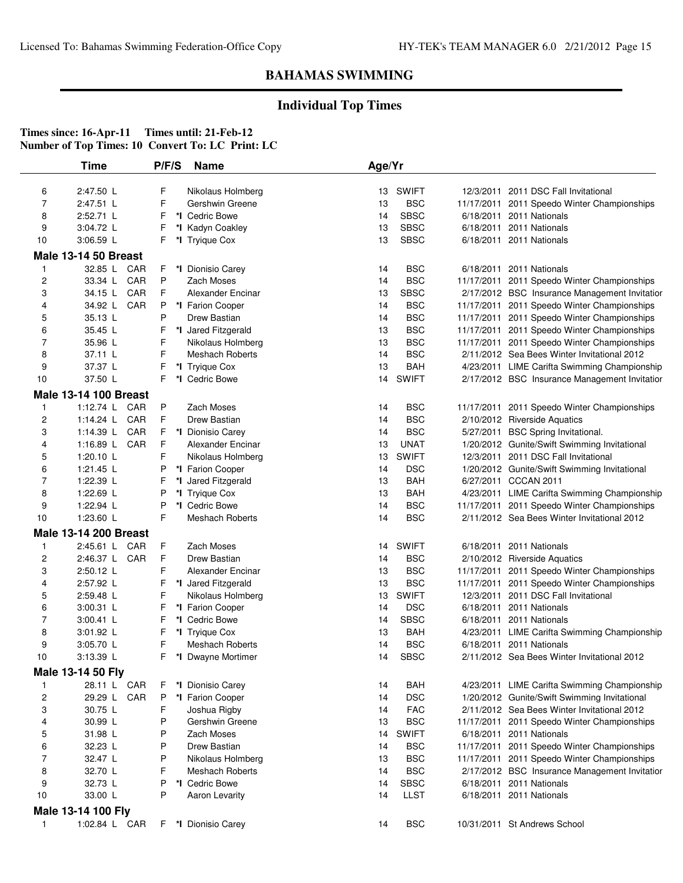## **Individual Top Times**

|                         | <b>Time</b>                  | P/F/S  | <b>Name</b>                              | Age/Yr   |                          |                                                                                     |
|-------------------------|------------------------------|--------|------------------------------------------|----------|--------------------------|-------------------------------------------------------------------------------------|
| 6                       | 2:47.50 L                    | F      | Nikolaus Holmberg                        | 13       | SWIFT                    | 12/3/2011 2011 DSC Fall Invitational                                                |
| $\overline{7}$          | 2:47.51 L                    | F      | Gershwin Greene                          | 13       | <b>BSC</b>               | 11/17/2011 2011 Speedo Winter Championships                                         |
| 8                       | 2:52.71 L                    | F      | *I Cedric Bowe                           | 14       | <b>SBSC</b>              | 6/18/2011 2011 Nationals                                                            |
| 9                       | 3:04.72 L                    | F      | *I Kadyn Coakley                         | 13       | <b>SBSC</b>              | 6/18/2011 2011 Nationals                                                            |
| 10                      | 3:06.59 L                    | F      | *I Tryique Cox                           | 13       | <b>SBSC</b>              | 6/18/2011 2011 Nationals                                                            |
|                         | <b>Male 13-14 50 Breast</b>  |        |                                          |          |                          |                                                                                     |
| 1                       | 32.85 L CAR                  | F      | *I Dionisio Carey                        | 14       | <b>BSC</b>               | 6/18/2011 2011 Nationals                                                            |
| 2                       | 33.34 L CAR                  | P      | Zach Moses                               | 14       | <b>BSC</b>               | 11/17/2011 2011 Speedo Winter Championships                                         |
| 3                       | CAR<br>34.15 L               | F      | Alexander Encinar                        | 13       | <b>SBSC</b>              | 2/17/2012 BSC Insurance Management Invitatior                                       |
| 4                       | 34.92 L<br>CAR               | P      | *I Farion Cooper                         | 14       | <b>BSC</b>               | 11/17/2011 2011 Speedo Winter Championships                                         |
| 5                       | 35.13 L                      | P      | Drew Bastian                             | 14       | <b>BSC</b>               | 11/17/2011 2011 Speedo Winter Championships                                         |
| 6                       | 35.45 L                      | F      | *I Jared Fitzgerald                      | 13       | <b>BSC</b>               | 11/17/2011 2011 Speedo Winter Championships                                         |
| 7                       | 35.96 L                      | F      | Nikolaus Holmberg                        | 13       | <b>BSC</b>               | 11/17/2011 2011 Speedo Winter Championships                                         |
| 8                       | 37.11 L                      | F      | <b>Meshach Roberts</b>                   | 14       | <b>BSC</b>               | 2/11/2012 Sea Bees Winter Invitational 2012                                         |
| 9                       | 37.37 L                      | F      | *I Tryique Cox                           | 13       | BAH                      | 4/23/2011 LIME Carifta Swimming Championship                                        |
| 10                      | 37.50 L                      | F      | *I Cedric Bowe                           | 14       | <b>SWIFT</b>             | 2/17/2012 BSC Insurance Management Invitatior                                       |
|                         | <b>Male 13-14 100 Breast</b> |        |                                          |          |                          |                                                                                     |
| 1                       | 1:12.74 L CAR                | P      | Zach Moses                               | 14       | <b>BSC</b>               | 11/17/2011 2011 Speedo Winter Championships                                         |
| 2                       | CAR<br>1:14.24 L             | F      | Drew Bastian                             | 14       | <b>BSC</b>               | 2/10/2012 Riverside Aquatics                                                        |
| 3                       | 1:14.39 L<br>CAR             | F      | *I Dionisio Carey                        | 14       | <b>BSC</b>               | 5/27/2011 BSC Spring Invitational.                                                  |
| 4                       | 1:16.89 L CAR                | F      | Alexander Encinar                        | 13       | <b>UNAT</b>              | 1/20/2012 Gunite/Swift Swimming Invitational                                        |
| 5                       | 1:20.10 $L$                  | F      | Nikolaus Holmberg                        | 13       | <b>SWIFT</b>             | 12/3/2011 2011 DSC Fall Invitational                                                |
| 6                       | 1:21.45 $L$                  | P      | *I Farion Cooper                         | 14       | <b>DSC</b>               | 1/20/2012 Gunite/Swift Swimming Invitational                                        |
| 7                       | 1:22.39 L                    | F      | *I Jared Fitzgerald                      | 13       | BAH                      | 6/27/2011 CCCAN 2011                                                                |
| 8                       | 1:22.69 L                    | P      | *I Tryique Cox                           | 13       | <b>BAH</b>               | 4/23/2011 LIME Carifta Swimming Championship                                        |
| 9                       | 1:22.94 L                    | P      | *I Cedric Bowe                           | 14       | <b>BSC</b>               | 11/17/2011 2011 Speedo Winter Championships                                         |
| 10                      | 1:23.60 L                    | F      | <b>Meshach Roberts</b>                   | 14       | <b>BSC</b>               | 2/11/2012 Sea Bees Winter Invitational 2012                                         |
|                         | <b>Male 13-14 200 Breast</b> |        |                                          |          |                          |                                                                                     |
| 1                       | 2:45.61 L CAR                | F      | Zach Moses                               | 14       | <b>SWIFT</b>             | 6/18/2011 2011 Nationals                                                            |
| 2                       | 2:46.37 L CAR                | F      | Drew Bastian                             | 14       | <b>BSC</b>               | 2/10/2012 Riverside Aquatics                                                        |
| 3                       | 2:50.12 L                    | F      | Alexander Encinar                        | 13       | <b>BSC</b>               | 11/17/2011 2011 Speedo Winter Championships                                         |
| 4                       | 2:57.92 L                    |        |                                          | 13       | <b>BSC</b>               |                                                                                     |
|                         | 2:59.48 L                    | F<br>F | *I Jared Fitzgerald                      | 13       | <b>SWIFT</b>             | 11/17/2011 2011 Speedo Winter Championships<br>12/3/2011 2011 DSC Fall Invitational |
| 5<br>6                  |                              | F      | Nikolaus Holmberg                        | 14       | <b>DSC</b>               | 6/18/2011 2011 Nationals                                                            |
| 7                       | $3:00.31$ L<br>3:00.41 L     |        | *I Farion Cooper                         |          |                          |                                                                                     |
|                         |                              | F      | *I Cedric Bowe                           | 14       | <b>SBSC</b>              | 6/18/2011 2011 Nationals                                                            |
| 8<br>9                  | 3:01.92 L<br>3:05.70 L       | F<br>F | *I Tryique Cox<br><b>Meshach Roberts</b> | 13<br>14 | <b>BAH</b><br><b>BSC</b> | 4/23/2011 LIME Carifta Swimming Championship                                        |
| 10                      | 3:13.39 L                    | F      | *I Dwayne Mortimer                       | 14       | <b>SBSC</b>              | 6/18/2011 2011 Nationals<br>2/11/2012 Sea Bees Winter Invitational 2012             |
|                         |                              |        |                                          |          |                          |                                                                                     |
|                         | Male 13-14 50 Fly            |        |                                          |          |                          |                                                                                     |
| 1                       | 28.11 L CAR                  | F      | *I Dionisio Carey                        | 14       | BAH                      | 4/23/2011 LIME Carifta Swimming Championship                                        |
| $\overline{\mathbf{c}}$ | 29.29 L CAR                  | P      | *I Farion Cooper                         | 14       | <b>DSC</b>               | 1/20/2012 Gunite/Swift Swimming Invitational                                        |
| 3                       | 30.75 L                      | F      | Joshua Rigby                             | 14       | <b>FAC</b>               | 2/11/2012 Sea Bees Winter Invitational 2012                                         |
| 4                       | 30.99 L                      | P      | Gershwin Greene                          | 13       | <b>BSC</b>               | 11/17/2011 2011 Speedo Winter Championships                                         |
| 5                       | 31.98 L                      | P      | Zach Moses                               | 14       | <b>SWIFT</b>             | 6/18/2011 2011 Nationals                                                            |
| 6                       | 32.23 L                      | P      | Drew Bastian                             | 14       | <b>BSC</b>               | 11/17/2011 2011 Speedo Winter Championships                                         |
| 7                       | 32.47 L                      | P      | Nikolaus Holmberg                        | 13       | <b>BSC</b>               | 11/17/2011 2011 Speedo Winter Championships                                         |
| 8                       | 32.70 L                      | F      | <b>Meshach Roberts</b>                   | 14       | <b>BSC</b>               | 2/17/2012 BSC Insurance Management Invitatior                                       |
| 9                       | 32.73 L                      | P      | *I Cedric Bowe                           | 14       | <b>SBSC</b>              | 6/18/2011 2011 Nationals                                                            |
| 10                      | 33.00 L                      | P      | Aaron Levarity                           | 14       | <b>LLST</b>              | 6/18/2011 2011 Nationals                                                            |
|                         | Male 13-14 100 Fly           |        |                                          |          |                          |                                                                                     |
| 1                       | 1:02.84 L CAR                | F.     | *I Dionisio Carey                        | 14       | <b>BSC</b>               | 10/31/2011 St Andrews School                                                        |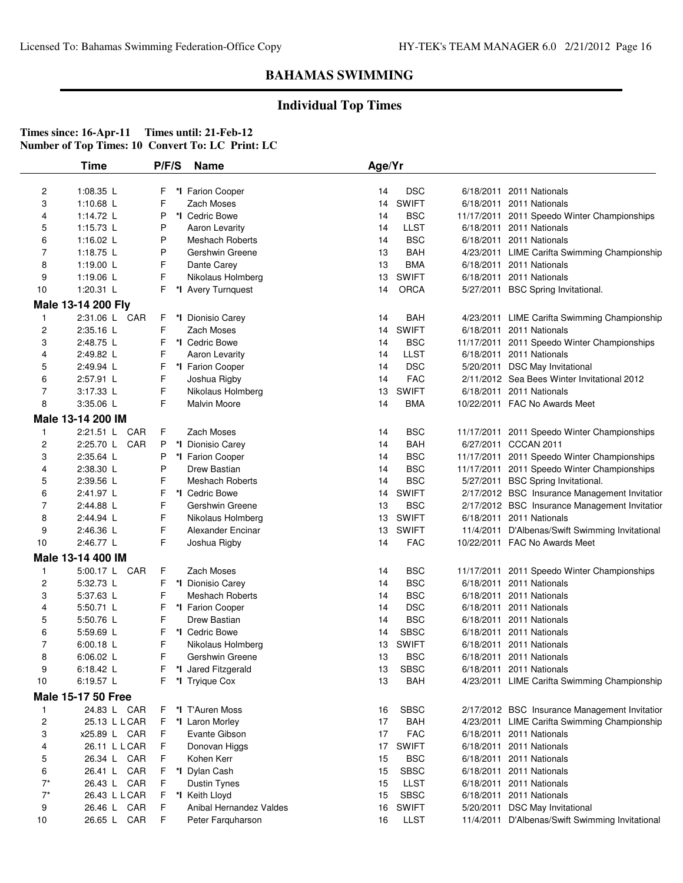## **Individual Top Times**

|                | Time                      | P/F/S  | <b>Name</b>                              | Age/Yr   |                           |                                                                          |
|----------------|---------------------------|--------|------------------------------------------|----------|---------------------------|--------------------------------------------------------------------------|
|                |                           |        |                                          |          |                           |                                                                          |
| 2              | 1:08.35 L                 | F      | *I Farion Cooper                         | 14       | <b>DSC</b>                | 6/18/2011 2011 Nationals                                                 |
| 3              | 1:10.68 $L$               | F      | Zach Moses                               | 14       | <b>SWIFT</b>              | 6/18/2011 2011 Nationals                                                 |
| 4              | 1:14.72 L<br>$1:15.73$ L  | P      | *I Cedric Bowe                           | 14       | <b>BSC</b>                | 11/17/2011 2011 Speedo Winter Championships                              |
| 5              | 1:16.02 $L$               | P<br>Ρ | Aaron Levarity<br><b>Meshach Roberts</b> | 14<br>14 | <b>LLST</b><br><b>BSC</b> | 6/18/2011 2011 Nationals<br>6/18/2011 2011 Nationals                     |
| 6<br>7         | 1:18.75 $L$               | Ρ      | Gershwin Greene                          | 13       | <b>BAH</b>                |                                                                          |
| 8              | 1:19.00 L                 | F      | Dante Carey                              | 13       | <b>BMA</b>                | 4/23/2011 LIME Carifta Swimming Championship<br>6/18/2011 2011 Nationals |
| 9              | 1:19.06 L                 | F      | Nikolaus Holmberg                        | 13       | <b>SWIFT</b>              | 6/18/2011 2011 Nationals                                                 |
| 10             | 1:20.31 L                 | F      | *I Avery Turnquest                       | 14       | <b>ORCA</b>               | 5/27/2011 BSC Spring Invitational.                                       |
|                | Male 13-14 200 Fly        |        |                                          |          |                           |                                                                          |
| 1              | 2:31.06 L CAR             | F      | *I Dionisio Carey                        | 14       | BAH                       | 4/23/2011 LIME Carifta Swimming Championship                             |
| 2              | 2:35.16 L                 | F      | Zach Moses                               | 14       | <b>SWIFT</b>              | 6/18/2011 2011 Nationals                                                 |
| 3              | 2:48.75 L                 | F      | *I Cedric Bowe                           | 14       | <b>BSC</b>                | 11/17/2011 2011 Speedo Winter Championships                              |
| 4              | 2:49.82 L                 | F      | Aaron Levarity                           | 14       | <b>LLST</b>               | 6/18/2011 2011 Nationals                                                 |
| 5              | 2:49.94 L                 | F      | *I Farion Cooper                         | 14       | <b>DSC</b>                | 5/20/2011 DSC May Invitational                                           |
| 6              | 2:57.91 L                 | F      | Joshua Rigby                             | 14       | <b>FAC</b>                | 2/11/2012 Sea Bees Winter Invitational 2012                              |
| 7              | 3:17.33 L                 | F      | Nikolaus Holmberg                        | 13       | <b>SWIFT</b>              | 6/18/2011 2011 Nationals                                                 |
| 8              | 3:35.06 L                 | F      | Malvin Moore                             | 14       | <b>BMA</b>                | 10/22/2011 FAC No Awards Meet                                            |
|                | Male 13-14 200 IM         |        |                                          |          |                           |                                                                          |
| $\mathbf{1}$   | 2:21.51 L CAR             | F      | Zach Moses                               | 14       | <b>BSC</b>                | 11/17/2011 2011 Speedo Winter Championships                              |
| 2              | 2:25.70 L<br>CAR          | P      | *I Dionisio Carey                        | 14       | <b>BAH</b>                | 6/27/2011 CCCAN 2011                                                     |
| 3              | 2:35.64 L                 | P      | *I Farion Cooper                         | 14       | <b>BSC</b>                | 11/17/2011 2011 Speedo Winter Championships                              |
| 4              | 2:38.30 L                 | P      | Drew Bastian                             | 14       | <b>BSC</b>                | 11/17/2011 2011 Speedo Winter Championships                              |
| 5              | 2:39.56 L                 | F      | <b>Meshach Roberts</b>                   | 14       | <b>BSC</b>                | 5/27/2011 BSC Spring Invitational.                                       |
| 6              | 2:41.97 L                 | F      | *I Cedric Bowe                           | 14       | <b>SWIFT</b>              | 2/17/2012 BSC Insurance Management Invitatior                            |
| 7              | 2:44.88 L                 | F      | Gershwin Greene                          | 13       | <b>BSC</b>                | 2/17/2012 BSC Insurance Management Invitatior                            |
| 8              | 2:44.94 L                 | F      | Nikolaus Holmberg                        | 13       | <b>SWIFT</b>              | 6/18/2011 2011 Nationals                                                 |
| 9              | 2:46.36 L                 | F      | Alexander Encinar                        | 13       | <b>SWIFT</b>              | 11/4/2011 D'Albenas/Swift Swimming Invitational                          |
| 10             | 2:46.77 L                 | F      | Joshua Rigby                             | 14       | <b>FAC</b>                | 10/22/2011 FAC No Awards Meet                                            |
|                | Male 13-14 400 IM         |        |                                          |          |                           |                                                                          |
| $\mathbf{1}$   | 5:00.17 L CAR             | F      | Zach Moses                               | 14       | <b>BSC</b>                | 11/17/2011 2011 Speedo Winter Championships                              |
| $\overline{c}$ | 5:32.73 L                 | F      | *I Dionisio Carey                        | 14       | <b>BSC</b>                | 6/18/2011 2011 Nationals                                                 |
| 3              | 5:37.63 L                 | F      | <b>Meshach Roberts</b>                   | 14       | <b>BSC</b>                | 6/18/2011 2011 Nationals                                                 |
| 4              | 5:50.71 L                 | F      | *I Farion Cooper                         | 14       | <b>DSC</b>                | 6/18/2011 2011 Nationals                                                 |
| 5              | 5:50.76 L                 | F      | Drew Bastian                             | 14       | <b>BSC</b>                | 6/18/2011 2011 Nationals                                                 |
| 6              | 5:59.69 L                 | F      | *I Cedric Bowe                           | 14       | <b>SBSC</b>               | 6/18/2011 2011 Nationals                                                 |
| 7              | $6:00.18$ L               | F      | Nikolaus Holmberg                        | 13       | <b>SWIFT</b>              | 6/18/2011 2011 Nationals                                                 |
| 8              | $6:06.02$ L               | F      | Gershwin Greene                          | 13       | <b>BSC</b>                | 6/18/2011 2011 Nationals                                                 |
| 9              | 6:18.42 $L$               | F      | *I Jared Fitzgerald                      | 13       | <b>SBSC</b>               | 6/18/2011 2011 Nationals                                                 |
| 10             | 6:19.57 L                 | F      | *I Tryique Cox                           | 13       | <b>BAH</b>                | 4/23/2011 LIME Carifta Swimming Championship                             |
|                | <b>Male 15-17 50 Free</b> |        |                                          |          |                           |                                                                          |
| 1              | 24.83 L CAR               | F      | *I T'Auren Moss                          | 16       | <b>SBSC</b>               | 2/17/2012 BSC Insurance Management Invitatior                            |
| $\overline{c}$ | 25.13 L L CAR             | F      | *I Laron Morley                          | 17       | <b>BAH</b>                | 4/23/2011 LIME Carifta Swimming Championship                             |
| 3              | x25.89 L CAR              | F      | Evante Gibson                            | 17       | <b>FAC</b>                | 6/18/2011 2011 Nationals                                                 |
| 4              | 26.11 L L CAR             | F      | Donovan Higgs                            | 17       | <b>SWIFT</b>              | 6/18/2011 2011 Nationals                                                 |
| 5              | 26.34 L CAR               | F      | Kohen Kerr                               | 15       | <b>BSC</b>                | 6/18/2011 2011 Nationals                                                 |
| 6              | 26.41 L CAR               | F      | *I Dylan Cash                            | 15       | <b>SBSC</b>               | 6/18/2011 2011 Nationals                                                 |
| $7^*$          | 26.43 L CAR               | F      | <b>Dustin Tynes</b>                      | 15       | <b>LLST</b>               | 6/18/2011 2011 Nationals                                                 |
| $7^*$          | 26.43 L L CAR             | F      | *I Keith Lloyd                           | 15       | <b>SBSC</b>               | 6/18/2011 2011 Nationals                                                 |
| 9              | 26.46 L<br>CAR            | F      | Anibal Hernandez Valdes                  | 16       | <b>SWIFT</b>              | 5/20/2011 DSC May Invitational                                           |
| 10             | 26.65 L CAR               | F      | Peter Farquharson                        | 16       | <b>LLST</b>               | 11/4/2011 D'Albenas/Swift Swimming Invitational                          |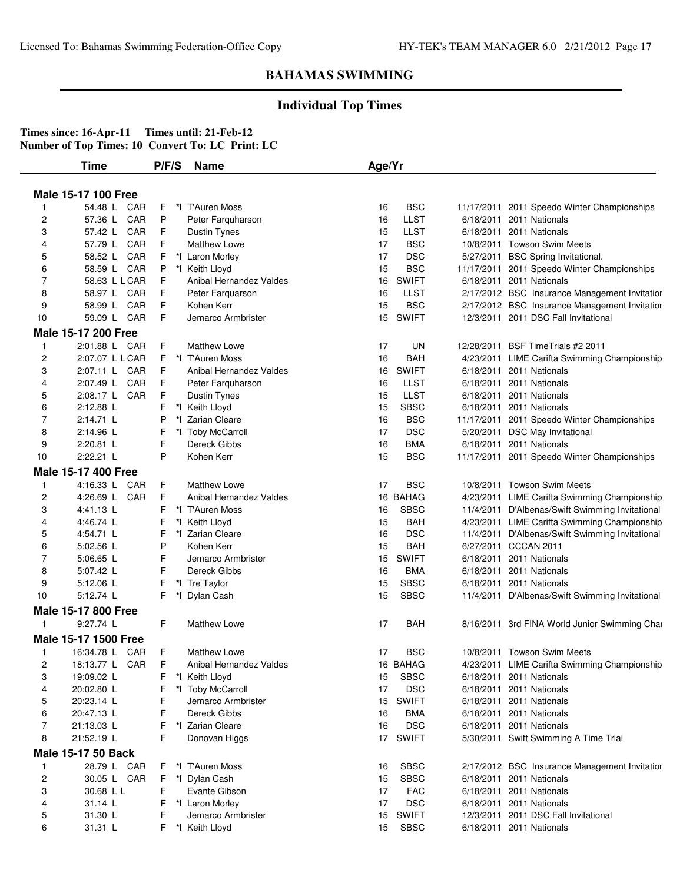### **Individual Top Times**

|                | <b>Time</b>                | P/F/S  | <b>Name</b>                       | Age/Yr   |                          |           |                                                 |
|----------------|----------------------------|--------|-----------------------------------|----------|--------------------------|-----------|-------------------------------------------------|
|                | <b>Male 15-17 100 Free</b> |        |                                   |          |                          |           |                                                 |
| -1             | 54.48 L CAR                | F      | *I T'Auren Moss                   | 16       | <b>BSC</b>               |           | 11/17/2011 2011 Speedo Winter Championships     |
| 2              | CAR<br>57.36 L             | P      | Peter Farguharson                 | 16       | <b>LLST</b>              |           | 6/18/2011 2011 Nationals                        |
| 3              | 57.42 L CAR                | F      | Dustin Tynes                      | 15       | <b>LLST</b>              |           | 6/18/2011 2011 Nationals                        |
| 4              | CAR<br>57.79 L             | F      | Matthew Lowe                      | 17       | <b>BSC</b>               |           | 10/8/2011 Towson Swim Meets                     |
| 5              | 58.52 L CAR                | F      | *I Laron Morley                   | 17       | <b>DSC</b>               | 5/27/2011 | <b>BSC Spring Invitational.</b>                 |
| 6              | 58.59 L CAR                | P      | *I Keith Lloyd                    | 15       | <b>BSC</b>               |           | 11/17/2011 2011 Speedo Winter Championships     |
| 7              | 58.63 L L CAR              | F      | Anibal Hernandez Valdes           | 16       | <b>SWIFT</b>             |           | 6/18/2011 2011 Nationals                        |
| 8              | 58.97 L CAR                | F      | Peter Farquarson                  | 16       | <b>LLST</b>              |           | 2/17/2012 BSC Insurance Management Invitatior   |
| 9              | 58.99 L<br>CAR             | F      | Kohen Kerr                        | 15       | <b>BSC</b>               |           | 2/17/2012 BSC Insurance Management Invitatior   |
| 10             | 59.09 L CAR                | F      | Jemarco Armbrister                | 15       | <b>SWIFT</b>             |           | 12/3/2011 2011 DSC Fall Invitational            |
|                | Male 15-17 200 Free        |        |                                   |          |                          |           |                                                 |
|                |                            |        |                                   |          |                          |           |                                                 |
| -1             | 2:01.88 L CAR              | F      | <b>Matthew Lowe</b>               | 17       | <b>UN</b>                |           | 12/28/2011 BSF Time Trials #2 2011              |
| 2              | 2:07.07 L L CAR            | F      | *I T'Auren Moss                   | 16       | <b>BAH</b>               |           | 4/23/2011 LIME Carifta Swimming Championship    |
| 3              | 2:07.11 L CAR              | F      | Anibal Hernandez Valdes           | 16       | <b>SWIFT</b>             |           | 6/18/2011 2011 Nationals                        |
| 4              | 2:07.49 L CAR              | F      | Peter Farquharson                 | 16       | <b>LLST</b>              |           | 6/18/2011 2011 Nationals                        |
| 5              | 2:08.17 L<br>CAR           | F      | <b>Dustin Tynes</b>               | 15       | <b>LLST</b>              |           | 6/18/2011 2011 Nationals                        |
| 6              | 2:12.88 L                  | F      | *I Keith Lloyd                    | 15       | <b>SBSC</b>              |           | 6/18/2011 2011 Nationals                        |
| 7              | $2:14.71$ L                | P      | *I Zarian Cleare                  | 16       | <b>BSC</b>               |           | 11/17/2011 2011 Speedo Winter Championships     |
| 8              | 2:14.96 L                  | F<br>F | *I Toby McCarroll<br>Dereck Gibbs | 17       | <b>DSC</b><br><b>BMA</b> |           | 5/20/2011 DSC May Invitational                  |
| 9              | 2:20.81 L<br>2:22.21 L     | P      |                                   | 16<br>15 | <b>BSC</b>               |           | 6/18/2011 2011 Nationals                        |
| 10             |                            |        | Kohen Kerr                        |          |                          |           | 11/17/2011 2011 Speedo Winter Championships     |
|                | <b>Male 15-17 400 Free</b> |        |                                   |          |                          |           |                                                 |
| $\mathbf{1}$   | 4:16.33 L CAR              | F      | <b>Matthew Lowe</b>               | 17       | <b>BSC</b>               |           | 10/8/2011 Towson Swim Meets                     |
| 2              | 4:26.69 L<br>CAR           | F      | Anibal Hernandez Valdes           | 16       | <b>BAHAG</b>             |           | 4/23/2011 LIME Carifta Swimming Championship    |
| 3              | 4:41.13 L                  | F      | *I T'Auren Moss                   | 16       | <b>SBSC</b>              |           | 11/4/2011 D'Albenas/Swift Swimming Invitational |
| 4              | 4:46.74 L                  | F      | *I Keith Lloyd                    | 15       | <b>BAH</b>               |           | 4/23/2011 LIME Carifta Swimming Championship    |
| 5              | 4:54.71 L                  | F      | *I Zarian Cleare                  | 16       | <b>DSC</b>               |           | 11/4/2011 D'Albenas/Swift Swimming Invitational |
| 6              | 5:02.56 L                  | P      | Kohen Kerr                        | 15       | <b>BAH</b>               |           | 6/27/2011 CCCAN 2011                            |
| 7              | $5:06.65$ L                | F      | Jemarco Armbrister                | 15       | <b>SWIFT</b>             |           | 6/18/2011 2011 Nationals                        |
| 8              | 5:07.42 L                  | F      | Dereck Gibbs                      | 16       | <b>BMA</b>               |           | 6/18/2011 2011 Nationals                        |
| 9              | 5:12.06 L                  | F      | *I Tre Taylor                     | 15       | <b>SBSC</b>              |           | 6/18/2011 2011 Nationals                        |
| 10             | 5:12.74 L                  | F      | *I Dylan Cash                     | 15       | <b>SBSC</b>              |           | 11/4/2011 D'Albenas/Swift Swimming Invitational |
|                | Male 15-17 800 Free        |        |                                   |          |                          |           |                                                 |
| 1              | 9:27.74 L                  | F      | <b>Matthew Lowe</b>               | 17       | BAH                      |           | 8/16/2011 3rd FINA World Junior Swimming Char   |
|                | Male 15-17 1500 Free       |        |                                   |          |                          |           |                                                 |
| $\mathbf{1}$   | 16:34.78 L CAR             | F      | <b>Matthew Lowe</b>               | 17       | <b>BSC</b>               |           | 10/8/2011 Towson Swim Meets                     |
| 2              | 18:13.77 L CAR             | F      | Anibal Hernandez Valdes           |          | 16 BAHAG                 |           | 4/23/2011 LIME Carifta Swimming Championship    |
| 3              | 19:09.02 L                 | F      | *I Keith Lloyd                    | 15       | <b>SBSC</b>              |           | 6/18/2011 2011 Nationals                        |
| 4              | 20:02.80 L                 | F      | *I Toby McCarroll                 | 17       | <b>DSC</b>               |           | 6/18/2011 2011 Nationals                        |
| 5              | 20:23.14 L                 | F      | Jemarco Armbrister                | 15       | <b>SWIFT</b>             |           | 6/18/2011 2011 Nationals                        |
| 6              | 20:47.13 L                 | F      | Dereck Gibbs                      | 16       | <b>BMA</b>               |           | 6/18/2011 2011 Nationals                        |
| 7              | 21:13.03 L                 | F      | *I Zarian Cleare                  | 16       | <b>DSC</b>               |           | 6/18/2011 2011 Nationals                        |
| 8              | 21:52.19 L                 | F      | Donovan Higgs                     |          | 17 SWIFT                 |           | 5/30/2011 Swift Swimming A Time Trial           |
|                | <b>Male 15-17 50 Back</b>  |        |                                   |          |                          |           |                                                 |
| $\mathbf{1}$   | 28.79 L CAR                | F      | *I T'Auren Moss                   | 16       | <b>SBSC</b>              |           | 2/17/2012 BSC Insurance Management Invitatior   |
| $\overline{c}$ | 30.05 L CAR                | F      | *I Dylan Cash                     | 15       | <b>SBSC</b>              |           | 6/18/2011 2011 Nationals                        |
| 3              | 30.68 L L                  | F      | Evante Gibson                     | 17       | <b>FAC</b>               |           | 6/18/2011 2011 Nationals                        |
| 4              | 31.14 L                    | F      | *I Laron Morley                   | 17       | <b>DSC</b>               |           | 6/18/2011 2011 Nationals                        |
| 5              | 31.30 L                    | F      | Jemarco Armbrister                | 15       | <b>SWIFT</b>             |           | 12/3/2011 2011 DSC Fall Invitational            |
| 6              | 31.31 L                    | F      | *I Keith Lloyd                    | 15       | <b>SBSC</b>              |           | 6/18/2011 2011 Nationals                        |
|                |                            |        |                                   |          |                          |           |                                                 |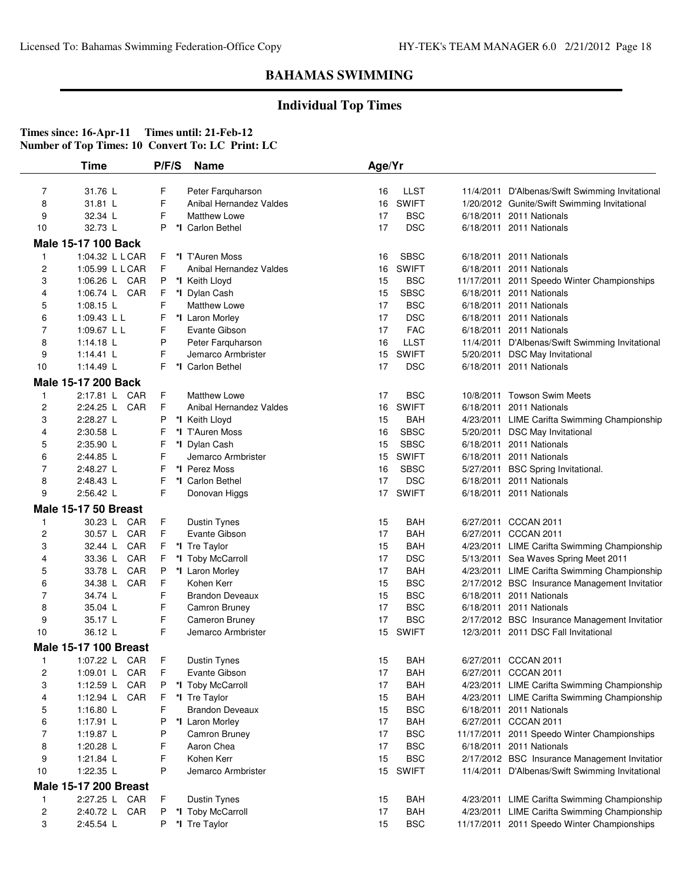## **Individual Top Times**

|                         | Time                         | P/F/S | <b>Name</b>             | Age/Yr |              |                                                 |
|-------------------------|------------------------------|-------|-------------------------|--------|--------------|-------------------------------------------------|
| $\overline{7}$          | 31.76 L                      | F     | Peter Farguharson       | 16     | LLST         | 11/4/2011 D'Albenas/Swift Swimming Invitational |
| 8                       | 31.81 L                      | F     | Anibal Hernandez Valdes | 16     | <b>SWIFT</b> | 1/20/2012 Gunite/Swift Swimming Invitational    |
| 9                       | 32.34 L                      | F     | <b>Matthew Lowe</b>     | 17     | <b>BSC</b>   | 6/18/2011 2011 Nationals                        |
| 10                      | 32.73 L                      | P     | *I Carlon Bethel        | 17     | <b>DSC</b>   | 6/18/2011 2011 Nationals                        |
|                         | <b>Male 15-17 100 Back</b>   |       |                         |        |              |                                                 |
| 1                       | 1:04.32 L L CAR              | F     | *I T'Auren Moss         | 16     | <b>SBSC</b>  | 6/18/2011 2011 Nationals                        |
| $\overline{\mathbf{c}}$ | 1:05.99 L L CAR              | F     | Anibal Hernandez Valdes | 16     | <b>SWIFT</b> | 6/18/2011 2011 Nationals                        |
| 3                       | CAR<br>1:06.26 L             | P     | *I Keith Lloyd          | 15     | <b>BSC</b>   | 11/17/2011 2011 Speedo Winter Championships     |
| 4                       | 1:06.74 L CAR                | F     | *I Dylan Cash           | 15     | <b>SBSC</b>  | 6/18/2011 2011 Nationals                        |
| 5                       | 1:08.15 $L$                  | F     | <b>Matthew Lowe</b>     | 17     | <b>BSC</b>   | 6/18/2011 2011 Nationals                        |
| 6                       | 1:09.43 L L                  | F     | *I Laron Morley         | 17     | <b>DSC</b>   | 6/18/2011 2011 Nationals                        |
| 7                       | 1:09.67 L L                  | F     | Evante Gibson           | 17     | <b>FAC</b>   | 6/18/2011 2011 Nationals                        |
| 8                       | 1:14.18 $L$                  | P     | Peter Farquharson       | 16     | <b>LLST</b>  | 11/4/2011 D'Albenas/Swift Swimming Invitational |
| 9                       | 1:14.41 $\lfloor$            | F     | Jemarco Armbrister      | 15     | <b>SWIFT</b> | 5/20/2011 DSC May Invitational                  |
| 10                      | 1:14.49 $\lfloor$            | F     | *I Carlon Bethel        | 17     | <b>DSC</b>   | 6/18/2011 2011 Nationals                        |
|                         | Male 15-17 200 Back          |       |                         |        |              |                                                 |
| 1                       | 2:17.81 L CAR                | F     | <b>Matthew Lowe</b>     | 17     | <b>BSC</b>   | 10/8/2011 Towson Swim Meets                     |
| 2                       | CAR<br>2:24.25 L             | F     | Anibal Hernandez Valdes | 16     | <b>SWIFT</b> | 6/18/2011 2011 Nationals                        |
| 3                       | 2:28.27 L                    | P     | *I Keith Lloyd          | 15     | BAH          | 4/23/2011 LIME Carifta Swimming Championship    |
| 4                       | 2:30.58 L                    | F     | *I T'Auren Moss         | 16     | <b>SBSC</b>  | 5/20/2011 DSC May Invitational                  |
| 5                       | 2:35.90 L                    | F     | *I Dylan Cash           | 15     | <b>SBSC</b>  | 6/18/2011 2011 Nationals                        |
| 6                       | 2:44.85 L                    | F     | Jemarco Armbrister      | 15     | <b>SWIFT</b> | 6/18/2011 2011 Nationals                        |
| $\overline{7}$          | 2:48.27 L                    | F     | *I Perez Moss           | 16     | <b>SBSC</b>  | 5/27/2011 BSC Spring Invitational.              |
| 8                       | 2:48.43 L                    | F     | *I Carlon Bethel        | 17     | <b>DSC</b>   | 6/18/2011 2011 Nationals                        |
| 9                       | 2:56.42 L                    | F     | Donovan Higgs           | 17     | <b>SWIFT</b> | 6/18/2011 2011 Nationals                        |
|                         | <b>Male 15-17 50 Breast</b>  |       |                         |        |              |                                                 |
| 1                       | 30.23 L<br>CAR               | F     | Dustin Tynes            | 15     | <b>BAH</b>   | 6/27/2011 CCCAN 2011                            |
| $\overline{\mathbf{c}}$ | 30.57 L<br>CAR               | F     | Evante Gibson           | 17     | <b>BAH</b>   | 6/27/2011 CCCAN 2011                            |
| 3                       | CAR<br>32.44 L               | F.    | *I Tre Taylor           | 15     | <b>BAH</b>   | 4/23/2011 LIME Carifta Swimming Championship    |
| 4                       | 33.36 L<br>CAR               | F     | *I Toby McCarroll       | 17     | <b>DSC</b>   | 5/13/2011 Sea Waves Spring Meet 2011            |
| 5                       | CAR<br>33.78 L               | P     | *I Laron Morley         | 17     | BAH          | 4/23/2011 LIME Carifta Swimming Championship    |
| 6                       | CAR<br>34.38 L               | F     | Kohen Kerr              | 15     | <b>BSC</b>   | 2/17/2012 BSC Insurance Management Invitatior   |
| 7                       | 34.74 L                      | F     | <b>Brandon Deveaux</b>  | 15     | <b>BSC</b>   | 6/18/2011 2011 Nationals                        |
| 8                       | 35.04 L                      | F     | Camron Bruney           | 17     | <b>BSC</b>   | 6/18/2011 2011 Nationals                        |
| 9                       | 35.17 L                      | F     | Cameron Bruney          | 17     | <b>BSC</b>   | 2/17/2012 BSC Insurance Management Invitatior   |
| 10                      | 36.12 L                      | F     | Jemarco Armbrister      | 15     | <b>SWIFT</b> | 12/3/2011 2011 DSC Fall Invitational            |
|                         | <b>Male 15-17 100 Breast</b> |       |                         |        |              |                                                 |
|                         | 1:07.22 L CAR                | F     | Dustin Tynes            | 15     | <b>BAH</b>   | 6/27/2011 CCCAN 2011                            |
| 2                       | 1:09.01 L CAR                | F     | Evante Gibson           | 17     | <b>BAH</b>   | 6/27/2011 CCCAN 2011                            |
| 3                       | CAR<br>1:12.59 $L$           | P     | *I Toby McCarroll       | 17     | <b>BAH</b>   | 4/23/2011 LIME Carifta Swimming Championship    |
| 4                       | 1:12.94 L<br>CAR             | F     | *I Tre Taylor           | 15     | <b>BAH</b>   | 4/23/2011 LIME Carifta Swimming Championship    |
| 5                       | 1:16.80 $L$                  | F     | <b>Brandon Deveaux</b>  | 15     | <b>BSC</b>   | 6/18/2011 2011 Nationals                        |
| 6                       | 1:17.91 L                    | P     | *I Laron Morley         | 17     | <b>BAH</b>   | 6/27/2011 CCCAN 2011                            |
| 7                       | 1:19.87 L                    | P     | Camron Bruney           | 17     | <b>BSC</b>   | 11/17/2011 2011 Speedo Winter Championships     |
| 8                       | 1:20.28 L                    | F     | Aaron Chea              | 17     | <b>BSC</b>   | 6/18/2011 2011 Nationals                        |
| 9                       | 1:21.84 L                    | F     | Kohen Kerr              | 15     | <b>BSC</b>   | 2/17/2012 BSC Insurance Management Invitatior   |
| 10                      | 1:22.35 L                    | P     | Jemarco Armbrister      | 15     | <b>SWIFT</b> | 11/4/2011 D'Albenas/Swift Swimming Invitational |
|                         | <b>Male 15-17 200 Breast</b> |       |                         |        |              |                                                 |
| 1                       | 2:27.25 L CAR                | F.    | Dustin Tynes            | 15     | BAH          | 4/23/2011 LIME Carifta Swimming Championship    |
| $\overline{\mathbf{c}}$ | 2:40.72 L CAR                | P     | *I Toby McCarroll       | 17     | <b>BAH</b>   | 4/23/2011 LIME Carifta Swimming Championship    |
| 3                       | 2:45.54 L                    | P     | *I Tre Taylor           | 15     | <b>BSC</b>   | 11/17/2011 2011 Speedo Winter Championships     |
|                         |                              |       |                         |        |              |                                                 |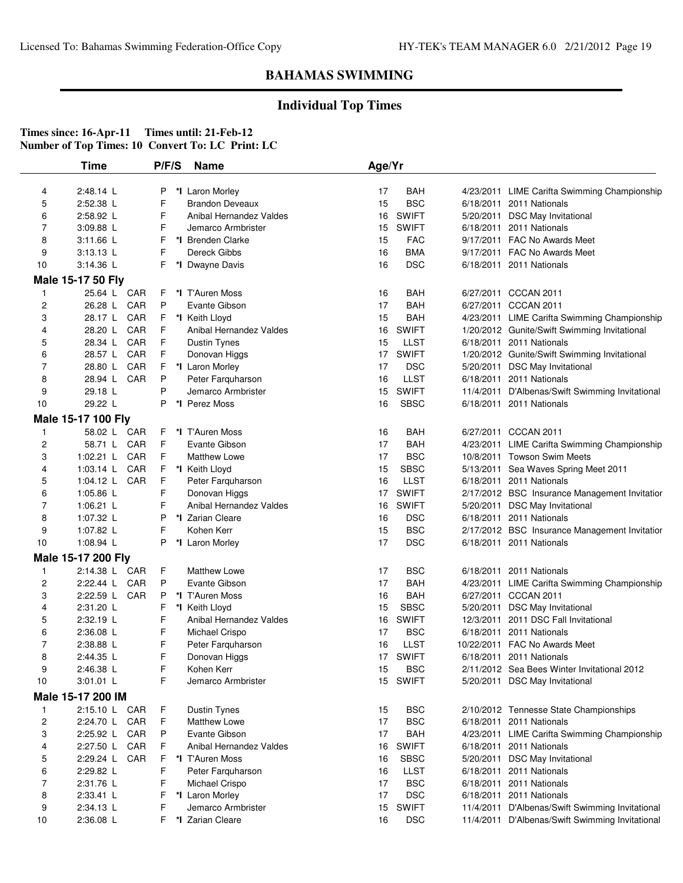## **Individual Top Times**

|                | Time               | P/F/S | <b>Name</b>             | Age/Yr          |              |                                                 |
|----------------|--------------------|-------|-------------------------|-----------------|--------------|-------------------------------------------------|
| 4              | 2:48.14 L          | P     | *I Laron Morley         | 17              | BAH          | 4/23/2011 LIME Carifta Swimming Championship    |
| 5              | 2:52.38 L          | F     | <b>Brandon Deveaux</b>  | 15              | <b>BSC</b>   | 6/18/2011 2011 Nationals                        |
| 6              | 2:58.92 L          | F     | Anibal Hernandez Valdes | 16              | <b>SWIFT</b> | 5/20/2011 DSC May Invitational                  |
| 7              | 3:09.88 L          | F     | Jemarco Armbrister      | 15              | <b>SWIFT</b> | 6/18/2011 2011 Nationals                        |
| 8              | 3:11.66 L          | F     | *I Brenden Clarke       | 15              | <b>FAC</b>   | 9/17/2011 FAC No Awards Meet                    |
| 9              | 3:13.13 L          | F     | Dereck Gibbs            | 16              | <b>BMA</b>   | 9/17/2011 FAC No Awards Meet                    |
| 10             | $3:14.36$ L        | F     | *I Dwayne Davis         | 16              | <b>DSC</b>   | 6/18/2011 2011 Nationals                        |
|                | Male 15-17 50 Fly  |       |                         |                 |              |                                                 |
| $\mathbf{1}$   | 25.64 L CAR        | F     | *I T'Auren Moss         | 16              | <b>BAH</b>   | 6/27/2011 CCCAN 2011                            |
| 2              | CAR<br>26.28 L     | P     | Evante Gibson           | 17              | <b>BAH</b>   | 6/27/2011 CCCAN 2011                            |
| 3              | 28.17 L<br>CAR     | F     | *I Keith Lloyd          | 15              | <b>BAH</b>   | 4/23/2011 LIME Carifta Swimming Championship    |
| 4              | CAR<br>28.20 L     | F     | Anibal Hernandez Valdes | 16              | <b>SWIFT</b> | 1/20/2012 Gunite/Swift Swimming Invitational    |
| 5              | 28.34 L<br>CAR     | F     | Dustin Tynes            | 15              | LLST         | 6/18/2011 2011 Nationals                        |
| 6              | CAR<br>28.57 L     | F     | Donovan Higgs           | 17              | <b>SWIFT</b> | 1/20/2012 Gunite/Swift Swimming Invitational    |
| 7              | 28.80 L<br>CAR     | F     | *I Laron Morley         | 17              | <b>DSC</b>   | 5/20/2011 DSC May Invitational                  |
| 8              | CAR<br>28.94 L     | P     | Peter Farquharson       | 16              | <b>LLST</b>  | 6/18/2011 2011 Nationals                        |
| 9              | 29.18 L            | P     | Jemarco Armbrister      | 15              | <b>SWIFT</b> | 11/4/2011 D'Albenas/Swift Swimming Invitational |
| 10             | 29.22 L            | P     | *I Perez Moss           | 16              | <b>SBSC</b>  | 6/18/2011 2011 Nationals                        |
|                | Male 15-17 100 Fly |       |                         |                 |              |                                                 |
| $\mathbf{1}$   | 58.02 L CAR        | F     | *I T'Auren Moss         | 16              | <b>BAH</b>   | 6/27/2011 CCCAN 2011                            |
| 2              | 58.71 L<br>CAR     | F     | Evante Gibson           | 17              | BAH          | 4/23/2011 LIME Carifta Swimming Championship    |
| 3              | CAR<br>1:02.21 $L$ | F     | <b>Matthew Lowe</b>     | 17              | <b>BSC</b>   | 10/8/2011 Towson Swim Meets                     |
| 4              | CAR<br>1:03.14 L   | F     | *I Keith Lloyd          | 15              | <b>SBSC</b>  | 5/13/2011 Sea Waves Spring Meet 2011            |
| 5              | 1:04.12 $L$<br>CAR | F     | Peter Farquharson       | 16              | <b>LLST</b>  | 6/18/2011 2011 Nationals                        |
| 6              | 1:05.86 L          | F     | Donovan Higgs           | 17              | <b>SWIFT</b> | 2/17/2012 BSC Insurance Management Invitatior   |
| 7              | 1:06.21 $L$        | F     | Anibal Hernandez Valdes | 16              | <b>SWIFT</b> | 5/20/2011 DSC May Invitational                  |
| 8              | 1:07.32 L          | P     | *I Zarian Cleare        | 16              | <b>DSC</b>   | 6/18/2011 2011 Nationals                        |
| 9              | 1:07.82 L          | F     | Kohen Kerr              | 15              | <b>BSC</b>   | 2/17/2012 BSC Insurance Management Invitatior   |
| 10             | 1:08.94 L          | P     | *I Laron Morley         | 17              | <b>DSC</b>   | 6/18/2011 2011 Nationals                        |
|                | Male 15-17 200 Fly |       |                         |                 |              |                                                 |
| $\mathbf{1}$   | 2:14.38 L CAR      | F     | <b>Matthew Lowe</b>     | 17              | <b>BSC</b>   | 6/18/2011 2011 Nationals                        |
| $\overline{c}$ | CAR<br>2:22.44 L   | P     | Evante Gibson           | 17              | <b>BAH</b>   | 4/23/2011 LIME Carifta Swimming Championship    |
| 3              | CAR<br>2:22.59 L   | P     | *I T'Auren Moss         | 16              | <b>BAH</b>   | 6/27/2011 CCCAN 2011                            |
| 4              | 2:31.20 L          | F     | *I Keith Lloyd          | 15              | <b>SBSC</b>  | 5/20/2011 DSC May Invitational                  |
| 5              | 2:32.19 L          | F     | Anibal Hernandez Valdes | 16              | <b>SWIFT</b> | 12/3/2011 2011 DSC Fall Invitational            |
| 6              | $2:36.08$ L        | F     | Michael Crispo          | 17              | <b>BSC</b>   | 6/18/2011 2011 Nationals                        |
| 7              | 2:38.88 L          | F     | Peter Farquharson       | 16              | <b>LLST</b>  | 10/22/2011 FAC No Awards Meet                   |
| 8              | 2:44.35 L          |       | Donovan Higgs           |                 | 17 SWIFT     | 6/18/2011 2011 Nationals                        |
| 9              | 2:46.38 L          | F     | Kohen Kerr              | 15              | <b>BSC</b>   | 2/11/2012 Sea Bees Winter Invitational 2012     |
| 10             | 3:01.01 L          | F     | Jemarco Armbrister      | 15 <sub>1</sub> | <b>SWIFT</b> | 5/20/2011 DSC May Invitational                  |
|                | Male 15-17 200 IM  |       |                         |                 |              |                                                 |
| -1             | 2:15.10 L CAR      | F     | Dustin Tynes            | 15              | <b>BSC</b>   | 2/10/2012 Tennesse State Championships          |
| $\overline{c}$ | CAR<br>2:24.70 L   | F     | <b>Matthew Lowe</b>     | 17              | <b>BSC</b>   | 6/18/2011 2011 Nationals                        |
| 3              | CAR<br>2:25.92 L   | P     | Evante Gibson           | 17              | <b>BAH</b>   | 4/23/2011 LIME Carifta Swimming Championship    |
| 4              | CAR<br>2:27.50 L   | F     | Anibal Hernandez Valdes | 16              | <b>SWIFT</b> | 6/18/2011 2011 Nationals                        |
| 5              | 2:29.24 L<br>CAR   | F     | *I T'Auren Moss         | 16              | <b>SBSC</b>  | 5/20/2011 DSC May Invitational                  |
| 6              | 2:29.82 L          | F     | Peter Farquharson       | 16              | <b>LLST</b>  | 6/18/2011 2011 Nationals                        |
| 7              | 2:31.76 L          | F     | Michael Crispo          | 17              | <b>BSC</b>   | 6/18/2011 2011 Nationals                        |
| 8              | 2:33.41 L          | F     | *I Laron Morley         | 17              | <b>DSC</b>   | 6/18/2011 2011 Nationals                        |
| 9              | 2:34.13 L          | F     | Jemarco Armbrister      | 15              | <b>SWIFT</b> | 11/4/2011 D'Albenas/Swift Swimming Invitational |
| 10             | 2:36.08 L          | F     | *I Zarian Cleare        | 16              | <b>DSC</b>   | 11/4/2011 D'Albenas/Swift Swimming Invitational |